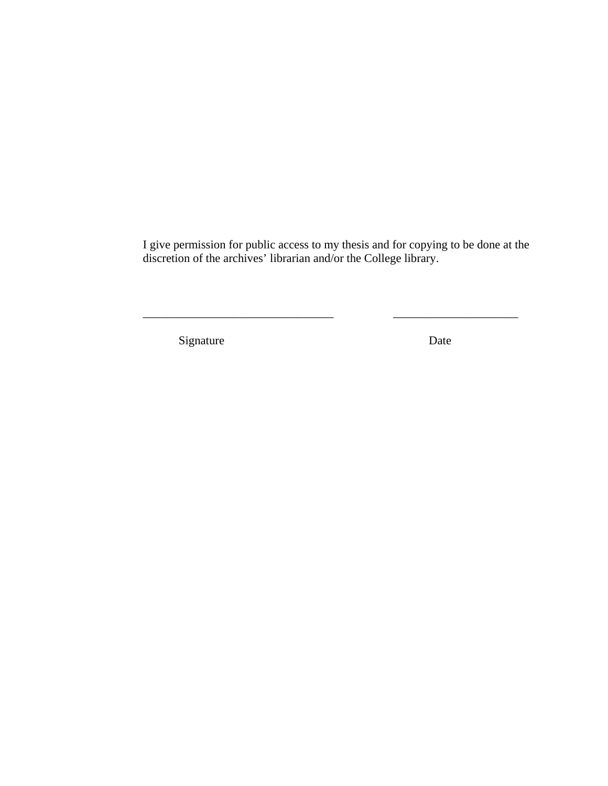I give permission for public access to my thesis and for copying to be done at the discretion of the archives' librarian and/or the College library.

\_\_\_\_\_\_\_\_\_\_\_\_\_\_\_\_\_\_\_\_\_\_\_\_\_\_\_\_\_\_\_\_ \_\_\_\_\_\_\_\_\_\_\_\_\_\_\_\_\_\_\_\_\_

Signature Date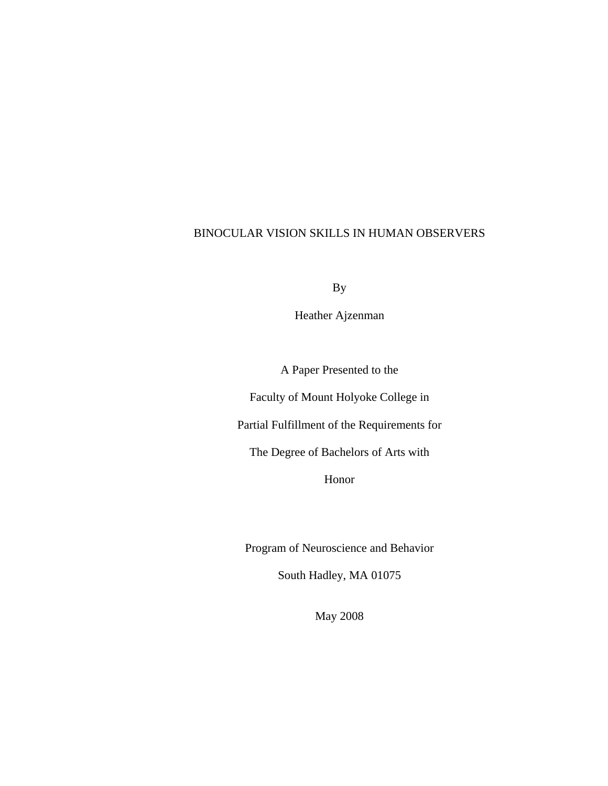## BINOCULAR VISION SKILLS IN HUMAN OBSERVERS

By

Heather Ajzenman

A Paper Presented to the

Faculty of Mount Holyoke College in

Partial Fulfillment of the Requirements for

The Degree of Bachelors of Arts with

Honor

Program of Neuroscience and Behavior

South Hadley, MA 01075

May 2008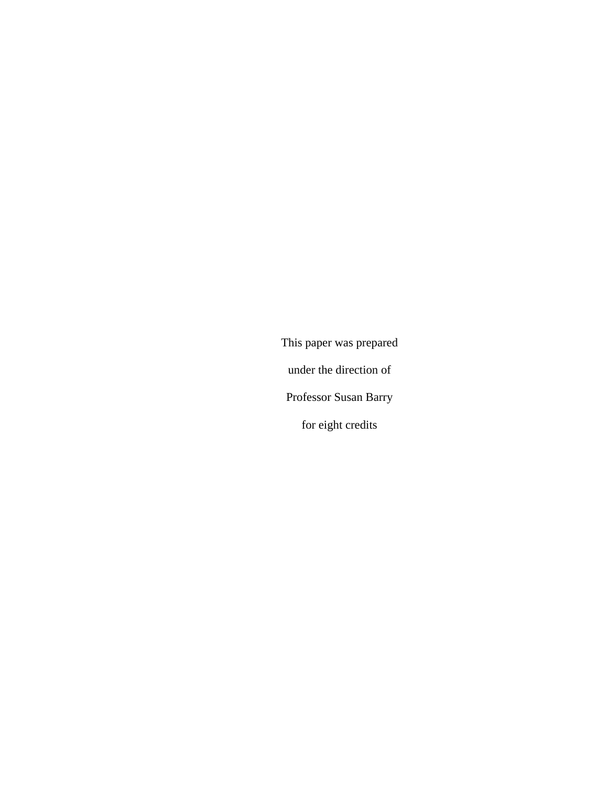This paper was prepared under the direction of Professor Susan Barry for eight credits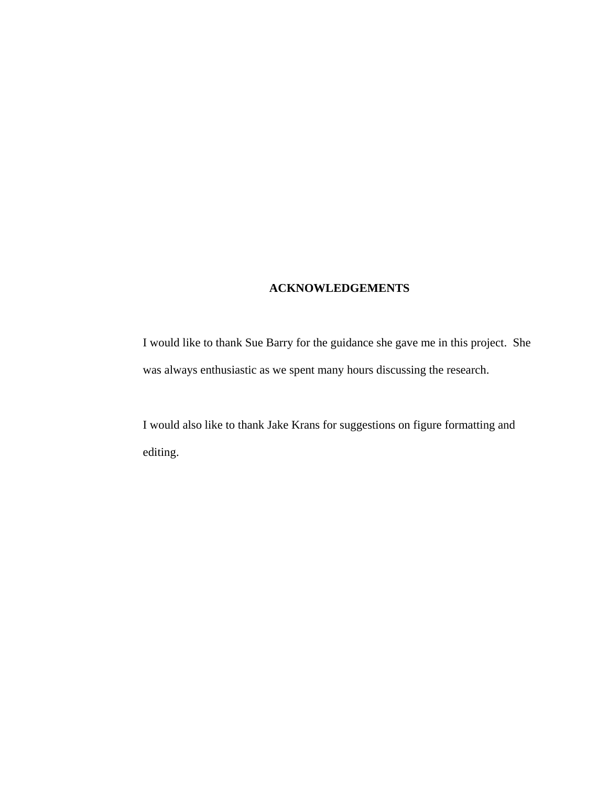# **ACKNOWLEDGEMENTS**

I would like to thank Sue Barry for the guidance she gave me in this project. She was always enthusiastic as we spent many hours discussing the research.

I would also like to thank Jake Krans for suggestions on figure formatting and editing.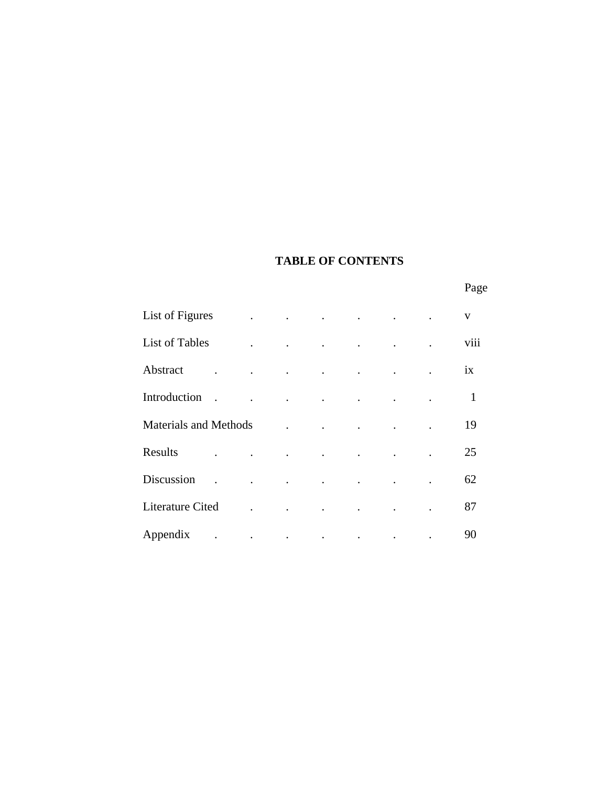# **TABLE OF CONTENTS**

Page **Page** 

| List of Figures                    | $\ddot{\phantom{a}}$                                        | $\sim$ $\sim$        | $\sim$ $\sim$                     | $\sim$ $\sim$                     | $\sim 10^{-10}$ km $^{-1}$                 |                                    | $\mathbf{V}$ |
|------------------------------------|-------------------------------------------------------------|----------------------|-----------------------------------|-----------------------------------|--------------------------------------------|------------------------------------|--------------|
| <b>List of Tables</b>              | $\ddot{\phantom{a}}$                                        | $\mathcal{L}$        | $\blacksquare$                    | <b>Contractor</b>                 | <b>Contract Contract Contract Contract</b> | $\mathbb{Z}^{\mathbb{Z}^{\times}}$ | viii         |
| Abstract                           |                                                             | $\ddot{\phantom{0}}$ | $\sim$ $\sim$                     | <b>Contract Contract</b>          | $\sim$ $\sim$                              |                                    | ix           |
| Introduction<br>$\mathbb{R}$       |                                                             | <b>Contractor</b>    | $\sim$ $\sim$                     | $\sim$ $\sim$                     | $\sim$ $\sim$                              | $\ddot{\phantom{a}}$               | $\mathbf{1}$ |
| <b>Materials and Methods</b>       |                                                             |                      | $\ddot{\phantom{a}}$              | $\ddot{\phantom{a}}$              |                                            |                                    | 19           |
| Results                            | $\mathcal{L}^{\text{max}}$ , and $\mathcal{L}^{\text{max}}$ | $\sim$ $\sim$        | $\sim$ $\sim$ $\sim$ $\sim$       |                                   |                                            |                                    | 25           |
| Discussion<br>$\ddot{\phantom{a}}$ | $\sim$ $\sim$                                               | <b>Contractor</b>    | $\sim$ $\sim$                     | $\sim 10^{11}$ and $\sim 10^{11}$ | $\sim$                                     | $\ddot{\phantom{a}}$               | 62           |
| Literature Cited                   |                                                             |                      | $\bullet$                         |                                   |                                            |                                    | 87           |
| Appendix                           | $\mathcal{L}_{\text{max}}$ .                                |                      | and the company of the company of |                                   | $\ddot{\phantom{a}}$                       |                                    | 90           |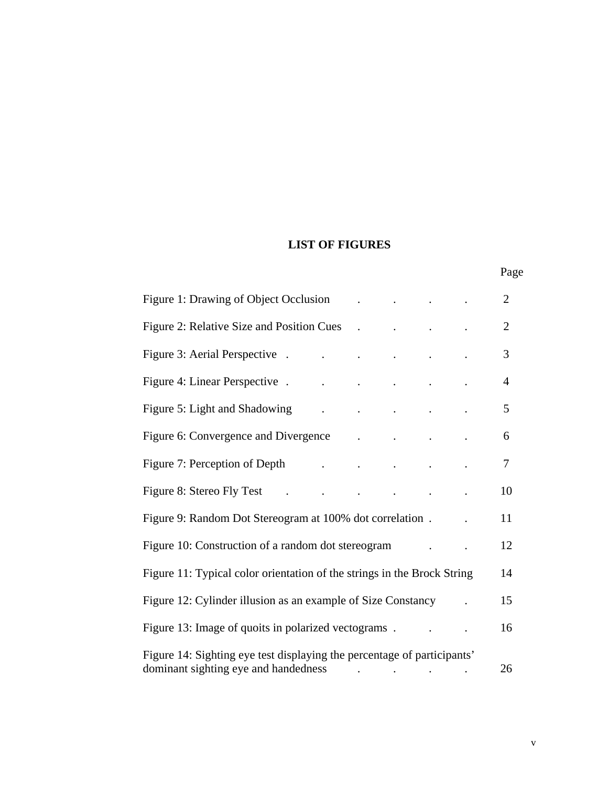# **LIST OF FIGURES**

|  | Page<br>- |
|--|-----------|
|--|-----------|

| Figure 1: Drawing of Object Occlusion                                                                           |                                                                                              |  | $\overline{2}$ |
|-----------------------------------------------------------------------------------------------------------------|----------------------------------------------------------------------------------------------|--|----------------|
| Figure 2: Relative Size and Position Cues                                                                       | <b>Contract Contract</b>                                                                     |  | $\overline{2}$ |
| Figure 3: Aerial Perspective.                                                                                   |                                                                                              |  | 3              |
| Figure 4: Linear Perspective.                                                                                   |                                                                                              |  | $\overline{4}$ |
| Figure 5: Light and Shadowing                                                                                   |                                                                                              |  | 5              |
| Figure 6: Convergence and Divergence .                                                                          |                                                                                              |  | 6              |
| Figure 7: Perception of Depth                                                                                   | $\mathbf{r} = \left\{ \mathbf{r} \in \mathbb{R}^d \mid \mathbf{r} \in \mathbb{R}^d \right\}$ |  | $\tau$         |
| Figure 8: Stereo Fly Test .                                                                                     |                                                                                              |  | 10             |
| Figure 9: Random Dot Stereogram at 100% dot correlation.                                                        |                                                                                              |  | 11             |
| Figure 10: Construction of a random dot stereogram                                                              |                                                                                              |  | 12             |
| Figure 11: Typical color orientation of the strings in the Brock String                                         |                                                                                              |  | 14             |
| Figure 12: Cylinder illusion as an example of Size Constancy                                                    |                                                                                              |  | 15             |
| Figure 13: Image of quoits in polarized vectograms.                                                             |                                                                                              |  | 16             |
| Figure 14: Sighting eye test displaying the percentage of participants'<br>dominant sighting eye and handedness |                                                                                              |  | 26             |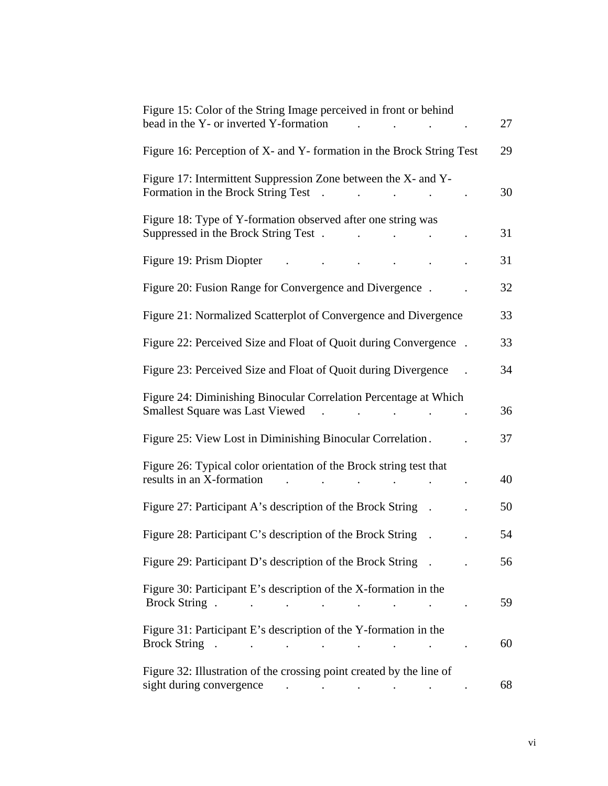| Figure 15: Color of the String Image perceived in front or behind<br>bead in the Y- or inverted Y-formation                                                                                                                                                                                            | 27 |
|--------------------------------------------------------------------------------------------------------------------------------------------------------------------------------------------------------------------------------------------------------------------------------------------------------|----|
| Figure 16: Perception of X- and Y- formation in the Brock String Test                                                                                                                                                                                                                                  | 29 |
| Figure 17: Intermittent Suppression Zone between the X- and Y-<br>Formation in the Brock String Test<br>$\sim$                                                                                                                                                                                         | 30 |
| Figure 18: Type of Y-formation observed after one string was<br>Suppressed in the Brock String Test.                                                                                                                                                                                                   | 31 |
| Figure 19: Prism Diopter                                                                                                                                                                                                                                                                               | 31 |
| Figure 20: Fusion Range for Convergence and Divergence.                                                                                                                                                                                                                                                | 32 |
| Figure 21: Normalized Scatterplot of Convergence and Divergence                                                                                                                                                                                                                                        | 33 |
| Figure 22: Perceived Size and Float of Quoit during Convergence.                                                                                                                                                                                                                                       | 33 |
| Figure 23: Perceived Size and Float of Quoit during Divergence                                                                                                                                                                                                                                         | 34 |
| Figure 24: Diminishing Binocular Correlation Percentage at Which<br><b>Smallest Square was Last Viewed</b>                                                                                                                                                                                             | 36 |
| Figure 25: View Lost in Diminishing Binocular Correlation.                                                                                                                                                                                                                                             | 37 |
| Figure 26: Typical color orientation of the Brock string test that<br>results in an X-formation                                                                                                                                                                                                        | 40 |
| Figure 27: Participant A's description of the Brock String                                                                                                                                                                                                                                             | 50 |
| Figure 28: Participant C's description of the Brock String                                                                                                                                                                                                                                             | 54 |
| Figure 29: Participant D's description of the Brock String.                                                                                                                                                                                                                                            | 56 |
| Figure 30: Participant E's description of the X-formation in the                                                                                                                                                                                                                                       | 59 |
| Figure 31: Participant E's description of the Y-formation in the                                                                                                                                                                                                                                       | 60 |
| Figure 32: Illustration of the crossing point created by the line of<br>sight during convergence contains the contact of the contact of the contact of the contact of the contact of the contact of the contact of the contact of the contact of the contact of the contact of the contact of the cont | 68 |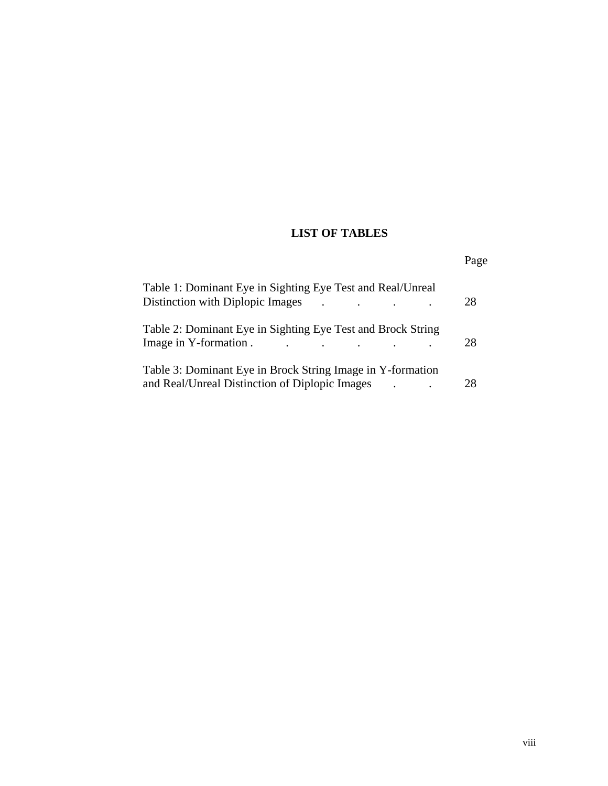# **LIST OF TABLES**

| Table 1: Dominant Eye in Sighting Eye Test and Real/Unreal                                     |                 |
|------------------------------------------------------------------------------------------------|-----------------|
| Distinction with Diplopic Images                                                               | 28<br>$\bullet$ |
| Table 2: Dominant Eye in Sighting Eye Test and Brock String                                    |                 |
| Image in Y-formation.<br>$\mathbf{r}$ , and $\mathbf{r}$ , and $\mathbf{r}$ , and $\mathbf{r}$ | 28              |
| Table 3: Dominant Eye in Brock String Image in Y-formation                                     |                 |
| and Real/Unreal Distinction of Diplopic Images                                                 | 28              |

Page **Page**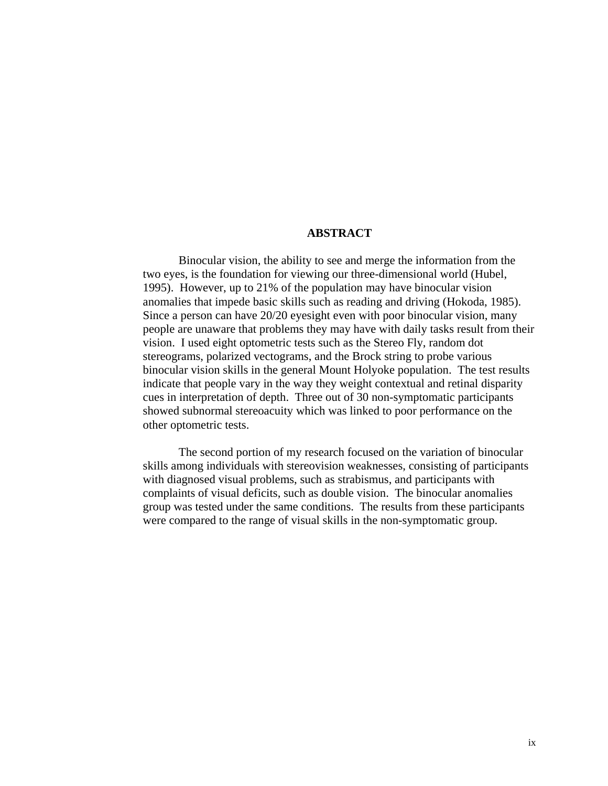#### **ABSTRACT**

Binocular vision, the ability to see and merge the information from the two eyes, is the foundation for viewing our three-dimensional world (Hubel, 1995). However, up to 21% of the population may have binocular vision anomalies that impede basic skills such as reading and driving (Hokoda, 1985). Since a person can have 20/20 eyesight even with poor binocular vision, many people are unaware that problems they may have with daily tasks result from their vision. I used eight optometric tests such as the Stereo Fly, random dot stereograms, polarized vectograms, and the Brock string to probe various binocular vision skills in the general Mount Holyoke population. The test results indicate that people vary in the way they weight contextual and retinal disparity cues in interpretation of depth. Three out of 30 non-symptomatic participants showed subnormal stereoacuity which was linked to poor performance on the other optometric tests.

The second portion of my research focused on the variation of binocular skills among individuals with stereovision weaknesses, consisting of participants with diagnosed visual problems, such as strabismus, and participants with complaints of visual deficits, such as double vision. The binocular anomalies group was tested under the same conditions. The results from these participants were compared to the range of visual skills in the non-symptomatic group.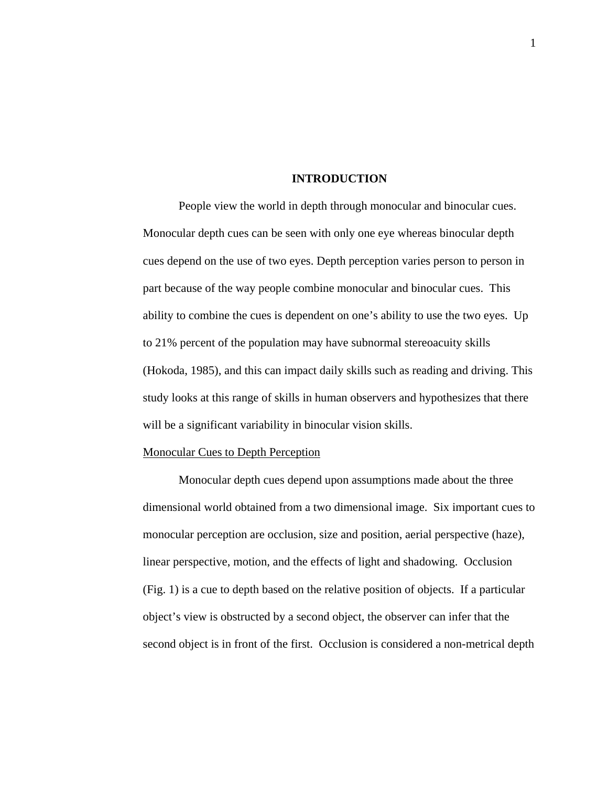#### **INTRODUCTION**

People view the world in depth through monocular and binocular cues. Monocular depth cues can be seen with only one eye whereas binocular depth cues depend on the use of two eyes. Depth perception varies person to person in part because of the way people combine monocular and binocular cues. This ability to combine the cues is dependent on one's ability to use the two eyes. Up to 21% percent of the population may have subnormal stereoacuity skills (Hokoda, 1985), and this can impact daily skills such as reading and driving. This study looks at this range of skills in human observers and hypothesizes that there will be a significant variability in binocular vision skills.

#### Monocular Cues to Depth Perception

Monocular depth cues depend upon assumptions made about the three dimensional world obtained from a two dimensional image. Six important cues to monocular perception are occlusion, size and position, aerial perspective (haze), linear perspective, motion, and the effects of light and shadowing. Occlusion (Fig. 1) is a cue to depth based on the relative position of objects. If a particular object's view is obstructed by a second object, the observer can infer that the second object is in front of the first. Occlusion is considered a non-metrical depth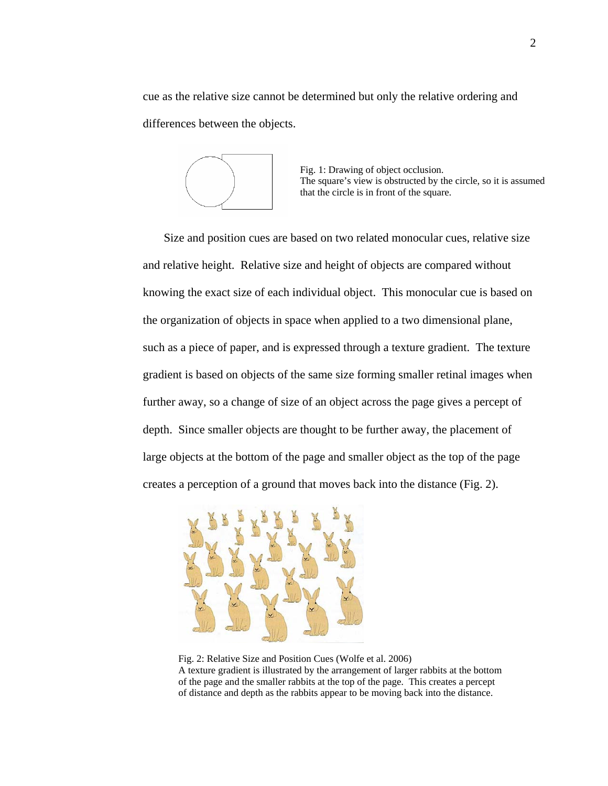cue as the relative size cannot be determined but only the relative ordering and differences between the objects.



Fig. 1: Drawing of object occlusion. The square's view is obstructed by the circle, so it is assumed that the circle is in front of the square.

Size and position cues are based on two related monocular cues, relative size and relative height. Relative size and height of objects are compared without knowing the exact size of each individual object. This monocular cue is based on the organization of objects in space when applied to a two dimensional plane, such as a piece of paper, and is expressed through a texture gradient. The texture gradient is based on objects of the same size forming smaller retinal images when further away, so a change of size of an object across the page gives a percept of depth. Since smaller objects are thought to be further away, the placement of large objects at the bottom of the page and smaller object as the top of the page creates a perception of a ground that moves back into the distance (Fig. 2).



Fig. 2: Relative Size and Position Cues (Wolfe et al. 2006) A texture gradient is illustrated by the arrangement of larger rabbits at the bottom of the page and the smaller rabbits at the top of the page. This creates a percept of distance and depth as the rabbits appear to be moving back into the distance.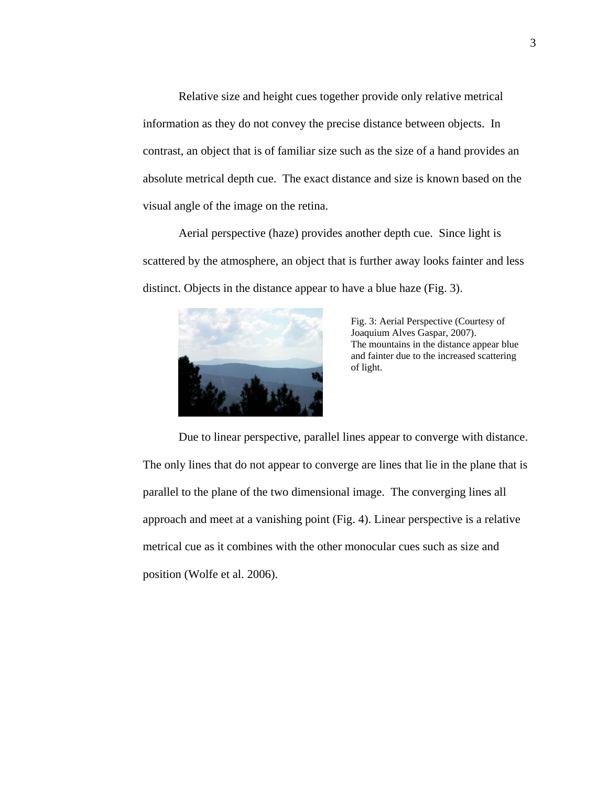Relative size and height cues together provide only relative metrical information as they do not convey the precise distance between objects. In contrast, an object that is of familiar size such as the size of a hand provides an absolute metrical depth cue. The exact distance and size is known based on the visual angle of the image on the retina.

Aerial perspective (haze) provides another depth cue. Since light is scattered by the atmosphere, an object that is further away looks fainter and less distinct. Objects in the distance appear to have a blue haze (Fig. 3).



Fig. 3: Aerial Perspective (Courtesy of Joaquium Alves Gaspar, 2007). The mountains in the distance appear blue and fainter due to the increased scattering of light.

Due to linear perspective, parallel lines appear to converge with distance. The only lines that do not appear to converge are lines that lie in the plane that is parallel to the plane of the two dimensional image. The converging lines all approach and meet at a vanishing point (Fig. 4). Linear perspective is a relative metrical cue as it combines with the other monocular cues such as size and position (Wolfe et al. 2006).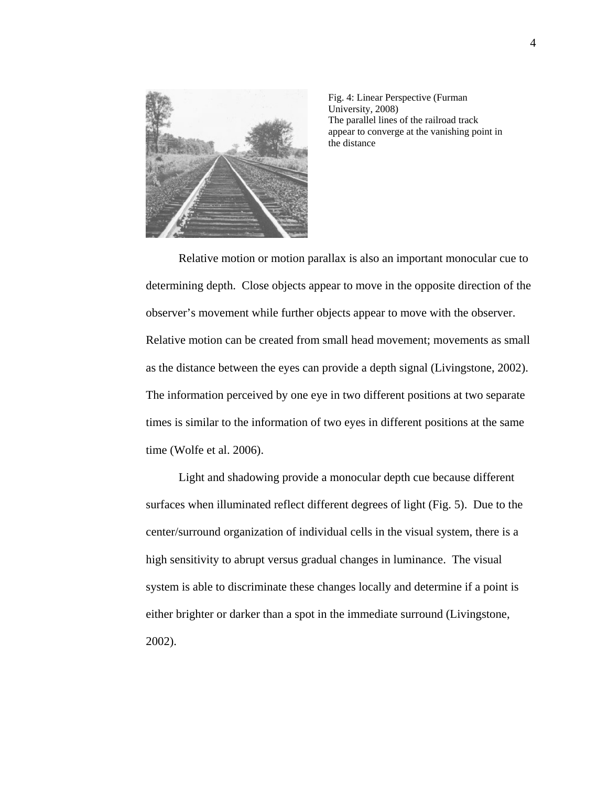

Fig. 4: Linear Perspective (Furman University, 2008) The parallel lines of the railroad track appear to converge at the vanishing point in the distance

 Relative motion or motion parallax is also an important monocular cue to determining depth. Close objects appear to move in the opposite direction of the observer's movement while further objects appear to move with the observer. Relative motion can be created from small head movement; movements as small as the distance between the eyes can provide a depth signal (Livingstone, 2002). The information perceived by one eye in two different positions at two separate times is similar to the information of two eyes in different positions at the same time (Wolfe et al. 2006).

Light and shadowing provide a monocular depth cue because different surfaces when illuminated reflect different degrees of light (Fig. 5). Due to the center/surround organization of individual cells in the visual system, there is a high sensitivity to abrupt versus gradual changes in luminance. The visual system is able to discriminate these changes locally and determine if a point is either brighter or darker than a spot in the immediate surround (Livingstone, 2002).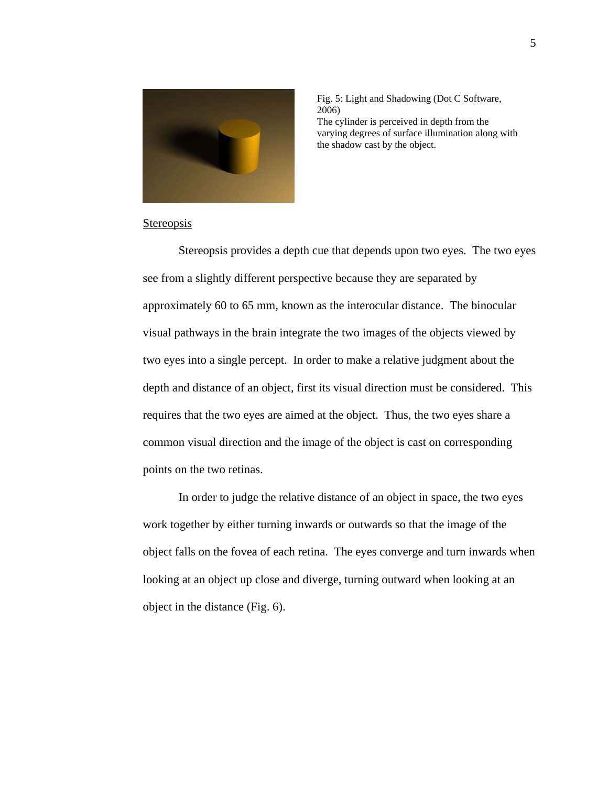

Fig. 5: Light and Shadowing (Dot C Software, 2006) The cylinder is perceived in depth from the varying degrees of surface illumination along with the shadow cast by the object.

## Stereopsis

 Stereopsis provides a depth cue that depends upon two eyes. The two eyes see from a slightly different perspective because they are separated by approximately 60 to 65 mm, known as the interocular distance. The binocular visual pathways in the brain integrate the two images of the objects viewed by two eyes into a single percept. In order to make a relative judgment about the depth and distance of an object, first its visual direction must be considered. This requires that the two eyes are aimed at the object. Thus, the two eyes share a common visual direction and the image of the object is cast on corresponding points on the two retinas.

 In order to judge the relative distance of an object in space, the two eyes work together by either turning inwards or outwards so that the image of the object falls on the fovea of each retina. The eyes converge and turn inwards when looking at an object up close and diverge, turning outward when looking at an object in the distance (Fig. 6).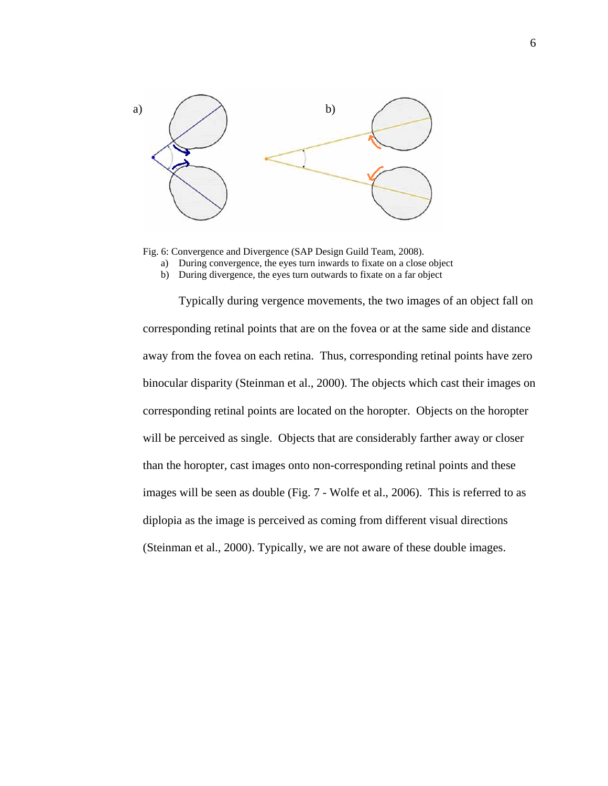

Fig. 6: Convergence and Divergence (SAP Design Guild Team, 2008).

- a) During convergence, the eyes turn inwards to fixate on a close object
- b) During divergence, the eyes turn outwards to fixate on a far object

Typically during vergence movements, the two images of an object fall on corresponding retinal points that are on the fovea or at the same side and distance away from the fovea on each retina. Thus, corresponding retinal points have zero binocular disparity (Steinman et al., 2000). The objects which cast their images on corresponding retinal points are located on the horopter. Objects on the horopter will be perceived as single. Objects that are considerably farther away or closer than the horopter, cast images onto non-corresponding retinal points and these images will be seen as double (Fig. 7 - Wolfe et al., 2006). This is referred to as diplopia as the image is perceived as coming from different visual directions (Steinman et al., 2000). Typically, we are not aware of these double images.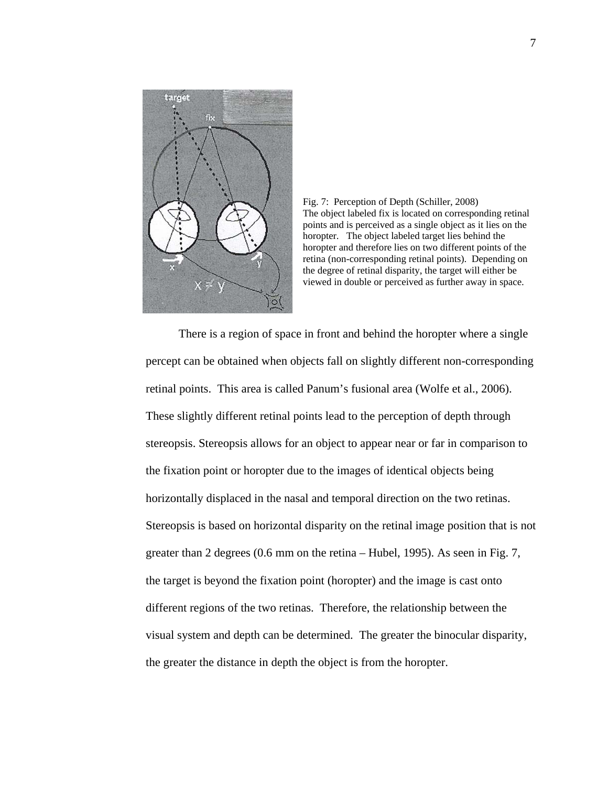



There is a region of space in front and behind the horopter where a single percept can be obtained when objects fall on slightly different non-corresponding retinal points. This area is called Panum's fusional area (Wolfe et al., 2006). These slightly different retinal points lead to the perception of depth through stereopsis. Stereopsis allows for an object to appear near or far in comparison to the fixation point or horopter due to the images of identical objects being horizontally displaced in the nasal and temporal direction on the two retinas. Stereopsis is based on horizontal disparity on the retinal image position that is not greater than 2 degrees (0.6 mm on the retina – Hubel, 1995). As seen in Fig. 7, the target is beyond the fixation point (horopter) and the image is cast onto different regions of the two retinas. Therefore, the relationship between the visual system and depth can be determined. The greater the binocular disparity, the greater the distance in depth the object is from the horopter.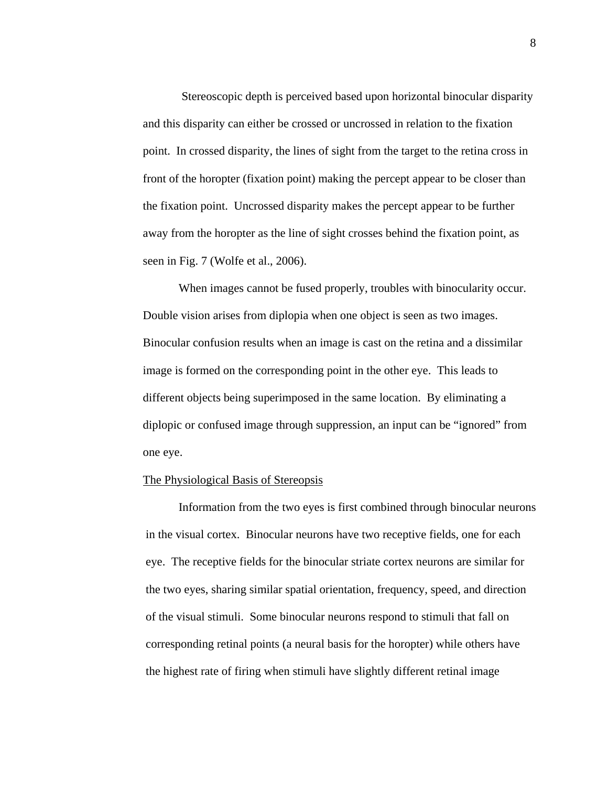Stereoscopic depth is perceived based upon horizontal binocular disparity and this disparity can either be crossed or uncrossed in relation to the fixation point. In crossed disparity, the lines of sight from the target to the retina cross in front of the horopter (fixation point) making the percept appear to be closer than the fixation point. Uncrossed disparity makes the percept appear to be further away from the horopter as the line of sight crosses behind the fixation point, as seen in Fig. 7 (Wolfe et al., 2006).

When images cannot be fused properly, troubles with binocularity occur. Double vision arises from diplopia when one object is seen as two images. Binocular confusion results when an image is cast on the retina and a dissimilar image is formed on the corresponding point in the other eye. This leads to different objects being superimposed in the same location. By eliminating a diplopic or confused image through suppression, an input can be "ignored" from one eye.

#### The Physiological Basis of Stereopsis

Information from the two eyes is first combined through binocular neurons in the visual cortex. Binocular neurons have two receptive fields, one for each eye. The receptive fields for the binocular striate cortex neurons are similar for the two eyes, sharing similar spatial orientation, frequency, speed, and direction of the visual stimuli. Some binocular neurons respond to stimuli that fall on corresponding retinal points (a neural basis for the horopter) while others have the highest rate of firing when stimuli have slightly different retinal image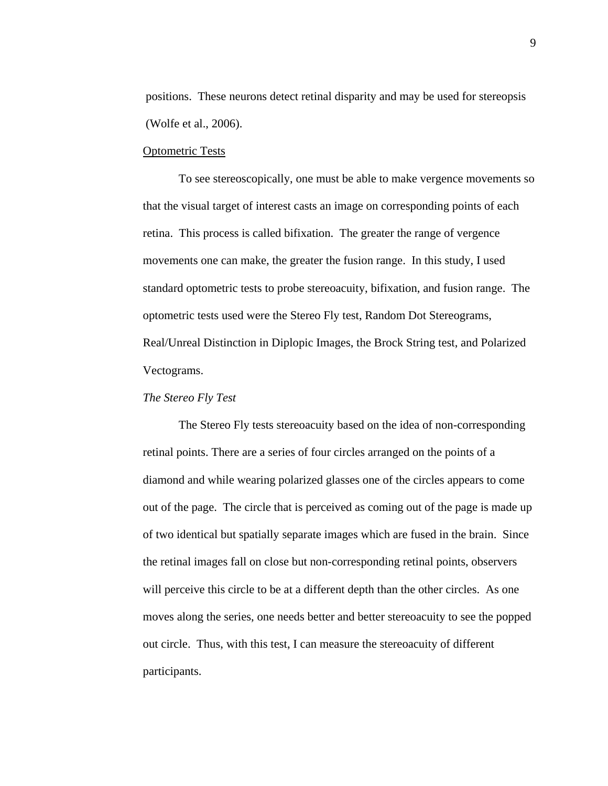positions. These neurons detect retinal disparity and may be used for stereopsis (Wolfe et al., 2006).

#### Optometric Tests

To see stereoscopically, one must be able to make vergence movements so that the visual target of interest casts an image on corresponding points of each retina. This process is called bifixation. The greater the range of vergence movements one can make, the greater the fusion range. In this study, I used standard optometric tests to probe stereoacuity, bifixation, and fusion range. The optometric tests used were the Stereo Fly test, Random Dot Stereograms, Real/Unreal Distinction in Diplopic Images, the Brock String test, and Polarized Vectograms.

## *The Stereo Fly Test*

The Stereo Fly tests stereoacuity based on the idea of non-corresponding retinal points. There are a series of four circles arranged on the points of a diamond and while wearing polarized glasses one of the circles appears to come out of the page. The circle that is perceived as coming out of the page is made up of two identical but spatially separate images which are fused in the brain. Since the retinal images fall on close but non-corresponding retinal points, observers will perceive this circle to be at a different depth than the other circles. As one moves along the series, one needs better and better stereoacuity to see the popped out circle. Thus, with this test, I can measure the stereoacuity of different participants.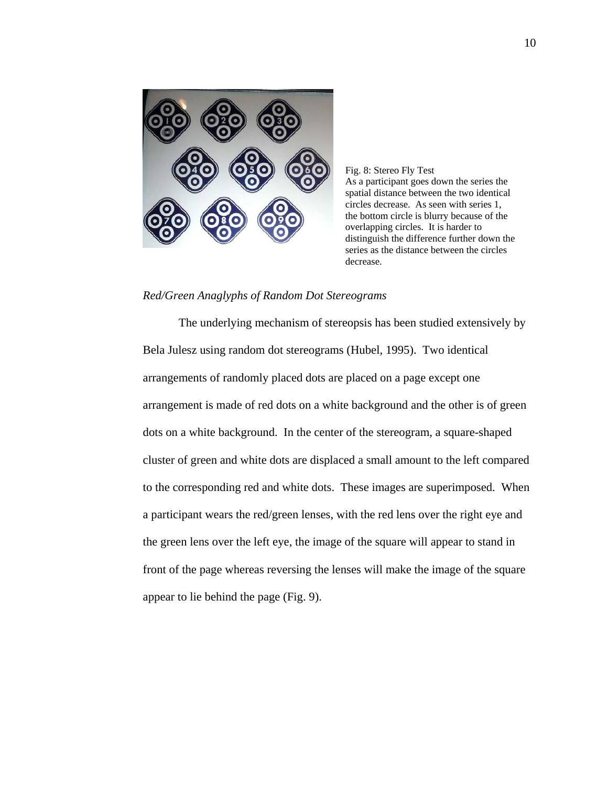

Fig. 8: Stereo Fly Test As a participant goes down the series the spatial distance between the two identical circles decrease. As seen with series 1, the bottom circle is blurry because of the overlapping circles. It is harder to distinguish the difference further down the series as the distance between the circles decrease.

## *Red/Green Anaglyphs of Random Dot Stereograms*

The underlying mechanism of stereopsis has been studied extensively by Bela Julesz using random dot stereograms (Hubel, 1995). Two identical arrangements of randomly placed dots are placed on a page except one arrangement is made of red dots on a white background and the other is of green dots on a white background. In the center of the stereogram, a square-shaped cluster of green and white dots are displaced a small amount to the left compared to the corresponding red and white dots. These images are superimposed. When a participant wears the red/green lenses, with the red lens over the right eye and the green lens over the left eye, the image of the square will appear to stand in front of the page whereas reversing the lenses will make the image of the square appear to lie behind the page (Fig. 9).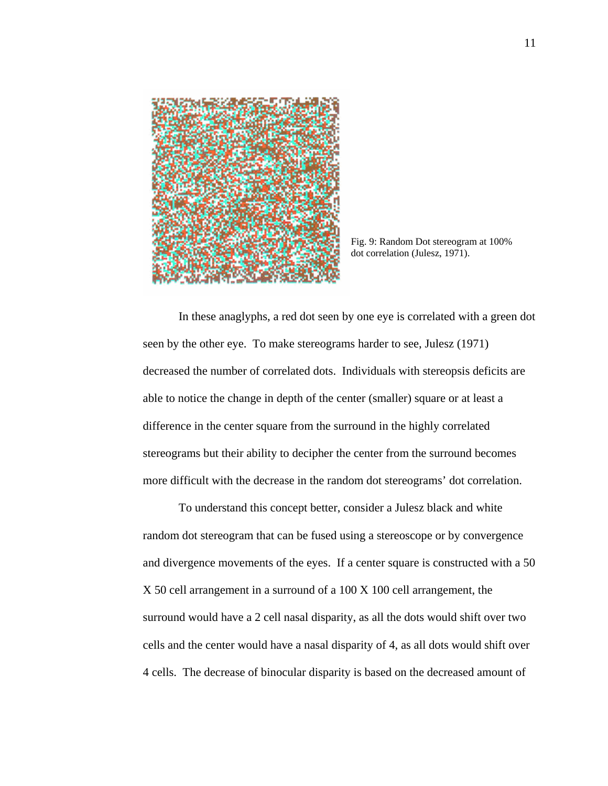

Fig. 9: Random Dot stereogram at 100% dot correlation (Julesz, 1971).

In these anaglyphs, a red dot seen by one eye is correlated with a green dot seen by the other eye. To make stereograms harder to see, Julesz (1971) decreased the number of correlated dots. Individuals with stereopsis deficits are able to notice the change in depth of the center (smaller) square or at least a difference in the center square from the surround in the highly correlated stereograms but their ability to decipher the center from the surround becomes more difficult with the decrease in the random dot stereograms' dot correlation.

To understand this concept better, consider a Julesz black and white random dot stereogram that can be fused using a stereoscope or by convergence and divergence movements of the eyes. If a center square is constructed with a 50 X 50 cell arrangement in a surround of a 100 X 100 cell arrangement, the surround would have a 2 cell nasal disparity, as all the dots would shift over two cells and the center would have a nasal disparity of 4, as all dots would shift over 4 cells. The decrease of binocular disparity is based on the decreased amount of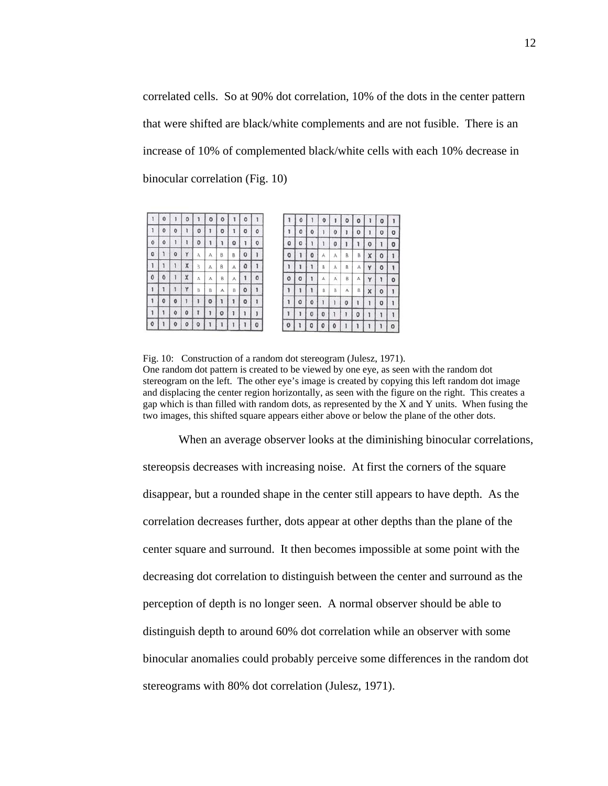correlated cells. So at 90% dot correlation, 10% of the dots in the center pattern that were shifted are black/white complements and are not fusible. There is an increase of 10% of complemented black/white cells with each 10% decrease in binocular correlation (Fig. 10)

|                   | o        |          | o |                | o | o              |        | u           |         |              | υ |              | u |   | u | o |   | o           |
|-------------------|----------|----------|---|----------------|---|----------------|--------|-------------|---------|--------------|---|--------------|---|---|---|---|---|-------------|
| ı                 | $\bf{0}$ | O        |   | ٥              |   | O              |        | $\mathbf 0$ | 0       | 1            | 0 | 0            |   | o |   | o |   | $\circ$     |
| $\ddot{\text{o}}$ | Ō        |          |   | 0              |   | ı              | 0      |             | 0       | 0            | ٥ |              |   | o |   |   | 0 |             |
| o                 |          | $\circ$  | Y | Α              | А | ₿              | B      | 0           |         | 0            |   | ٥            | А | А | B | B | X | 0           |
|                   |          |          | X | 3              | А | B              | A      | o           | 1       | 1            |   |              | B | Ä | B | А | Ÿ | 0           |
| 0                 | 0        |          | X | A              | Α | $\overline{B}$ | w<br>А |             | $\circ$ | $\mathbf{o}$ | o |              | А | Ä | B | А | Y |             |
|                   |          |          | Y | $\overline{3}$ | В | A              | B      | 0           | 1       | ۱            |   |              | B | В | А | B | X | $\mathbf 0$ |
|                   | o        | o        |   | з              | 0 | 1              |        | 0           | 1       | 1            | 0 | 0            |   |   | o |   | ĭ | $\circ$     |
|                   |          | $\bf{0}$ | 0 |                |   | 0              |        |             | ĵ       | 1            |   | $\mathbf{o}$ | 0 |   |   | 0 | ı |             |
| ô                 |          | o        | o |                |   |                |        |             | ٥       | $\mathbf{o}$ |   | ο            | ٥ | o |   |   |   |             |

Fig. 10: Construction of a random dot stereogram (Julesz, 1971). One random dot pattern is created to be viewed by one eye, as seen with the random dot stereogram on the left. The other eye's image is created by copying this left random dot image and displacing the center region horizontally, as seen with the figure on the right. This creates a gap which is than filled with random dots, as represented by the X and Y units. When fusing the two images, this shifted square appears either above or below the plane of the other dots.

When an average observer looks at the diminishing binocular correlations, stereopsis decreases with increasing noise. At first the corners of the square disappear, but a rounded shape in the center still appears to have depth. As the correlation decreases further, dots appear at other depths than the plane of the center square and surround. It then becomes impossible at some point with the decreasing dot correlation to distinguish between the center and surround as the perception of depth is no longer seen. A normal observer should be able to distinguish depth to around 60% dot correlation while an observer with some binocular anomalies could probably perceive some differences in the random dot stereograms with 80% dot correlation (Julesz, 1971).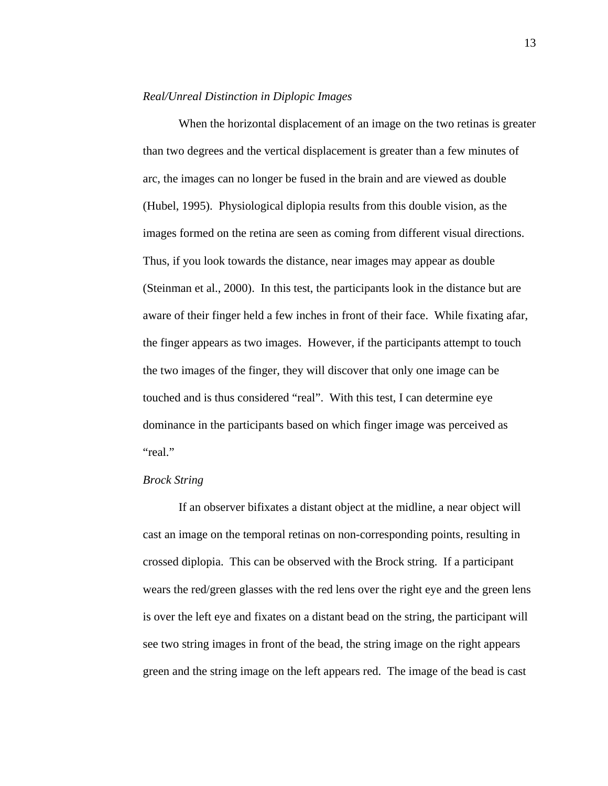#### *Real/Unreal Distinction in Diplopic Images*

When the horizontal displacement of an image on the two retinas is greater than two degrees and the vertical displacement is greater than a few minutes of arc, the images can no longer be fused in the brain and are viewed as double (Hubel, 1995). Physiological diplopia results from this double vision, as the images formed on the retina are seen as coming from different visual directions. Thus, if you look towards the distance, near images may appear as double (Steinman et al., 2000). In this test, the participants look in the distance but are aware of their finger held a few inches in front of their face. While fixating afar, the finger appears as two images. However, if the participants attempt to touch the two images of the finger, they will discover that only one image can be touched and is thus considered "real". With this test, I can determine eye dominance in the participants based on which finger image was perceived as "real."

### *Brock String*

If an observer bifixates a distant object at the midline, a near object will cast an image on the temporal retinas on non-corresponding points, resulting in crossed diplopia. This can be observed with the Brock string. If a participant wears the red/green glasses with the red lens over the right eye and the green lens is over the left eye and fixates on a distant bead on the string, the participant will see two string images in front of the bead, the string image on the right appears green and the string image on the left appears red. The image of the bead is cast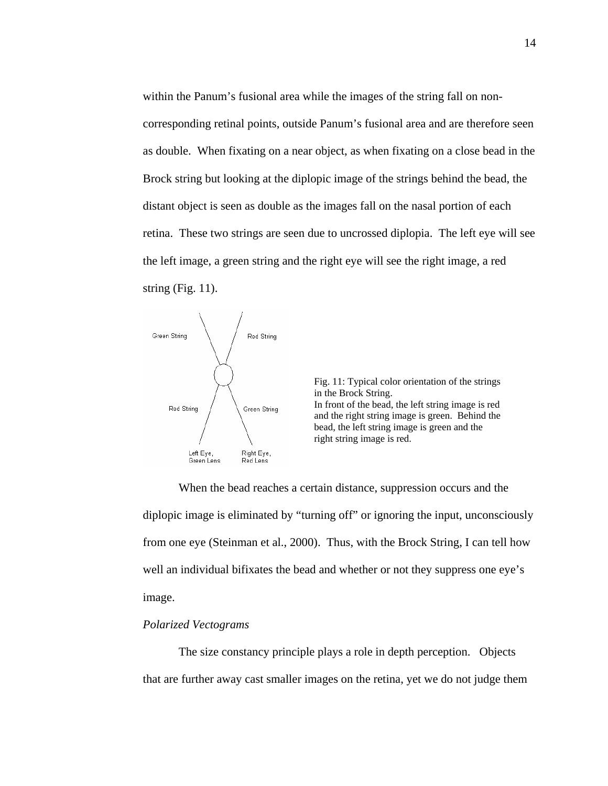within the Panum's fusional area while the images of the string fall on noncorresponding retinal points, outside Panum's fusional area and are therefore seen as double. When fixating on a near object, as when fixating on a close bead in the Brock string but looking at the diplopic image of the strings behind the bead, the distant object is seen as double as the images fall on the nasal portion of each retina. These two strings are seen due to uncrossed diplopia. The left eye will see the left image, a green string and the right eye will see the right image, a red string (Fig. 11).



Fig. 11: Typical color orientation of the strings in the Brock String. In front of the bead, the left string image is red and the right string image is green. Behind the bead, the left string image is green and the right string image is red.

When the bead reaches a certain distance, suppression occurs and the diplopic image is eliminated by "turning off" or ignoring the input, unconsciously from one eye (Steinman et al., 2000). Thus, with the Brock String, I can tell how well an individual bifixates the bead and whether or not they suppress one eye's image.

#### *Polarized Vectograms*

The size constancy principle plays a role in depth perception. Objects that are further away cast smaller images on the retina, yet we do not judge them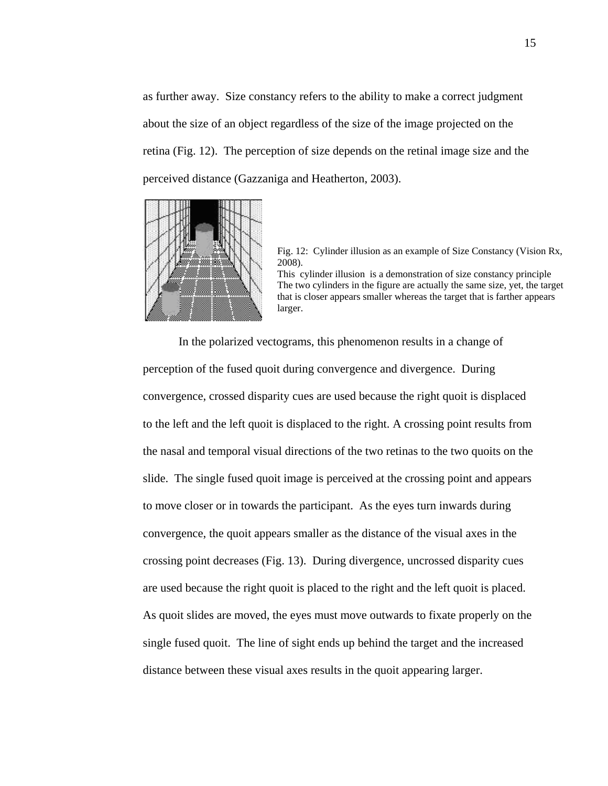as further away. Size constancy refers to the ability to make a correct judgment about the size of an object regardless of the size of the image projected on the retina (Fig. 12). The perception of size depends on the retinal image size and the perceived distance (Gazzaniga and Heatherton, 2003).



Fig. 12: Cylinder illusion as an example of Size Constancy (Vision Rx, 2008). This cylinder illusion is a demonstration of size constancy principle

The two cylinders in the figure are actually the same size, yet, the target that is closer appears smaller whereas the target that is farther appears larger.

In the polarized vectograms, this phenomenon results in a change of perception of the fused quoit during convergence and divergence. During convergence, crossed disparity cues are used because the right quoit is displaced to the left and the left quoit is displaced to the right. A crossing point results from the nasal and temporal visual directions of the two retinas to the two quoits on the slide. The single fused quoit image is perceived at the crossing point and appears to move closer or in towards the participant. As the eyes turn inwards during convergence, the quoit appears smaller as the distance of the visual axes in the crossing point decreases (Fig. 13). During divergence, uncrossed disparity cues are used because the right quoit is placed to the right and the left quoit is placed. As quoit slides are moved, the eyes must move outwards to fixate properly on the single fused quoit. The line of sight ends up behind the target and the increased distance between these visual axes results in the quoit appearing larger.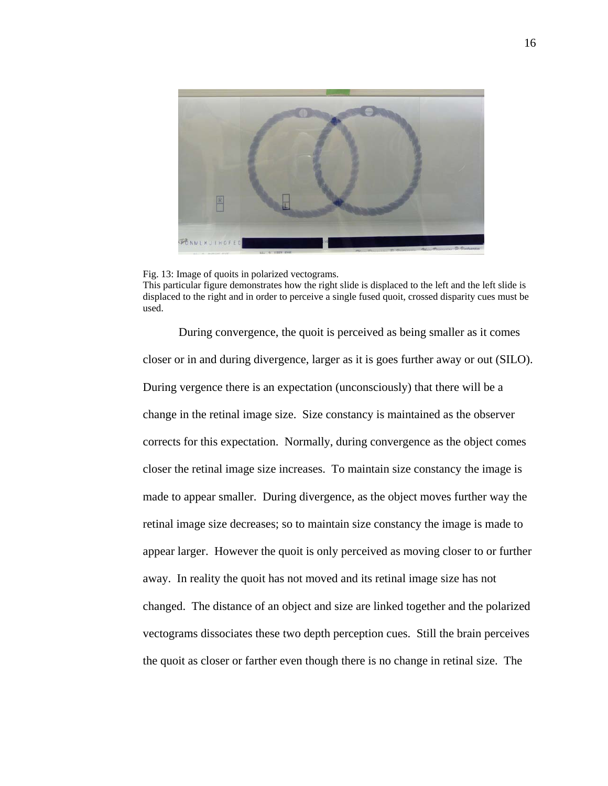

Fig. 13: Image of quoits in polarized vectograms. This particular figure demonstrates how the right slide is displaced to the left and the left slide is displaced to the right and in order to perceive a single fused quoit, crossed disparity cues must be used.

During convergence, the quoit is perceived as being smaller as it comes closer or in and during divergence, larger as it is goes further away or out (SILO). During vergence there is an expectation (unconsciously) that there will be a change in the retinal image size. Size constancy is maintained as the observer corrects for this expectation. Normally, during convergence as the object comes closer the retinal image size increases. To maintain size constancy the image is made to appear smaller. During divergence, as the object moves further way the retinal image size decreases; so to maintain size constancy the image is made to appear larger. However the quoit is only perceived as moving closer to or further away. In reality the quoit has not moved and its retinal image size has not changed. The distance of an object and size are linked together and the polarized vectograms dissociates these two depth perception cues. Still the brain perceives the quoit as closer or farther even though there is no change in retinal size. The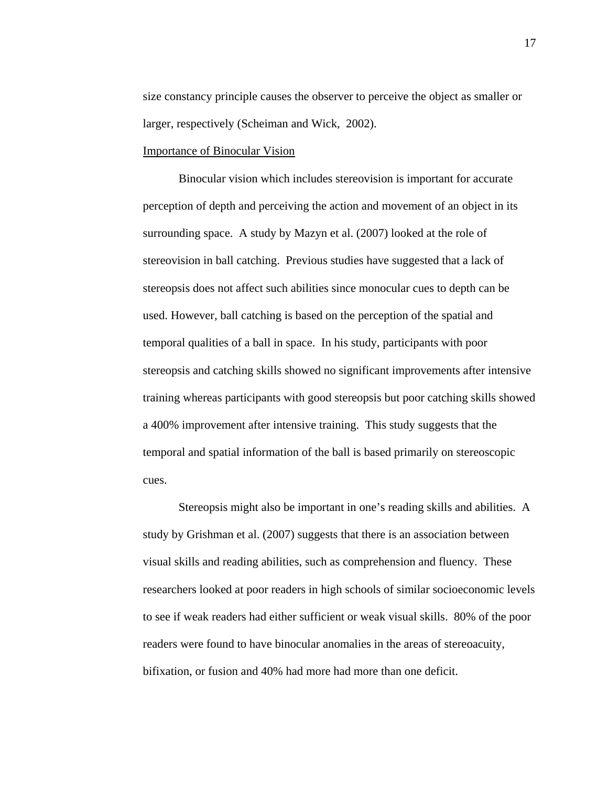size constancy principle causes the observer to perceive the object as smaller or larger, respectively (Scheiman and Wick, 2002).

#### Importance of Binocular Vision

 Binocular vision which includes stereovision is important for accurate perception of depth and perceiving the action and movement of an object in its surrounding space. A study by Mazyn et al. (2007) looked at the role of stereovision in ball catching. Previous studies have suggested that a lack of stereopsis does not affect such abilities since monocular cues to depth can be used. However, ball catching is based on the perception of the spatial and temporal qualities of a ball in space. In his study, participants with poor stereopsis and catching skills showed no significant improvements after intensive training whereas participants with good stereopsis but poor catching skills showed a 400% improvement after intensive training. This study suggests that the temporal and spatial information of the ball is based primarily on stereoscopic cues.

 Stereopsis might also be important in one's reading skills and abilities. A study by Grishman et al. (2007) suggests that there is an association between visual skills and reading abilities, such as comprehension and fluency. These researchers looked at poor readers in high schools of similar socioeconomic levels to see if weak readers had either sufficient or weak visual skills. 80% of the poor readers were found to have binocular anomalies in the areas of stereoacuity, bifixation, or fusion and 40% had more had more than one deficit.

17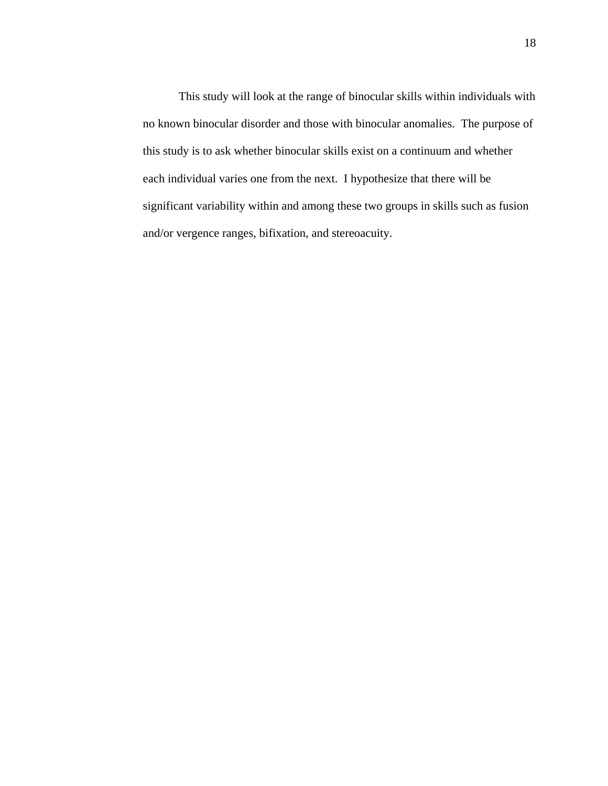This study will look at the range of binocular skills within individuals with no known binocular disorder and those with binocular anomalies. The purpose of this study is to ask whether binocular skills exist on a continuum and whether each individual varies one from the next. I hypothesize that there will be significant variability within and among these two groups in skills such as fusion and/or vergence ranges, bifixation, and stereoacuity.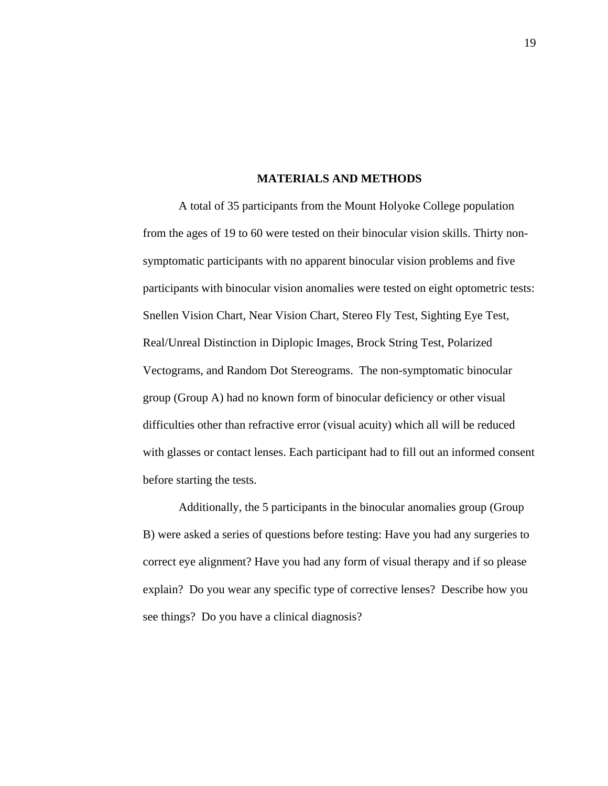#### **MATERIALS AND METHODS**

 A total of 35 participants from the Mount Holyoke College population from the ages of 19 to 60 were tested on their binocular vision skills. Thirty nonsymptomatic participants with no apparent binocular vision problems and five participants with binocular vision anomalies were tested on eight optometric tests: Snellen Vision Chart, Near Vision Chart, Stereo Fly Test, Sighting Eye Test, Real/Unreal Distinction in Diplopic Images, Brock String Test, Polarized Vectograms, and Random Dot Stereograms. The non-symptomatic binocular group (Group A) had no known form of binocular deficiency or other visual difficulties other than refractive error (visual acuity) which all will be reduced with glasses or contact lenses. Each participant had to fill out an informed consent before starting the tests.

 Additionally, the 5 participants in the binocular anomalies group (Group B) were asked a series of questions before testing: Have you had any surgeries to correct eye alignment? Have you had any form of visual therapy and if so please explain? Do you wear any specific type of corrective lenses? Describe how you see things? Do you have a clinical diagnosis?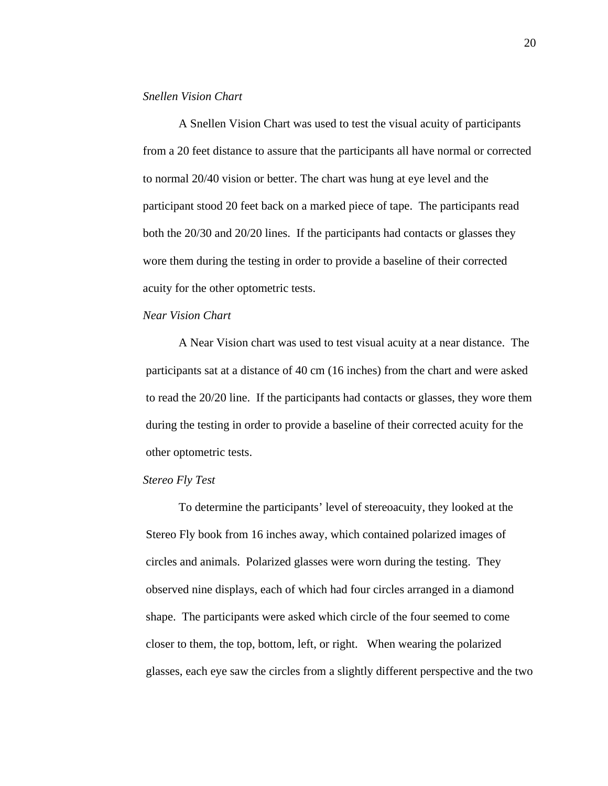#### *Snellen Vision Chart*

A Snellen Vision Chart was used to test the visual acuity of participants from a 20 feet distance to assure that the participants all have normal or corrected to normal 20/40 vision or better. The chart was hung at eye level and the participant stood 20 feet back on a marked piece of tape. The participants read both the 20/30 and 20/20 lines. If the participants had contacts or glasses they wore them during the testing in order to provide a baseline of their corrected acuity for the other optometric tests.

#### *Near Vision Chart*

A Near Vision chart was used to test visual acuity at a near distance. The participants sat at a distance of 40 cm (16 inches) from the chart and were asked to read the 20/20 line. If the participants had contacts or glasses, they wore them during the testing in order to provide a baseline of their corrected acuity for the other optometric tests.

### *Stereo Fly Test*

To determine the participants' level of stereoacuity, they looked at the Stereo Fly book from 16 inches away, which contained polarized images of circles and animals. Polarized glasses were worn during the testing. They observed nine displays, each of which had four circles arranged in a diamond shape. The participants were asked which circle of the four seemed to come closer to them, the top, bottom, left, or right. When wearing the polarized glasses, each eye saw the circles from a slightly different perspective and the two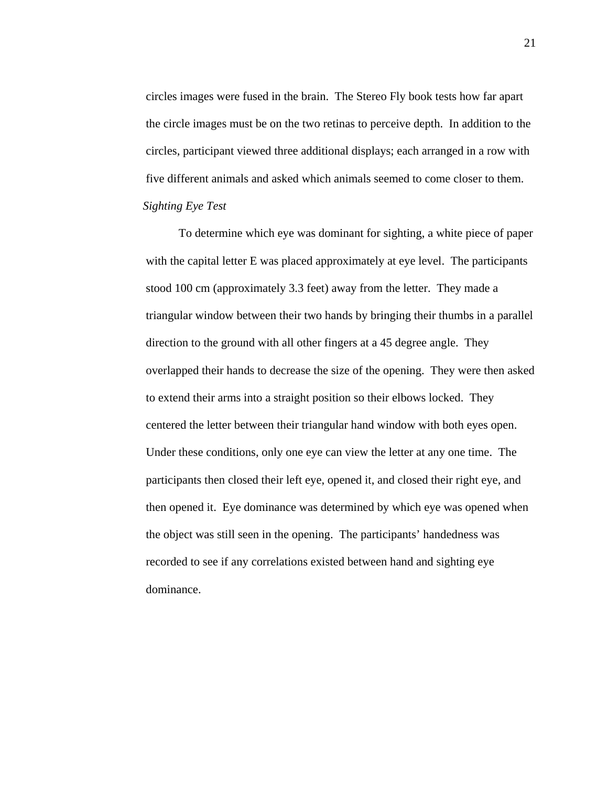circles images were fused in the brain. The Stereo Fly book tests how far apart the circle images must be on the two retinas to perceive depth. In addition to the circles, participant viewed three additional displays; each arranged in a row with five different animals and asked which animals seemed to come closer to them. *Sighting Eye Test*

To determine which eye was dominant for sighting, a white piece of paper with the capital letter E was placed approximately at eye level. The participants stood 100 cm (approximately 3.3 feet) away from the letter. They made a triangular window between their two hands by bringing their thumbs in a parallel direction to the ground with all other fingers at a 45 degree angle. They overlapped their hands to decrease the size of the opening. They were then asked to extend their arms into a straight position so their elbows locked. They centered the letter between their triangular hand window with both eyes open. Under these conditions, only one eye can view the letter at any one time. The participants then closed their left eye, opened it, and closed their right eye, and then opened it. Eye dominance was determined by which eye was opened when the object was still seen in the opening. The participants' handedness was recorded to see if any correlations existed between hand and sighting eye dominance.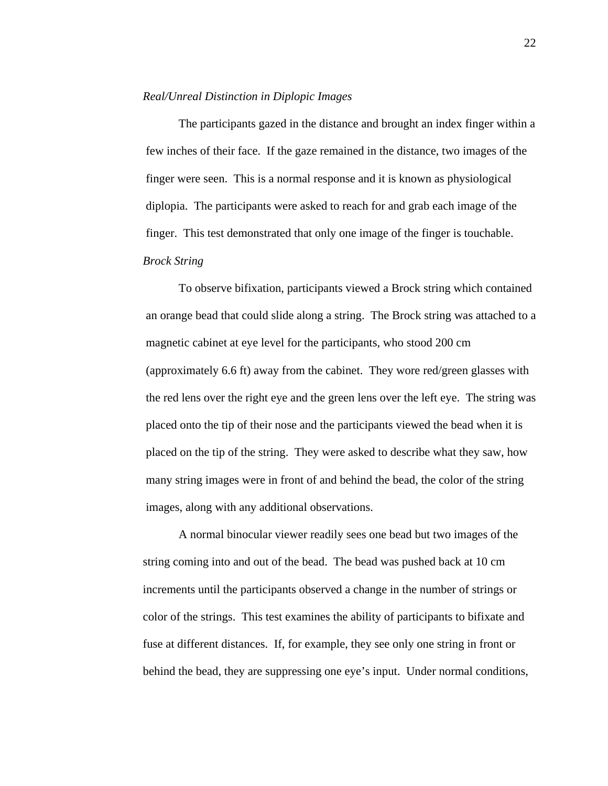#### *Real/Unreal Distinction in Diplopic Images*

The participants gazed in the distance and brought an index finger within a few inches of their face. If the gaze remained in the distance, two images of the finger were seen. This is a normal response and it is known as physiological diplopia. The participants were asked to reach for and grab each image of the finger. This test demonstrated that only one image of the finger is touchable. *Brock String*

To observe bifixation, participants viewed a Brock string which contained an orange bead that could slide along a string. The Brock string was attached to a magnetic cabinet at eye level for the participants, who stood 200 cm (approximately 6.6 ft) away from the cabinet. They wore red/green glasses with the red lens over the right eye and the green lens over the left eye. The string was placed onto the tip of their nose and the participants viewed the bead when it is placed on the tip of the string. They were asked to describe what they saw, how many string images were in front of and behind the bead, the color of the string images, along with any additional observations.

A normal binocular viewer readily sees one bead but two images of the string coming into and out of the bead. The bead was pushed back at 10 cm increments until the participants observed a change in the number of strings or color of the strings. This test examines the ability of participants to bifixate and fuse at different distances. If, for example, they see only one string in front or behind the bead, they are suppressing one eye's input. Under normal conditions,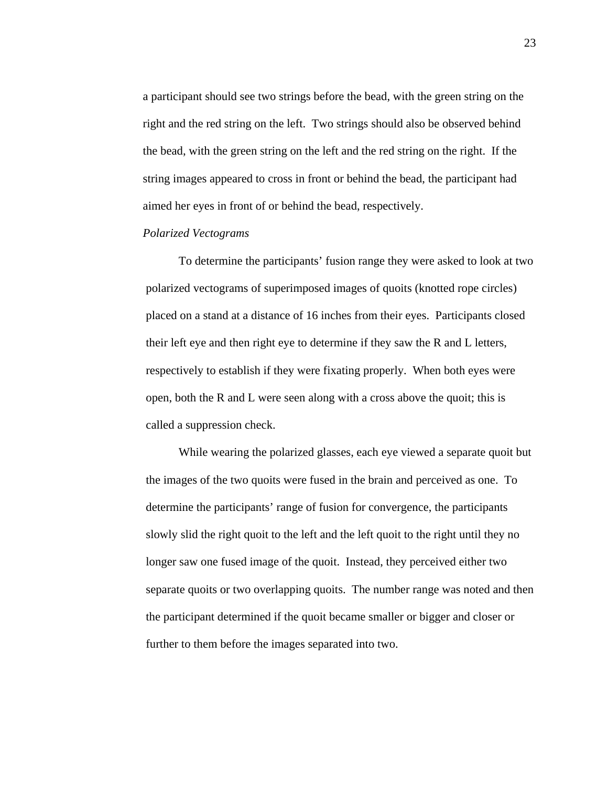a participant should see two strings before the bead, with the green string on the right and the red string on the left. Two strings should also be observed behind the bead, with the green string on the left and the red string on the right. If the string images appeared to cross in front or behind the bead, the participant had aimed her eyes in front of or behind the bead, respectively.

## *Polarized Vectograms*

To determine the participants' fusion range they were asked to look at two polarized vectograms of superimposed images of quoits (knotted rope circles) placed on a stand at a distance of 16 inches from their eyes. Participants closed their left eye and then right eye to determine if they saw the R and L letters, respectively to establish if they were fixating properly. When both eyes were open, both the R and L were seen along with a cross above the quoit; this is called a suppression check.

While wearing the polarized glasses, each eye viewed a separate quoit but the images of the two quoits were fused in the brain and perceived as one. To determine the participants' range of fusion for convergence, the participants slowly slid the right quoit to the left and the left quoit to the right until they no longer saw one fused image of the quoit. Instead, they perceived either two separate quoits or two overlapping quoits. The number range was noted and then the participant determined if the quoit became smaller or bigger and closer or further to them before the images separated into two.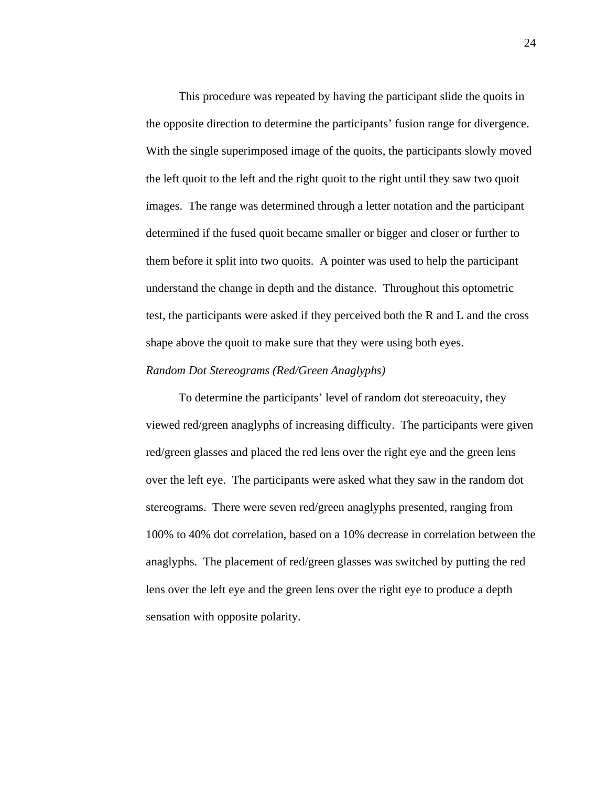This procedure was repeated by having the participant slide the quoits in the opposite direction to determine the participants' fusion range for divergence. With the single superimposed image of the quoits, the participants slowly moved the left quoit to the left and the right quoit to the right until they saw two quoit images. The range was determined through a letter notation and the participant determined if the fused quoit became smaller or bigger and closer or further to them before it split into two quoits. A pointer was used to help the participant understand the change in depth and the distance. Throughout this optometric test, the participants were asked if they perceived both the R and L and the cross shape above the quoit to make sure that they were using both eyes.

## *Random Dot Stereograms (Red/Green Anaglyphs)*

To determine the participants' level of random dot stereoacuity, they viewed red/green anaglyphs of increasing difficulty. The participants were given red/green glasses and placed the red lens over the right eye and the green lens over the left eye. The participants were asked what they saw in the random dot stereograms. There were seven red/green anaglyphs presented, ranging from 100% to 40% dot correlation, based on a 10% decrease in correlation between the anaglyphs. The placement of red/green glasses was switched by putting the red lens over the left eye and the green lens over the right eye to produce a depth sensation with opposite polarity.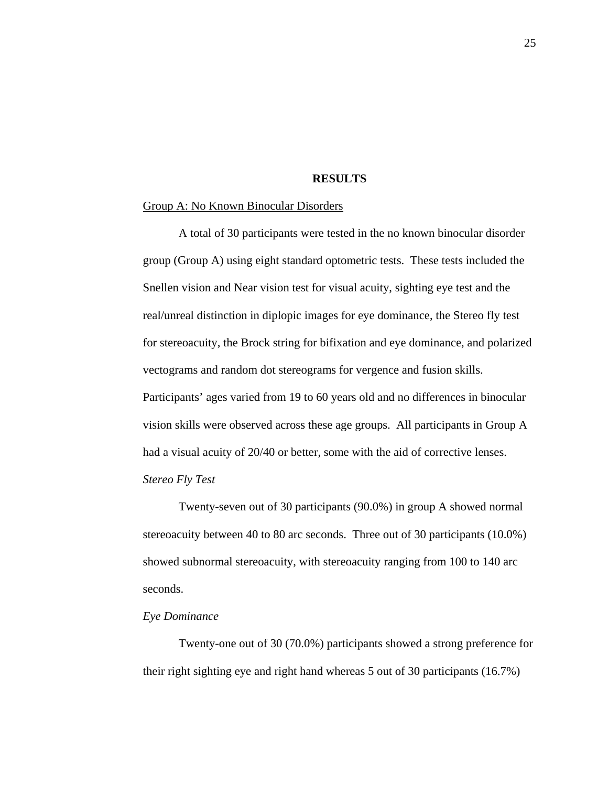#### **RESULTS**

#### Group A: No Known Binocular Disorders

A total of 30 participants were tested in the no known binocular disorder group (Group A) using eight standard optometric tests. These tests included the Snellen vision and Near vision test for visual acuity, sighting eye test and the real/unreal distinction in diplopic images for eye dominance, the Stereo fly test for stereoacuity, the Brock string for bifixation and eye dominance, and polarized vectograms and random dot stereograms for vergence and fusion skills. Participants' ages varied from 19 to 60 years old and no differences in binocular vision skills were observed across these age groups. All participants in Group A had a visual acuity of 20/40 or better, some with the aid of corrective lenses. *Stereo Fly Test* 

Twenty-seven out of 30 participants (90.0%) in group A showed normal stereoacuity between 40 to 80 arc seconds. Three out of 30 participants (10.0%) showed subnormal stereoacuity, with stereoacuity ranging from 100 to 140 arc seconds.

## *Eye Dominance*

Twenty-one out of 30 (70.0%) participants showed a strong preference for their right sighting eye and right hand whereas 5 out of 30 participants (16.7%)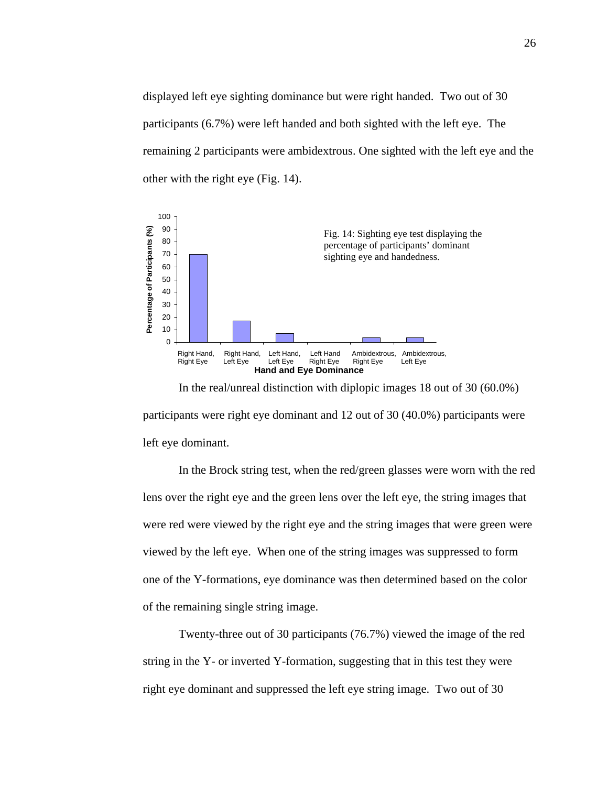displayed left eye sighting dominance but were right handed. Two out of 30 participants (6.7%) were left handed and both sighted with the left eye. The remaining 2 participants were ambidextrous. One sighted with the left eye and the other with the right eye (Fig. 14).



In the real/unreal distinction with diplopic images 18 out of 30 (60.0%) participants were right eye dominant and 12 out of 30 (40.0%) participants were left eye dominant.

 In the Brock string test, when the red/green glasses were worn with the red lens over the right eye and the green lens over the left eye, the string images that were red were viewed by the right eye and the string images that were green were viewed by the left eye. When one of the string images was suppressed to form one of the Y-formations, eye dominance was then determined based on the color of the remaining single string image.

 Twenty-three out of 30 participants (76.7%) viewed the image of the red string in the Y- or inverted Y-formation, suggesting that in this test they were right eye dominant and suppressed the left eye string image. Two out of 30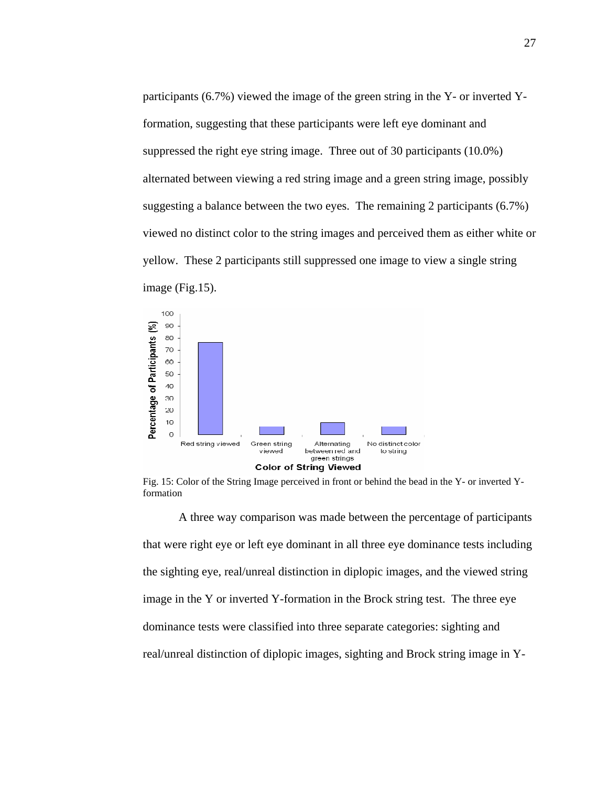participants (6.7%) viewed the image of the green string in the Y- or inverted Yformation, suggesting that these participants were left eye dominant and suppressed the right eye string image. Three out of 30 participants (10.0%) alternated between viewing a red string image and a green string image, possibly suggesting a balance between the two eyes. The remaining 2 participants (6.7%) viewed no distinct color to the string images and perceived them as either white or yellow. These 2 participants still suppressed one image to view a single string image (Fig.15).



Fig. 15: Color of the String Image perceived in front or behind the bead in the Y- or inverted Yformation

 A three way comparison was made between the percentage of participants that were right eye or left eye dominant in all three eye dominance tests including the sighting eye, real/unreal distinction in diplopic images, and the viewed string image in the Y or inverted Y-formation in the Brock string test. The three eye dominance tests were classified into three separate categories: sighting and real/unreal distinction of diplopic images, sighting and Brock string image in Y-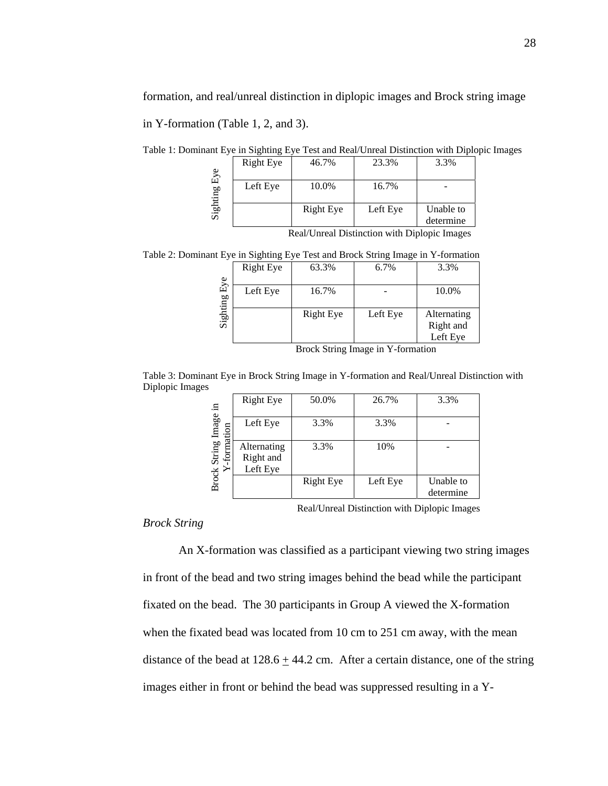formation, and real/unreal distinction in diplopic images and Brock string image

in Y-formation (Table 1, 2, and 3).

Table 1: Dominant Eye in Sighting Eye Test and Real/Unreal Distinction with Diplopic Images

| Eye   | <b>Right Eye</b> | 46.7%     | 23.3%    | 3.3%                   |
|-------|------------------|-----------|----------|------------------------|
| uting | Left Eye         | 10.0%     | 16.7%    |                        |
| Sigh  |                  | Right Eye | Left Eye | Unable to<br>determine |

Real/Unreal Distinction with Diplopic Images

Table 2: Dominant Eye in Sighting Eye Test and Brock String Image in Y-formation

|             | <b>Right Eye</b> | 63.3%            | 6.7%     | 3.3%                                 |
|-------------|------------------|------------------|----------|--------------------------------------|
| ${\rm Eyc}$ | Left Eye         | 16.7%            |          | 10.0%                                |
| Sighting    |                  | <b>Right Eye</b> | Left Eye | Alternating<br>Right and<br>Left Eye |

Brock String Image in Y-formation

Table 3: Dominant Eye in Brock String Image in Y-formation and Real/Unreal Distinction with Diplopic Images

|                                     | <b>Right Eye</b>                     | 50.0%            | 26.7%    | 3.3%                   |
|-------------------------------------|--------------------------------------|------------------|----------|------------------------|
| String Image in<br>mation<br>$f$ or | Left Eye                             | 3.3%             | 3.3%     |                        |
|                                     | Alternating<br>Right and<br>Left Eye | 3.3%             | 10%      |                        |
| Brock:                              |                                      | <b>Right Eye</b> | Left Eye | Unable to<br>determine |

Real/Unreal Distinction with Diplopic Images

*Brock String* 

 An X-formation was classified as a participant viewing two string images in front of the bead and two string images behind the bead while the participant fixated on the bead. The 30 participants in Group A viewed the X-formation when the fixated bead was located from 10 cm to 251 cm away, with the mean distance of the bead at  $128.6 \pm 44.2$  cm. After a certain distance, one of the string Either in Fight Fight Eye (1978)<br>
Fight Pige Left Eye Unable to<br>
Real/Unreal Distinction with Diplopic Images<br>
Table 2: Dominant Eye in Sighting Eye Test and Breek String Image in Y-formation<br>
Eight Eye 16.7% 10.0%<br>
Eight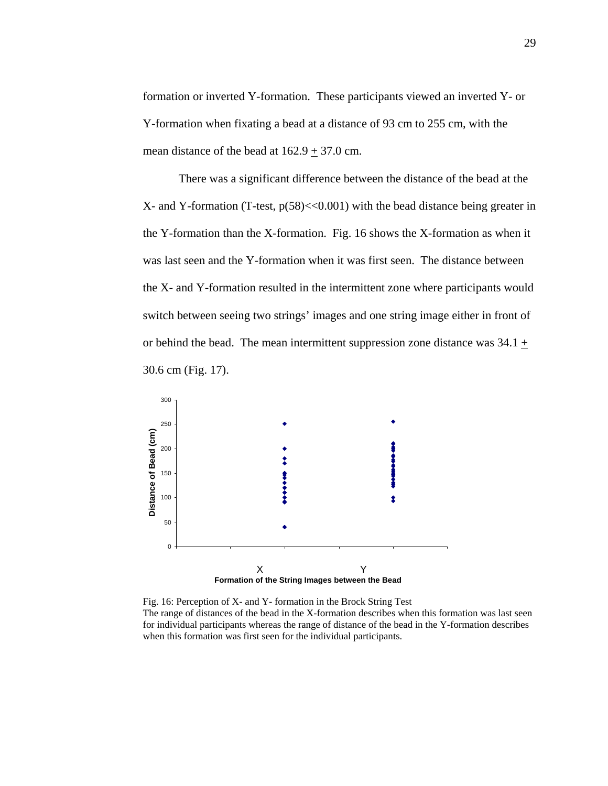formation or inverted Y-formation. These participants viewed an inverted Y- or Y-formation when fixating a bead at a distance of 93 cm to 255 cm, with the mean distance of the bead at  $162.9 \pm 37.0$  cm.

There was a significant difference between the distance of the bead at the  $X$ - and Y-formation (T-test,  $p(58) \ll 0.001$ ) with the bead distance being greater in the Y-formation than the X-formation. Fig. 16 shows the X-formation as when it was last seen and the Y-formation when it was first seen. The distance between the X- and Y-formation resulted in the intermittent zone where participants would switch between seeing two strings' images and one string image either in front of or behind the bead. The mean intermittent suppression zone distance was  $34.1 \pm$ 30.6 cm (Fig. 17).



Fig. 16: Perception of X- and Y- formation in the Brock String Test The range of distances of the bead in the X-formation describes when this formation was last seen for individual participants whereas the range of distance of the bead in the Y-formation describes when this formation was first seen for the individual participants.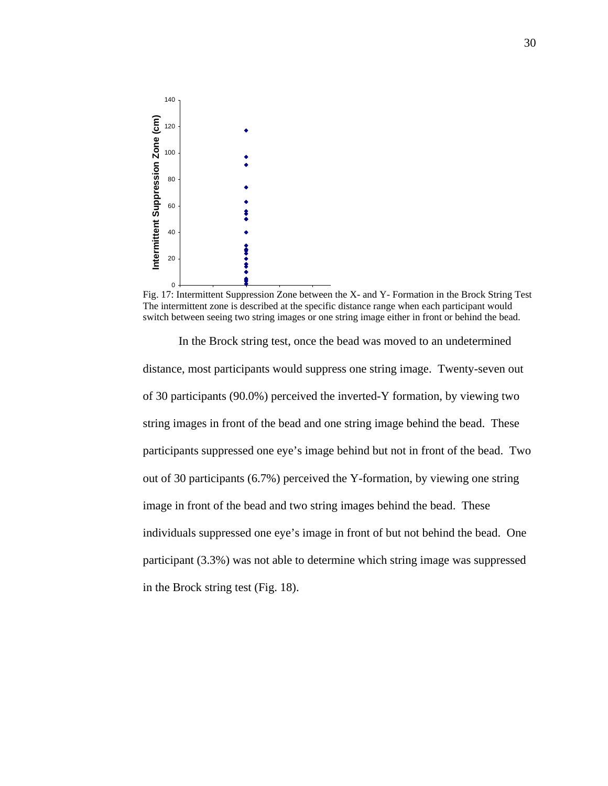

Fig. 17: Intermittent Suppression Zone between the X- and Y- Formation in the Brock String Test The intermittent zone is described at the specific distance range when each participant would switch between seeing two string images or one string image either in front or behind the bead.

 In the Brock string test, once the bead was moved to an undetermined distance, most participants would suppress one string image. Twenty-seven out of 30 participants (90.0%) perceived the inverted-Y formation, by viewing two string images in front of the bead and one string image behind the bead. These participants suppressed one eye's image behind but not in front of the bead. Two out of 30 participants (6.7%) perceived the Y-formation, by viewing one string image in front of the bead and two string images behind the bead. These individuals suppressed one eye's image in front of but not behind the bead. One participant (3.3%) was not able to determine which string image was suppressed in the Brock string test (Fig. 18).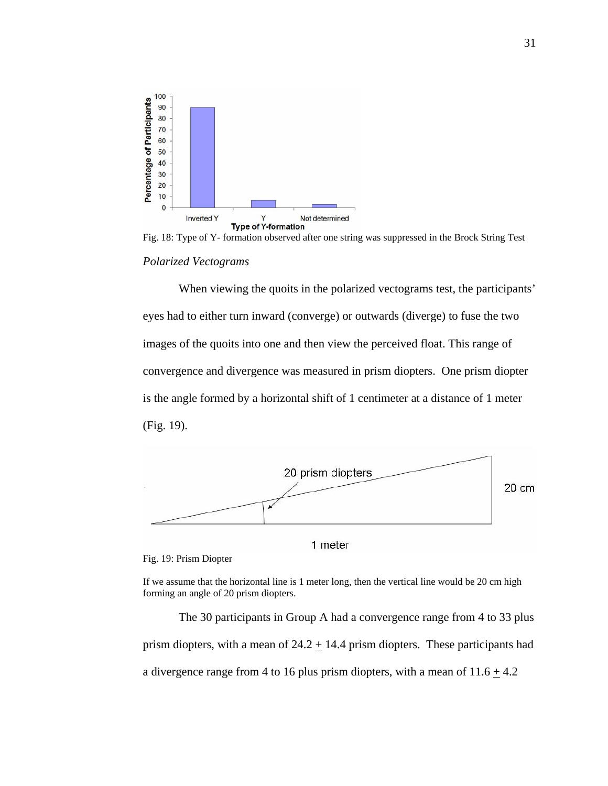



When viewing the quoits in the polarized vectograms test, the participants' eyes had to either turn inward (converge) or outwards (diverge) to fuse the two images of the quoits into one and then view the perceived float. This range of convergence and divergence was measured in prism diopters. One prism diopter is the angle formed by a horizontal shift of 1 centimeter at a distance of 1 meter (Fig. 19).



1 meter

Fig. 19: Prism Diopter

If we assume that the horizontal line is 1 meter long, then the vertical line would be 20 cm high forming an angle of 20 prism diopters.

The 30 participants in Group A had a convergence range from 4 to 33 plus prism diopters, with a mean of  $24.2 + 14.4$  prism diopters. These participants had a divergence range from 4 to 16 plus prism diopters, with a mean of  $11.6 \pm 4.2$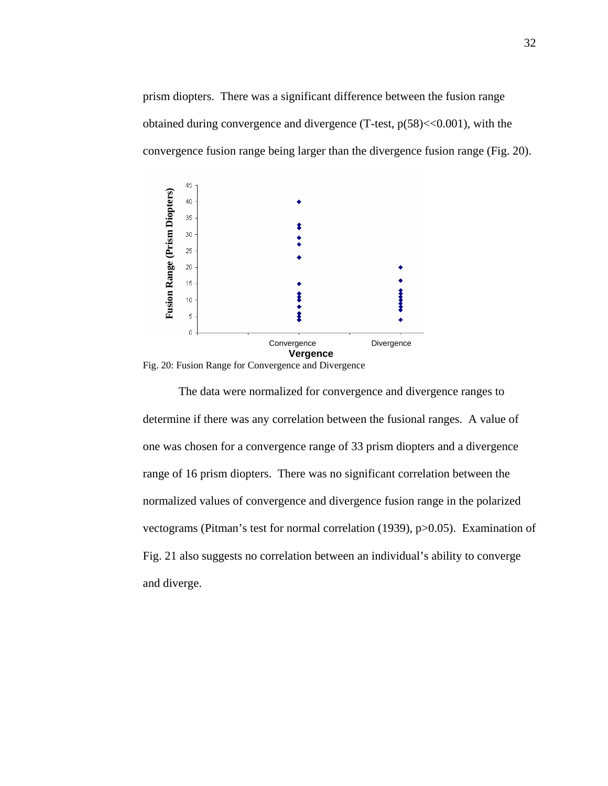prism diopters. There was a significant difference between the fusion range obtained during convergence and divergence  $(T-test, p(58) < 0.001)$ , with the convergence fusion range being larger than the divergence fusion range (Fig. 20).



Fig. 20: Fusion Range for Convergence and Divergence

 The data were normalized for convergence and divergence ranges to determine if there was any correlation between the fusional ranges. A value of one was chosen for a convergence range of 33 prism diopters and a divergence range of 16 prism diopters. There was no significant correlation between the normalized values of convergence and divergence fusion range in the polarized vectograms (Pitman's test for normal correlation (1939), p>0.05). Examination of Fig. 21 also suggests no correlation between an individual's ability to converge and diverge.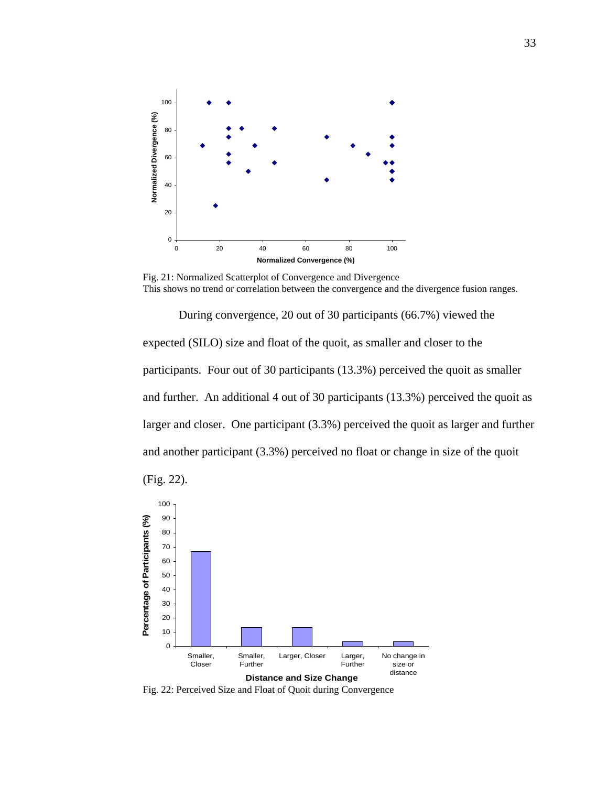

Fig. 21: Normalized Scatterplot of Convergence and Divergence This shows no trend or correlation between the convergence and the divergence fusion ranges.

 During convergence, 20 out of 30 participants (66.7%) viewed the expected (SILO) size and float of the quoit, as smaller and closer to the participants. Four out of 30 participants (13.3%) perceived the quoit as smaller and further. An additional 4 out of 30 participants (13.3%) perceived the quoit as larger and closer. One participant (3.3%) perceived the quoit as larger and further and another participant (3.3%) perceived no float or change in size of the quoit



Fig. 22: Perceived Size and Float of Quoit during Convergence

(Fig. 22).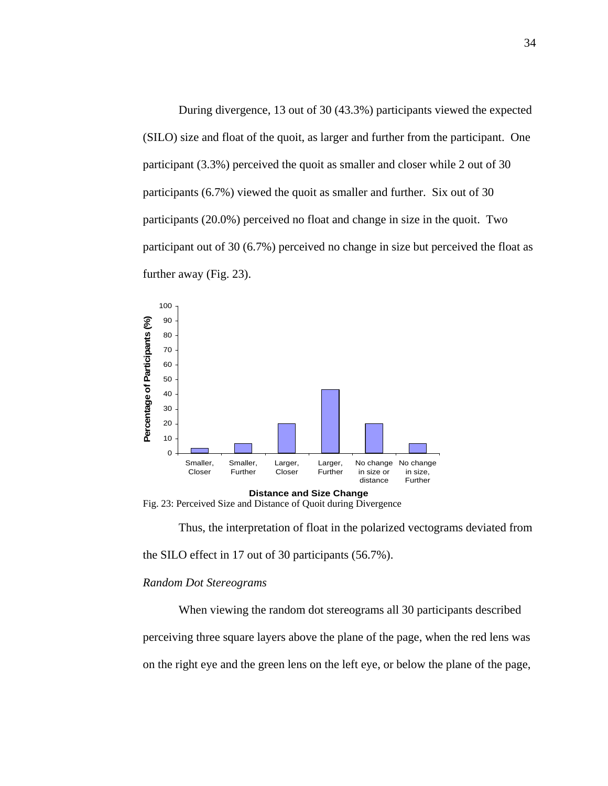During divergence, 13 out of 30 (43.3%) participants viewed the expected (SILO) size and float of the quoit, as larger and further from the participant. One participant (3.3%) perceived the quoit as smaller and closer while 2 out of 30 participants (6.7%) viewed the quoit as smaller and further. Six out of 30 participants (20.0%) perceived no float and change in size in the quoit. Two participant out of 30 (6.7%) perceived no change in size but perceived the float as further away (Fig. 23).



Fig. 23: Perceived Size and Distance of Quoit during Divergence

Thus, the interpretation of float in the polarized vectograms deviated from

the SILO effect in 17 out of 30 participants (56.7%).

#### *Random Dot Stereograms*

 When viewing the random dot stereograms all 30 participants described perceiving three square layers above the plane of the page, when the red lens was on the right eye and the green lens on the left eye, or below the plane of the page,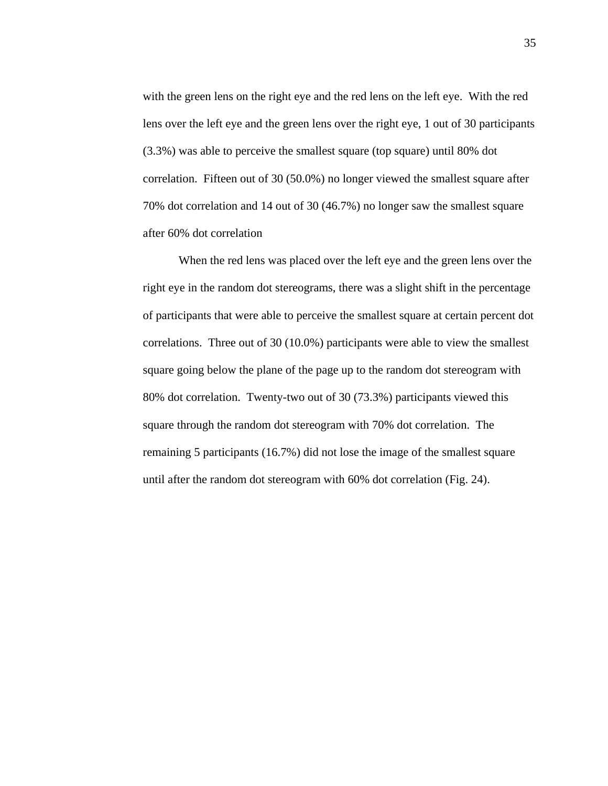with the green lens on the right eye and the red lens on the left eye. With the red lens over the left eye and the green lens over the right eye, 1 out of 30 participants (3.3%) was able to perceive the smallest square (top square) until 80% dot correlation. Fifteen out of 30 (50.0%) no longer viewed the smallest square after 70% dot correlation and 14 out of 30 (46.7%) no longer saw the smallest square after 60% dot correlation

 When the red lens was placed over the left eye and the green lens over the right eye in the random dot stereograms, there was a slight shift in the percentage of participants that were able to perceive the smallest square at certain percent dot correlations. Three out of 30 (10.0%) participants were able to view the smallest square going below the plane of the page up to the random dot stereogram with 80% dot correlation. Twenty-two out of 30 (73.3%) participants viewed this square through the random dot stereogram with 70% dot correlation. The remaining 5 participants (16.7%) did not lose the image of the smallest square until after the random dot stereogram with 60% dot correlation (Fig. 24).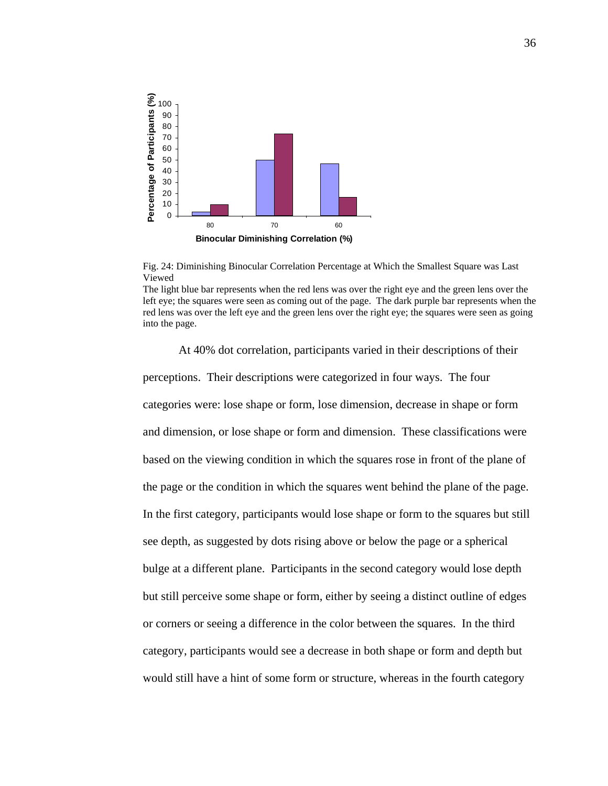

Fig. 24: Diminishing Binocular Correlation Percentage at Which the Smallest Square was Last Viewed

The light blue bar represents when the red lens was over the right eye and the green lens over the left eye; the squares were seen as coming out of the page. The dark purple bar represents when the red lens was over the left eye and the green lens over the right eye; the squares were seen as going into the page.

At 40% dot correlation, participants varied in their descriptions of their perceptions. Their descriptions were categorized in four ways. The four categories were: lose shape or form, lose dimension, decrease in shape or form and dimension, or lose shape or form and dimension. These classifications were based on the viewing condition in which the squares rose in front of the plane of the page or the condition in which the squares went behind the plane of the page. In the first category, participants would lose shape or form to the squares but still see depth, as suggested by dots rising above or below the page or a spherical bulge at a different plane. Participants in the second category would lose depth but still perceive some shape or form, either by seeing a distinct outline of edges or corners or seeing a difference in the color between the squares. In the third category, participants would see a decrease in both shape or form and depth but would still have a hint of some form or structure, whereas in the fourth category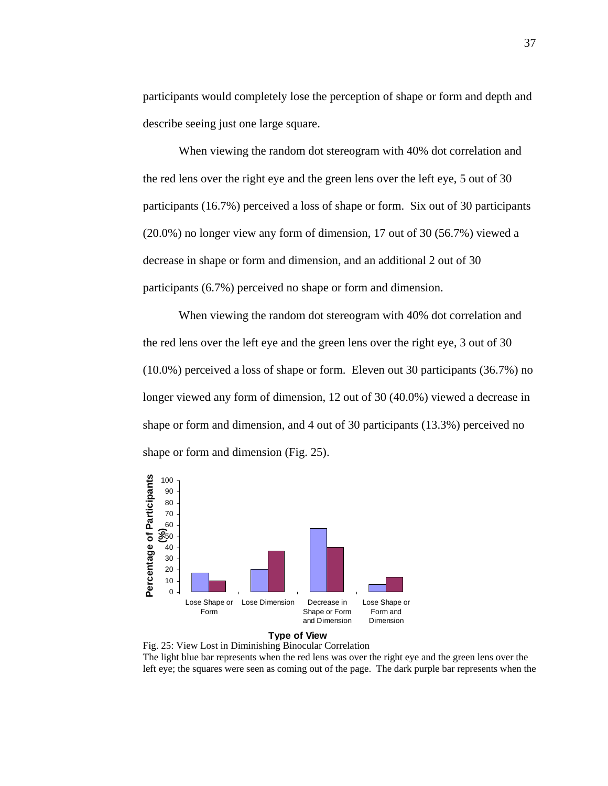participants would completely lose the perception of shape or form and depth and describe seeing just one large square.

 When viewing the random dot stereogram with 40% dot correlation and the red lens over the right eye and the green lens over the left eye, 5 out of 30 participants (16.7%) perceived a loss of shape or form. Six out of 30 participants (20.0%) no longer view any form of dimension, 17 out of 30 (56.7%) viewed a decrease in shape or form and dimension, and an additional 2 out of 30 participants (6.7%) perceived no shape or form and dimension.

 When viewing the random dot stereogram with 40% dot correlation and the red lens over the left eye and the green lens over the right eye, 3 out of 30 (10.0%) perceived a loss of shape or form. Eleven out 30 participants (36.7%) no longer viewed any form of dimension, 12 out of 30 (40.0%) viewed a decrease in shape or form and dimension, and 4 out of 30 participants (13.3%) perceived no shape or form and dimension (Fig. 25).





Fig. 25: View Lost in Diminishing Binocular Correlation The light blue bar represents when the red lens was over the right eye and the green lens over the left eye; the squares were seen as coming out of the page. The dark purple bar represents when the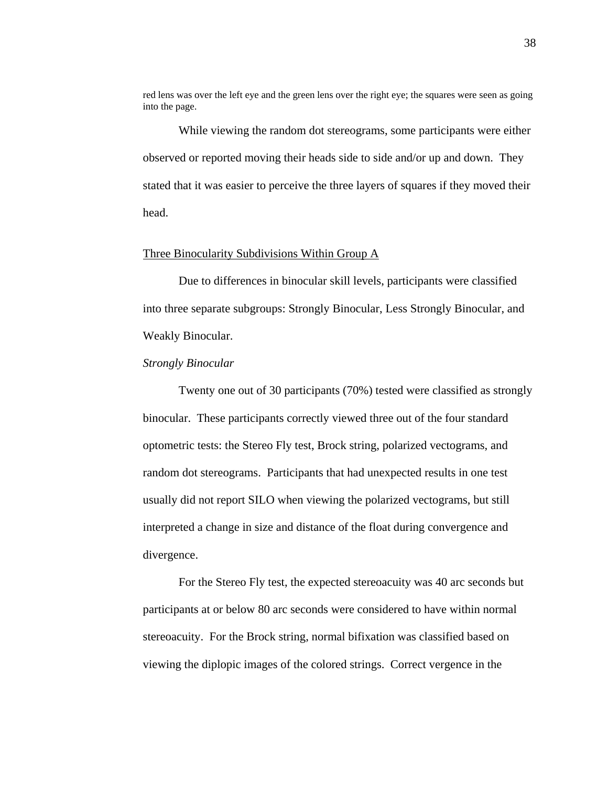red lens was over the left eye and the green lens over the right eye; the squares were seen as going into the page.

 While viewing the random dot stereograms, some participants were either observed or reported moving their heads side to side and/or up and down. They stated that it was easier to perceive the three layers of squares if they moved their head.

## Three Binocularity Subdivisions Within Group A

Due to differences in binocular skill levels, participants were classified into three separate subgroups: Strongly Binocular, Less Strongly Binocular, and Weakly Binocular.

## *Strongly Binocular*

Twenty one out of 30 participants (70%) tested were classified as strongly binocular. These participants correctly viewed three out of the four standard optometric tests: the Stereo Fly test, Brock string, polarized vectograms, and random dot stereograms. Participants that had unexpected results in one test usually did not report SILO when viewing the polarized vectograms, but still interpreted a change in size and distance of the float during convergence and divergence.

For the Stereo Fly test, the expected stereoacuity was 40 arc seconds but participants at or below 80 arc seconds were considered to have within normal stereoacuity. For the Brock string, normal bifixation was classified based on viewing the diplopic images of the colored strings. Correct vergence in the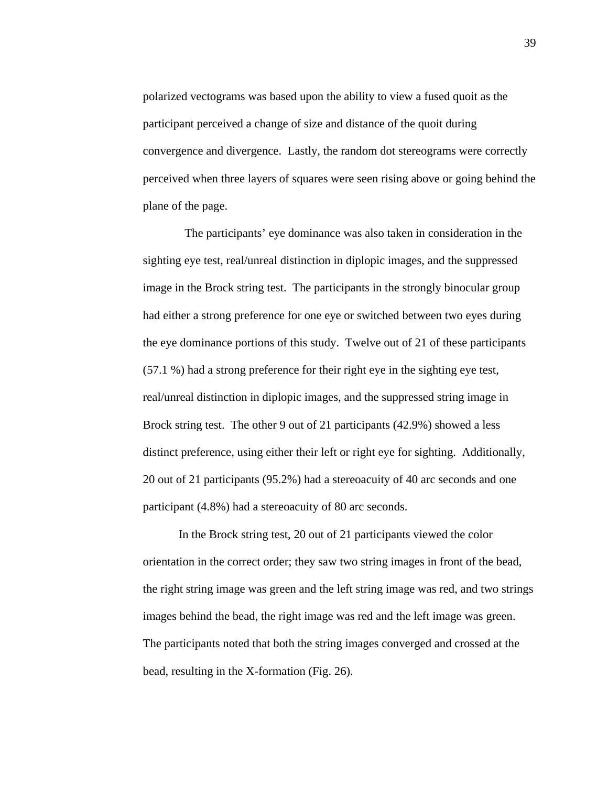polarized vectograms was based upon the ability to view a fused quoit as the participant perceived a change of size and distance of the quoit during convergence and divergence. Lastly, the random dot stereograms were correctly perceived when three layers of squares were seen rising above or going behind the plane of the page.

 The participants' eye dominance was also taken in consideration in the sighting eye test, real/unreal distinction in diplopic images, and the suppressed image in the Brock string test. The participants in the strongly binocular group had either a strong preference for one eye or switched between two eyes during the eye dominance portions of this study. Twelve out of 21 of these participants (57.1 %) had a strong preference for their right eye in the sighting eye test, real/unreal distinction in diplopic images, and the suppressed string image in Brock string test. The other 9 out of 21 participants (42.9%) showed a less distinct preference, using either their left or right eye for sighting. Additionally, 20 out of 21 participants (95.2%) had a stereoacuity of 40 arc seconds and one participant (4.8%) had a stereoacuity of 80 arc seconds.

In the Brock string test, 20 out of 21 participants viewed the color orientation in the correct order; they saw two string images in front of the bead, the right string image was green and the left string image was red, and two strings images behind the bead, the right image was red and the left image was green. The participants noted that both the string images converged and crossed at the bead, resulting in the X-formation (Fig. 26).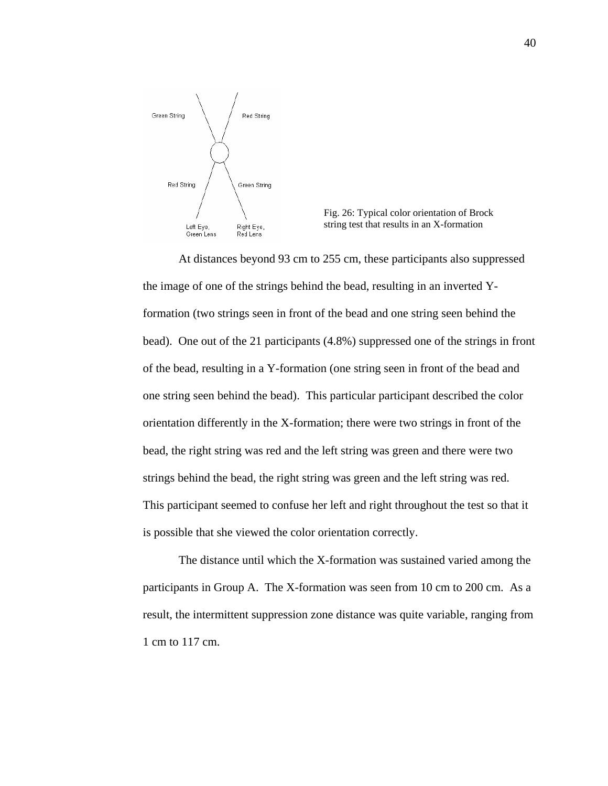



At distances beyond 93 cm to 255 cm, these participants also suppressed the image of one of the strings behind the bead, resulting in an inverted Yformation (two strings seen in front of the bead and one string seen behind the bead). One out of the 21 participants (4.8%) suppressed one of the strings in front of the bead, resulting in a Y-formation (one string seen in front of the bead and one string seen behind the bead). This particular participant described the color orientation differently in the X-formation; there were two strings in front of the bead, the right string was red and the left string was green and there were two strings behind the bead, the right string was green and the left string was red. This participant seemed to confuse her left and right throughout the test so that it is possible that she viewed the color orientation correctly.

The distance until which the X-formation was sustained varied among the participants in Group A. The X-formation was seen from 10 cm to 200 cm. As a result, the intermittent suppression zone distance was quite variable, ranging from 1 cm to 117 cm.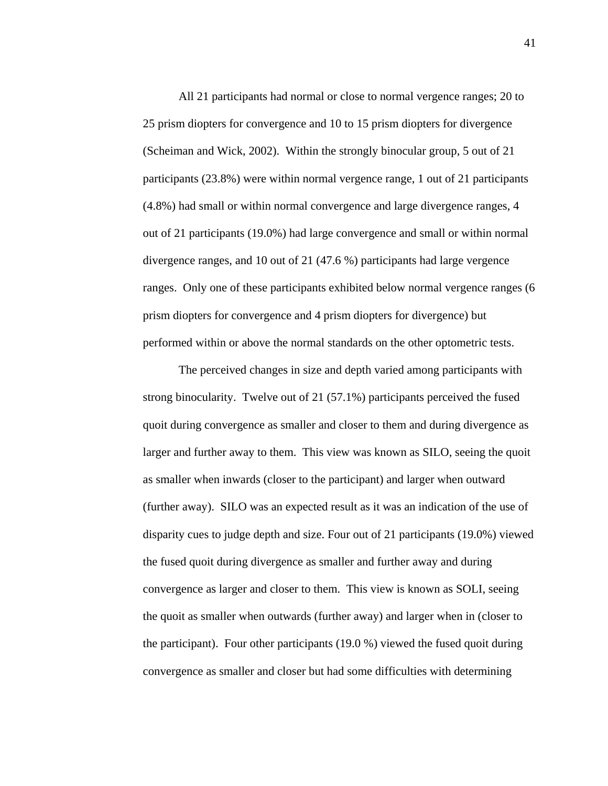All 21 participants had normal or close to normal vergence ranges; 20 to 25 prism diopters for convergence and 10 to 15 prism diopters for divergence (Scheiman and Wick, 2002). Within the strongly binocular group, 5 out of 21 participants (23.8%) were within normal vergence range, 1 out of 21 participants (4.8%) had small or within normal convergence and large divergence ranges, 4 out of 21 participants (19.0%) had large convergence and small or within normal divergence ranges, and 10 out of 21 (47.6 %) participants had large vergence ranges. Only one of these participants exhibited below normal vergence ranges (6 prism diopters for convergence and 4 prism diopters for divergence) but performed within or above the normal standards on the other optometric tests.

 The perceived changes in size and depth varied among participants with strong binocularity. Twelve out of 21 (57.1%) participants perceived the fused quoit during convergence as smaller and closer to them and during divergence as larger and further away to them. This view was known as SILO, seeing the quoit as smaller when inwards (closer to the participant) and larger when outward (further away). SILO was an expected result as it was an indication of the use of disparity cues to judge depth and size. Four out of 21 participants (19.0%) viewed the fused quoit during divergence as smaller and further away and during convergence as larger and closer to them. This view is known as SOLI, seeing the quoit as smaller when outwards (further away) and larger when in (closer to the participant). Four other participants (19.0 %) viewed the fused quoit during convergence as smaller and closer but had some difficulties with determining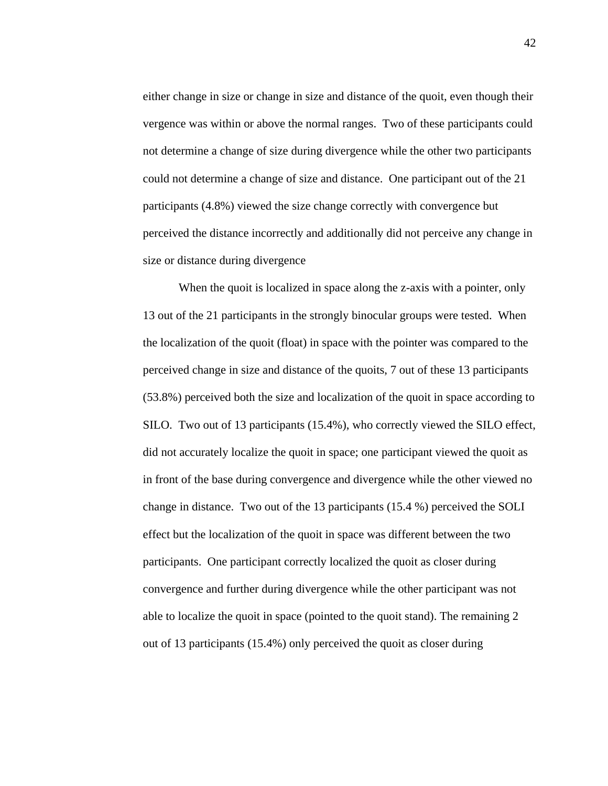either change in size or change in size and distance of the quoit, even though their vergence was within or above the normal ranges. Two of these participants could not determine a change of size during divergence while the other two participants could not determine a change of size and distance. One participant out of the 21 participants (4.8%) viewed the size change correctly with convergence but perceived the distance incorrectly and additionally did not perceive any change in size or distance during divergence

When the quoit is localized in space along the z-axis with a pointer, only 13 out of the 21 participants in the strongly binocular groups were tested. When the localization of the quoit (float) in space with the pointer was compared to the perceived change in size and distance of the quoits, 7 out of these 13 participants (53.8%) perceived both the size and localization of the quoit in space according to SILO. Two out of 13 participants (15.4%), who correctly viewed the SILO effect, did not accurately localize the quoit in space; one participant viewed the quoit as in front of the base during convergence and divergence while the other viewed no change in distance. Two out of the 13 participants (15.4 %) perceived the SOLI effect but the localization of the quoit in space was different between the two participants. One participant correctly localized the quoit as closer during convergence and further during divergence while the other participant was not able to localize the quoit in space (pointed to the quoit stand). The remaining 2 out of 13 participants (15.4%) only perceived the quoit as closer during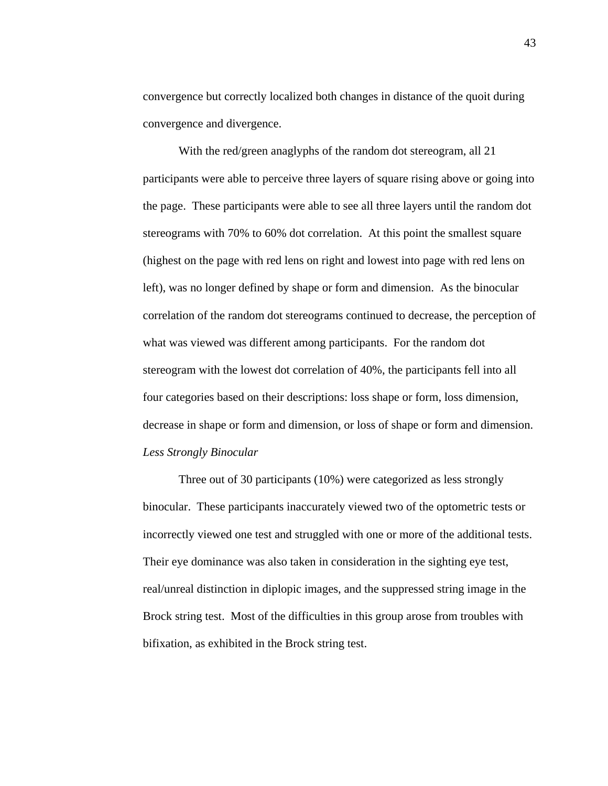convergence but correctly localized both changes in distance of the quoit during convergence and divergence.

 With the red/green anaglyphs of the random dot stereogram, all 21 participants were able to perceive three layers of square rising above or going into the page. These participants were able to see all three layers until the random dot stereograms with 70% to 60% dot correlation. At this point the smallest square (highest on the page with red lens on right and lowest into page with red lens on left), was no longer defined by shape or form and dimension. As the binocular correlation of the random dot stereograms continued to decrease, the perception of what was viewed was different among participants. For the random dot stereogram with the lowest dot correlation of 40%, the participants fell into all four categories based on their descriptions: loss shape or form, loss dimension, decrease in shape or form and dimension, or loss of shape or form and dimension. *Less Strongly Binocular* 

Three out of 30 participants (10%) were categorized as less strongly binocular. These participants inaccurately viewed two of the optometric tests or incorrectly viewed one test and struggled with one or more of the additional tests. Their eye dominance was also taken in consideration in the sighting eye test, real/unreal distinction in diplopic images, and the suppressed string image in the Brock string test. Most of the difficulties in this group arose from troubles with bifixation, as exhibited in the Brock string test.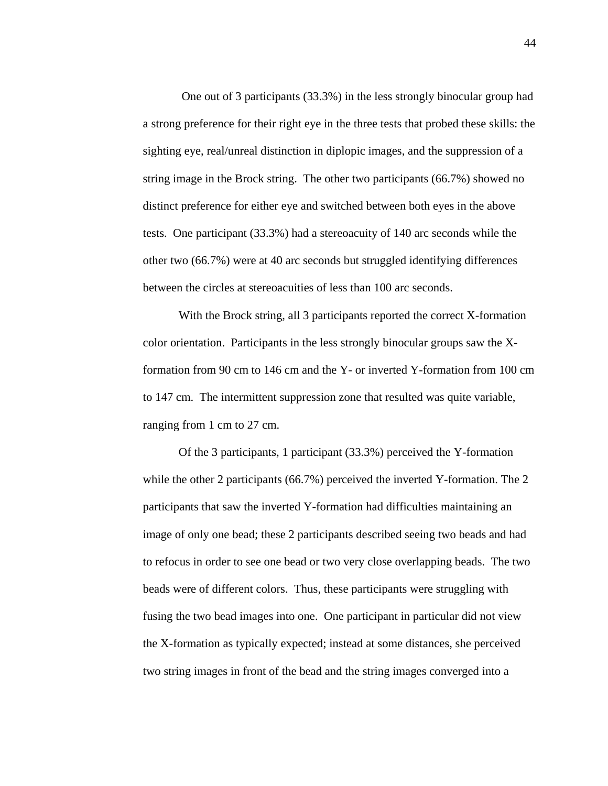One out of 3 participants (33.3%) in the less strongly binocular group had a strong preference for their right eye in the three tests that probed these skills: the sighting eye, real/unreal distinction in diplopic images, and the suppression of a string image in the Brock string. The other two participants (66.7%) showed no distinct preference for either eye and switched between both eyes in the above tests. One participant (33.3%) had a stereoacuity of 140 arc seconds while the other two (66.7%) were at 40 arc seconds but struggled identifying differences between the circles at stereoacuities of less than 100 arc seconds.

 With the Brock string, all 3 participants reported the correct X-formation color orientation. Participants in the less strongly binocular groups saw the Xformation from 90 cm to 146 cm and the Y- or inverted Y-formation from 100 cm to 147 cm. The intermittent suppression zone that resulted was quite variable, ranging from 1 cm to 27 cm.

Of the 3 participants, 1 participant (33.3%) perceived the Y-formation while the other 2 participants (66.7%) perceived the inverted Y-formation. The 2 participants that saw the inverted Y-formation had difficulties maintaining an image of only one bead; these 2 participants described seeing two beads and had to refocus in order to see one bead or two very close overlapping beads. The two beads were of different colors. Thus, these participants were struggling with fusing the two bead images into one. One participant in particular did not view the X-formation as typically expected; instead at some distances, she perceived two string images in front of the bead and the string images converged into a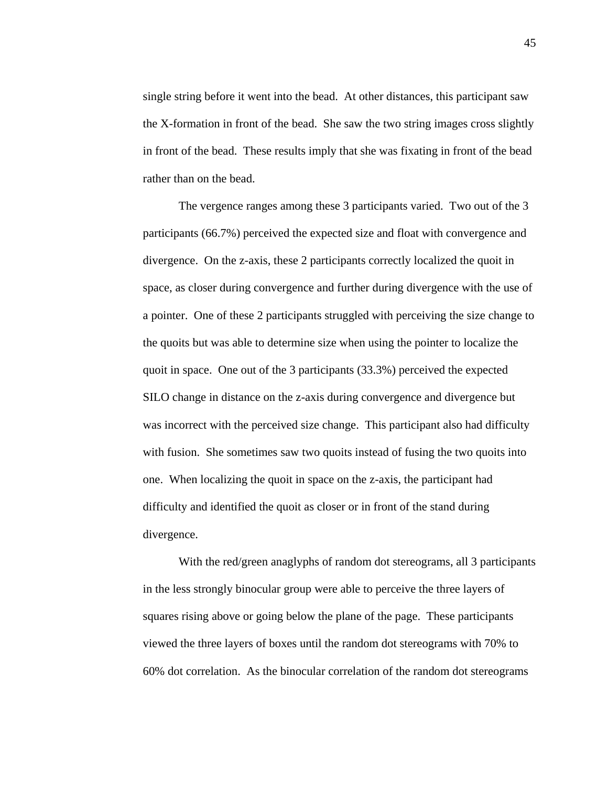single string before it went into the bead. At other distances, this participant saw the X-formation in front of the bead. She saw the two string images cross slightly in front of the bead. These results imply that she was fixating in front of the bead rather than on the bead.

 The vergence ranges among these 3 participants varied. Two out of the 3 participants (66.7%) perceived the expected size and float with convergence and divergence. On the z-axis, these 2 participants correctly localized the quoit in space, as closer during convergence and further during divergence with the use of a pointer. One of these 2 participants struggled with perceiving the size change to the quoits but was able to determine size when using the pointer to localize the quoit in space. One out of the 3 participants (33.3%) perceived the expected SILO change in distance on the z-axis during convergence and divergence but was incorrect with the perceived size change. This participant also had difficulty with fusion. She sometimes saw two quoits instead of fusing the two quoits into one. When localizing the quoit in space on the z-axis, the participant had difficulty and identified the quoit as closer or in front of the stand during divergence.

 With the red/green anaglyphs of random dot stereograms, all 3 participants in the less strongly binocular group were able to perceive the three layers of squares rising above or going below the plane of the page. These participants viewed the three layers of boxes until the random dot stereograms with 70% to 60% dot correlation. As the binocular correlation of the random dot stereograms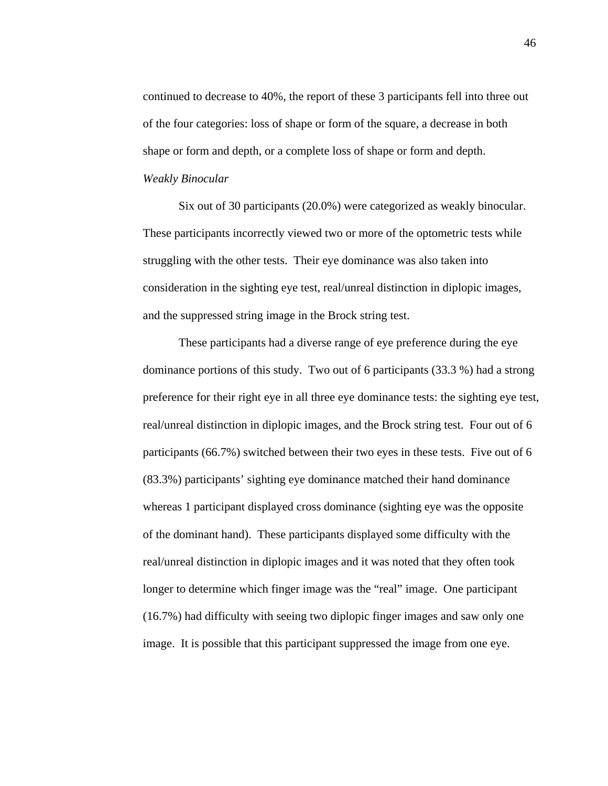continued to decrease to 40%, the report of these 3 participants fell into three out of the four categories: loss of shape or form of the square, a decrease in both shape or form and depth, or a complete loss of shape or form and depth. *Weakly Binocular* 

Six out of 30 participants (20.0%) were categorized as weakly binocular. These participants incorrectly viewed two or more of the optometric tests while struggling with the other tests. Their eye dominance was also taken into consideration in the sighting eye test, real/unreal distinction in diplopic images, and the suppressed string image in the Brock string test.

 These participants had a diverse range of eye preference during the eye dominance portions of this study. Two out of 6 participants (33.3 %) had a strong preference for their right eye in all three eye dominance tests: the sighting eye test, real/unreal distinction in diplopic images, and the Brock string test. Four out of 6 participants (66.7%) switched between their two eyes in these tests. Five out of 6 (83.3%) participants' sighting eye dominance matched their hand dominance whereas 1 participant displayed cross dominance (sighting eye was the opposite of the dominant hand). These participants displayed some difficulty with the real/unreal distinction in diplopic images and it was noted that they often took longer to determine which finger image was the "real" image. One participant (16.7%) had difficulty with seeing two diplopic finger images and saw only one image. It is possible that this participant suppressed the image from one eye.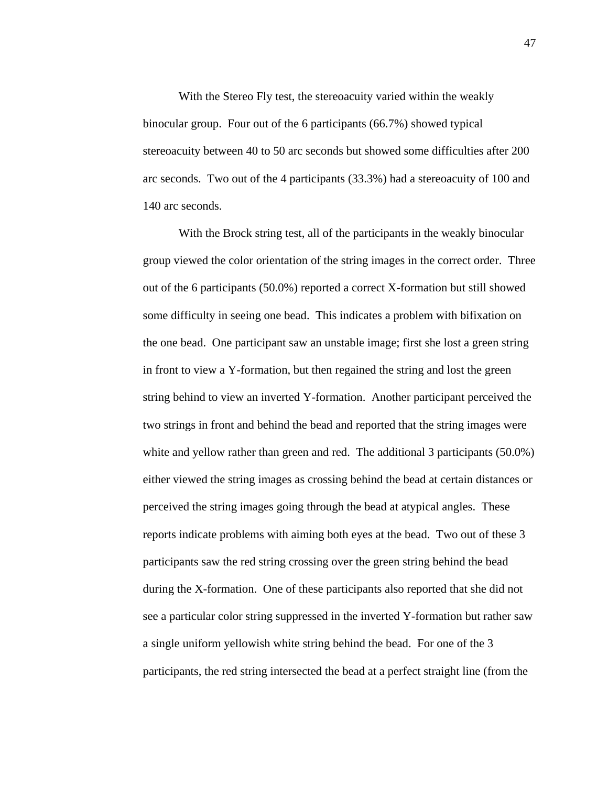With the Stereo Fly test, the stereoacuity varied within the weakly binocular group. Four out of the 6 participants (66.7%) showed typical stereoacuity between 40 to 50 arc seconds but showed some difficulties after 200 arc seconds. Two out of the 4 participants (33.3%) had a stereoacuity of 100 and 140 arc seconds.

 With the Brock string test, all of the participants in the weakly binocular group viewed the color orientation of the string images in the correct order. Three out of the 6 participants (50.0%) reported a correct X-formation but still showed some difficulty in seeing one bead. This indicates a problem with bifixation on the one bead. One participant saw an unstable image; first she lost a green string in front to view a Y-formation, but then regained the string and lost the green string behind to view an inverted Y-formation. Another participant perceived the two strings in front and behind the bead and reported that the string images were white and yellow rather than green and red. The additional 3 participants (50.0%) either viewed the string images as crossing behind the bead at certain distances or perceived the string images going through the bead at atypical angles. These reports indicate problems with aiming both eyes at the bead. Two out of these 3 participants saw the red string crossing over the green string behind the bead during the X-formation. One of these participants also reported that she did not see a particular color string suppressed in the inverted Y-formation but rather saw a single uniform yellowish white string behind the bead. For one of the 3 participants, the red string intersected the bead at a perfect straight line (from the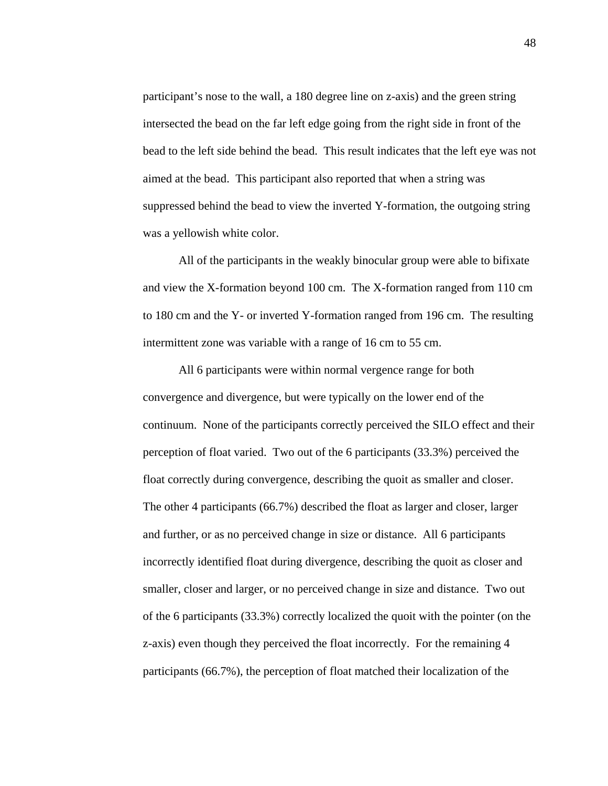participant's nose to the wall, a 180 degree line on z-axis) and the green string intersected the bead on the far left edge going from the right side in front of the bead to the left side behind the bead. This result indicates that the left eye was not aimed at the bead. This participant also reported that when a string was suppressed behind the bead to view the inverted Y-formation, the outgoing string was a yellowish white color.

 All of the participants in the weakly binocular group were able to bifixate and view the X-formation beyond 100 cm. The X-formation ranged from 110 cm to 180 cm and the Y- or inverted Y-formation ranged from 196 cm. The resulting intermittent zone was variable with a range of 16 cm to 55 cm.

All 6 participants were within normal vergence range for both convergence and divergence, but were typically on the lower end of the continuum. None of the participants correctly perceived the SILO effect and their perception of float varied. Two out of the 6 participants (33.3%) perceived the float correctly during convergence, describing the quoit as smaller and closer. The other 4 participants (66.7%) described the float as larger and closer, larger and further, or as no perceived change in size or distance. All 6 participants incorrectly identified float during divergence, describing the quoit as closer and smaller, closer and larger, or no perceived change in size and distance. Two out of the 6 participants (33.3%) correctly localized the quoit with the pointer (on the z-axis) even though they perceived the float incorrectly. For the remaining 4 participants (66.7%), the perception of float matched their localization of the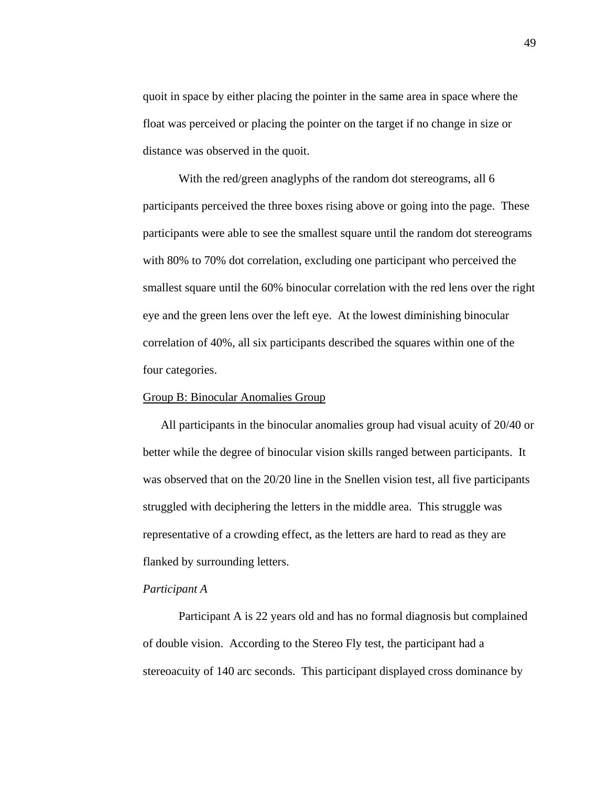quoit in space by either placing the pointer in the same area in space where the float was perceived or placing the pointer on the target if no change in size or distance was observed in the quoit.

 With the red/green anaglyphs of the random dot stereograms, all 6 participants perceived the three boxes rising above or going into the page. These participants were able to see the smallest square until the random dot stereograms with 80% to 70% dot correlation, excluding one participant who perceived the smallest square until the 60% binocular correlation with the red lens over the right eye and the green lens over the left eye. At the lowest diminishing binocular correlation of 40%, all six participants described the squares within one of the four categories.

#### Group B: Binocular Anomalies Group

All participants in the binocular anomalies group had visual acuity of 20/40 or better while the degree of binocular vision skills ranged between participants. It was observed that on the 20/20 line in the Snellen vision test, all five participants struggled with deciphering the letters in the middle area. This struggle was representative of a crowding effect, as the letters are hard to read as they are flanked by surrounding letters.

# *Participant A*

 Participant A is 22 years old and has no formal diagnosis but complained of double vision. According to the Stereo Fly test, the participant had a stereoacuity of 140 arc seconds. This participant displayed cross dominance by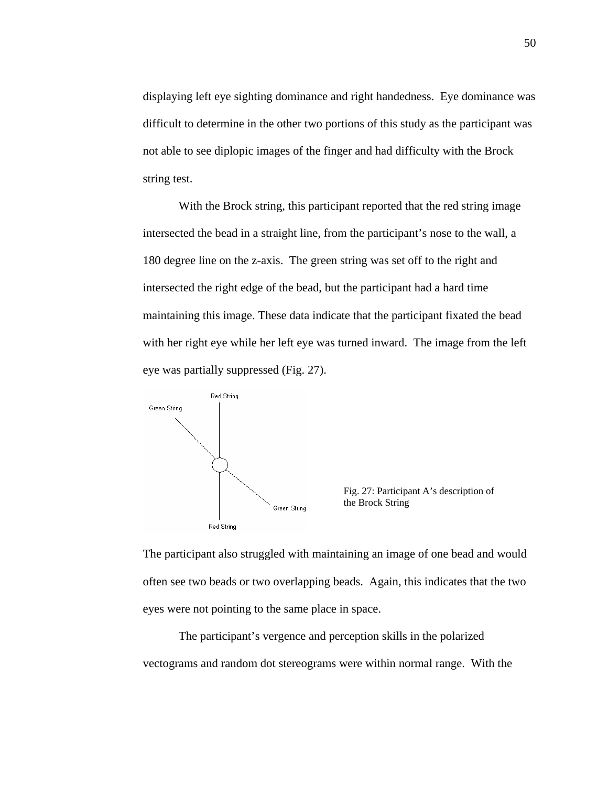displaying left eye sighting dominance and right handedness. Eye dominance was difficult to determine in the other two portions of this study as the participant was not able to see diplopic images of the finger and had difficulty with the Brock string test.

With the Brock string, this participant reported that the red string image intersected the bead in a straight line, from the participant's nose to the wall, a 180 degree line on the z-axis. The green string was set off to the right and intersected the right edge of the bead, but the participant had a hard time maintaining this image. These data indicate that the participant fixated the bead with her right eye while her left eye was turned inward. The image from the left eye was partially suppressed (Fig. 27).



Fig. 27: Participant A's description of the Brock String

The participant also struggled with maintaining an image of one bead and would often see two beads or two overlapping beads. Again, this indicates that the two eyes were not pointing to the same place in space.

 The participant's vergence and perception skills in the polarized vectograms and random dot stereograms were within normal range. With the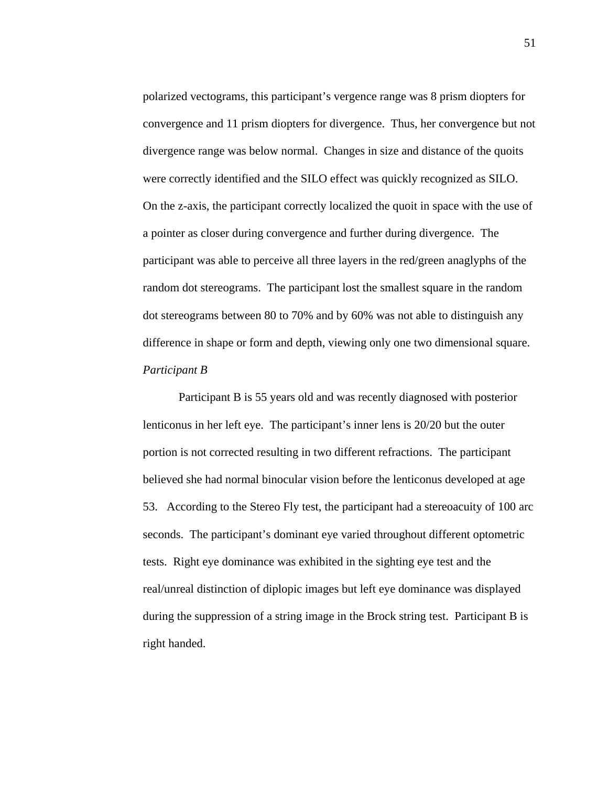polarized vectograms, this participant's vergence range was 8 prism diopters for convergence and 11 prism diopters for divergence. Thus, her convergence but not divergence range was below normal. Changes in size and distance of the quoits were correctly identified and the SILO effect was quickly recognized as SILO. On the z-axis, the participant correctly localized the quoit in space with the use of a pointer as closer during convergence and further during divergence. The participant was able to perceive all three layers in the red/green anaglyphs of the random dot stereograms. The participant lost the smallest square in the random dot stereograms between 80 to 70% and by 60% was not able to distinguish any difference in shape or form and depth, viewing only one two dimensional square. *Participant B*

 Participant B is 55 years old and was recently diagnosed with posterior lenticonus in her left eye. The participant's inner lens is 20/20 but the outer portion is not corrected resulting in two different refractions. The participant believed she had normal binocular vision before the lenticonus developed at age 53. According to the Stereo Fly test, the participant had a stereoacuity of 100 arc seconds. The participant's dominant eye varied throughout different optometric tests. Right eye dominance was exhibited in the sighting eye test and the real/unreal distinction of diplopic images but left eye dominance was displayed during the suppression of a string image in the Brock string test. Participant B is right handed.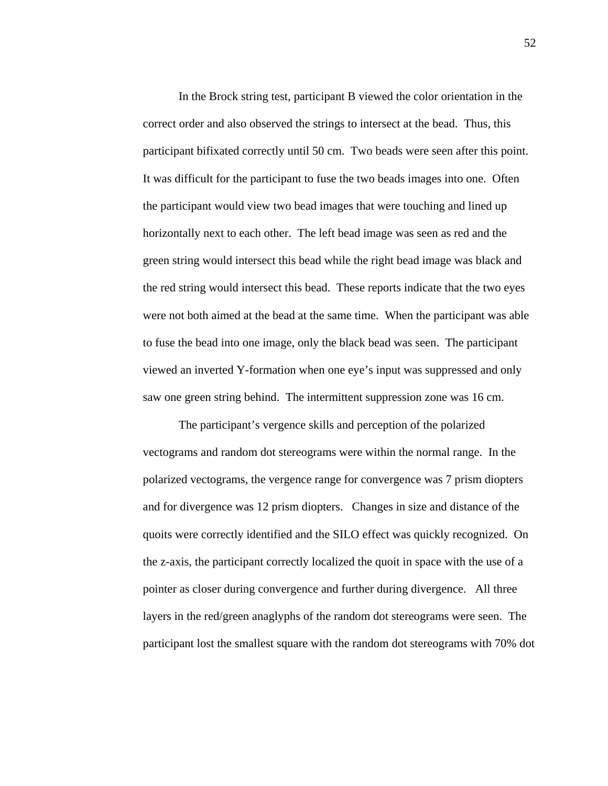In the Brock string test, participant B viewed the color orientation in the correct order and also observed the strings to intersect at the bead. Thus, this participant bifixated correctly until 50 cm. Two beads were seen after this point. It was difficult for the participant to fuse the two beads images into one. Often the participant would view two bead images that were touching and lined up horizontally next to each other. The left bead image was seen as red and the green string would intersect this bead while the right bead image was black and the red string would intersect this bead. These reports indicate that the two eyes were not both aimed at the bead at the same time. When the participant was able to fuse the bead into one image, only the black bead was seen. The participant viewed an inverted Y-formation when one eye's input was suppressed and only saw one green string behind. The intermittent suppression zone was 16 cm.

 The participant's vergence skills and perception of the polarized vectograms and random dot stereograms were within the normal range. In the polarized vectograms, the vergence range for convergence was 7 prism diopters and for divergence was 12 prism diopters. Changes in size and distance of the quoits were correctly identified and the SILO effect was quickly recognized. On the z-axis, the participant correctly localized the quoit in space with the use of a pointer as closer during convergence and further during divergence. All three layers in the red/green anaglyphs of the random dot stereograms were seen. The participant lost the smallest square with the random dot stereograms with 70% dot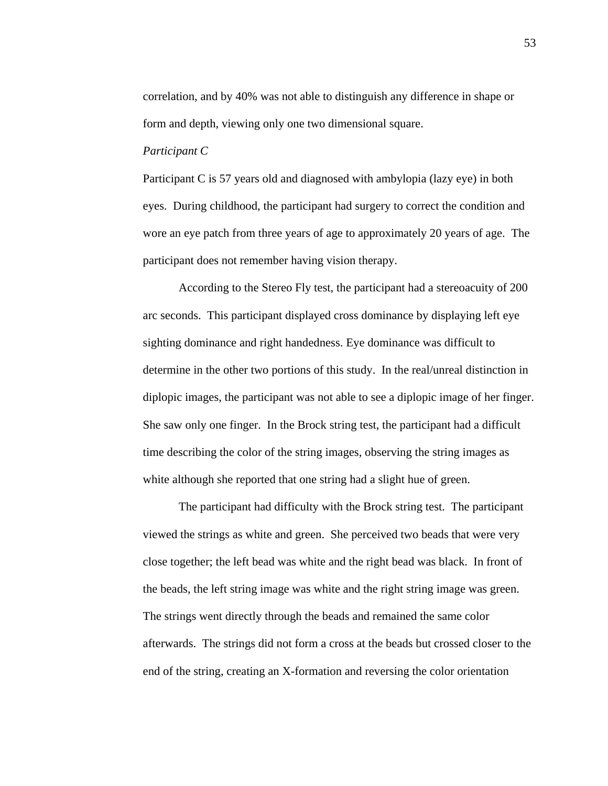correlation, and by 40% was not able to distinguish any difference in shape or form and depth, viewing only one two dimensional square.

#### *Participant C*

Participant C is 57 years old and diagnosed with ambylopia (lazy eye) in both eyes. During childhood, the participant had surgery to correct the condition and wore an eye patch from three years of age to approximately 20 years of age. The participant does not remember having vision therapy.

 According to the Stereo Fly test, the participant had a stereoacuity of 200 arc seconds. This participant displayed cross dominance by displaying left eye sighting dominance and right handedness. Eye dominance was difficult to determine in the other two portions of this study. In the real/unreal distinction in diplopic images, the participant was not able to see a diplopic image of her finger. She saw only one finger. In the Brock string test, the participant had a difficult time describing the color of the string images, observing the string images as white although she reported that one string had a slight hue of green.

 The participant had difficulty with the Brock string test. The participant viewed the strings as white and green. She perceived two beads that were very close together; the left bead was white and the right bead was black. In front of the beads, the left string image was white and the right string image was green. The strings went directly through the beads and remained the same color afterwards. The strings did not form a cross at the beads but crossed closer to the end of the string, creating an X-formation and reversing the color orientation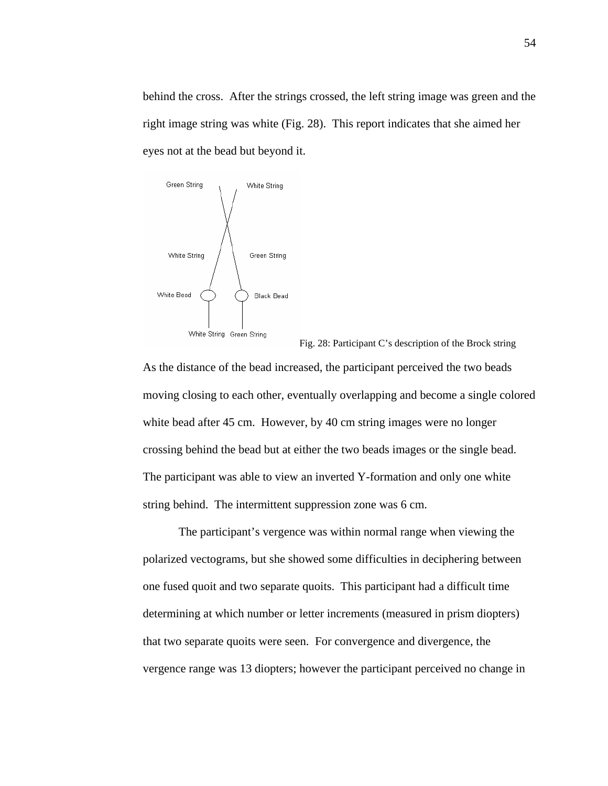behind the cross. After the strings crossed, the left string image was green and the right image string was white (Fig. 28). This report indicates that she aimed her eyes not at the bead but beyond it.



Fig. 28: Participant C's description of the Brock string

As the distance of the bead increased, the participant perceived the two beads moving closing to each other, eventually overlapping and become a single colored white bead after 45 cm. However, by 40 cm string images were no longer crossing behind the bead but at either the two beads images or the single bead. The participant was able to view an inverted Y-formation and only one white string behind. The intermittent suppression zone was 6 cm.

 The participant's vergence was within normal range when viewing the polarized vectograms, but she showed some difficulties in deciphering between one fused quoit and two separate quoits. This participant had a difficult time determining at which number or letter increments (measured in prism diopters) that two separate quoits were seen. For convergence and divergence, the vergence range was 13 diopters; however the participant perceived no change in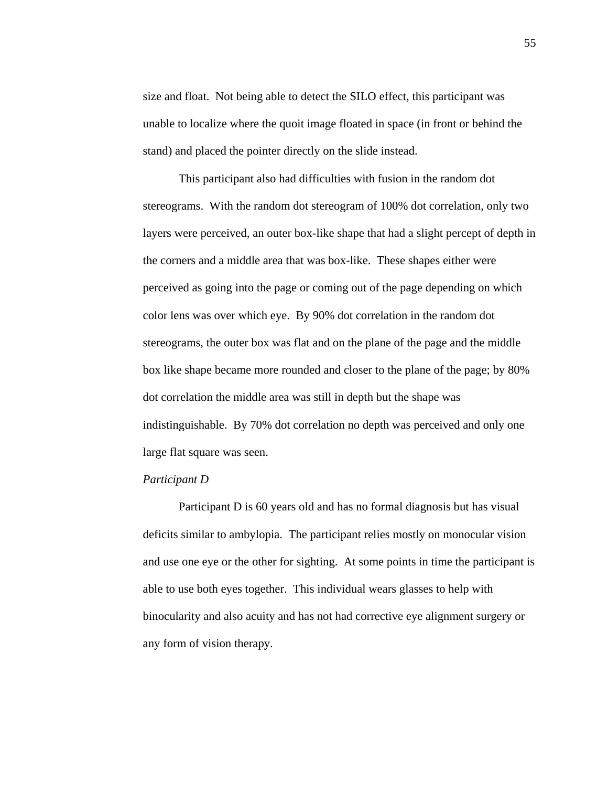size and float. Not being able to detect the SILO effect, this participant was unable to localize where the quoit image floated in space (in front or behind the stand) and placed the pointer directly on the slide instead.

 This participant also had difficulties with fusion in the random dot stereograms. With the random dot stereogram of 100% dot correlation, only two layers were perceived, an outer box-like shape that had a slight percept of depth in the corners and a middle area that was box-like. These shapes either were perceived as going into the page or coming out of the page depending on which color lens was over which eye. By 90% dot correlation in the random dot stereograms, the outer box was flat and on the plane of the page and the middle box like shape became more rounded and closer to the plane of the page; by 80% dot correlation the middle area was still in depth but the shape was indistinguishable. By 70% dot correlation no depth was perceived and only one large flat square was seen.

## *Participant D*

 Participant D is 60 years old and has no formal diagnosis but has visual deficits similar to ambylopia. The participant relies mostly on monocular vision and use one eye or the other for sighting. At some points in time the participant is able to use both eyes together. This individual wears glasses to help with binocularity and also acuity and has not had corrective eye alignment surgery or any form of vision therapy.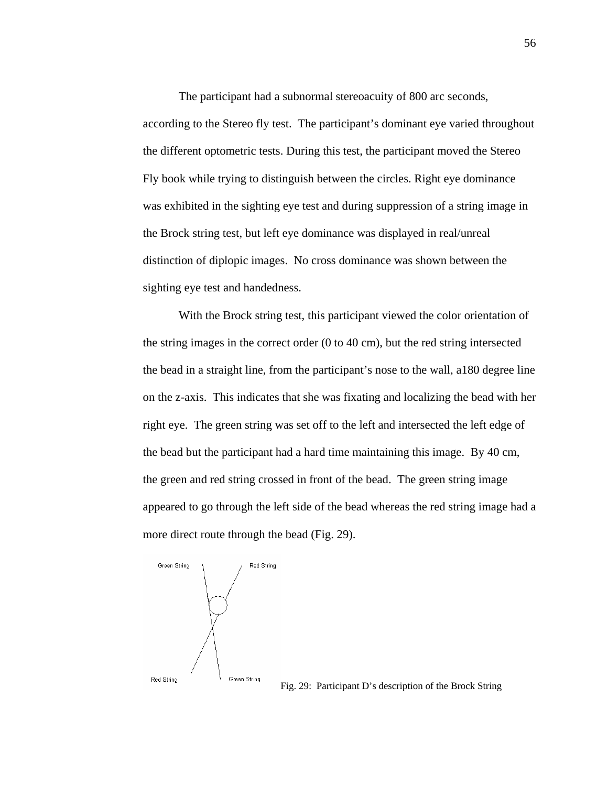The participant had a subnormal stereoacuity of 800 arc seconds, according to the Stereo fly test. The participant's dominant eye varied throughout the different optometric tests. During this test, the participant moved the Stereo Fly book while trying to distinguish between the circles. Right eye dominance was exhibited in the sighting eye test and during suppression of a string image in the Brock string test, but left eye dominance was displayed in real/unreal distinction of diplopic images. No cross dominance was shown between the sighting eye test and handedness.

With the Brock string test, this participant viewed the color orientation of the string images in the correct order (0 to 40 cm), but the red string intersected the bead in a straight line, from the participant's nose to the wall, a180 degree line on the z-axis. This indicates that she was fixating and localizing the bead with her right eye. The green string was set off to the left and intersected the left edge of the bead but the participant had a hard time maintaining this image. By 40 cm, the green and red string crossed in front of the bead. The green string image appeared to go through the left side of the bead whereas the red string image had a more direct route through the bead (Fig. 29).



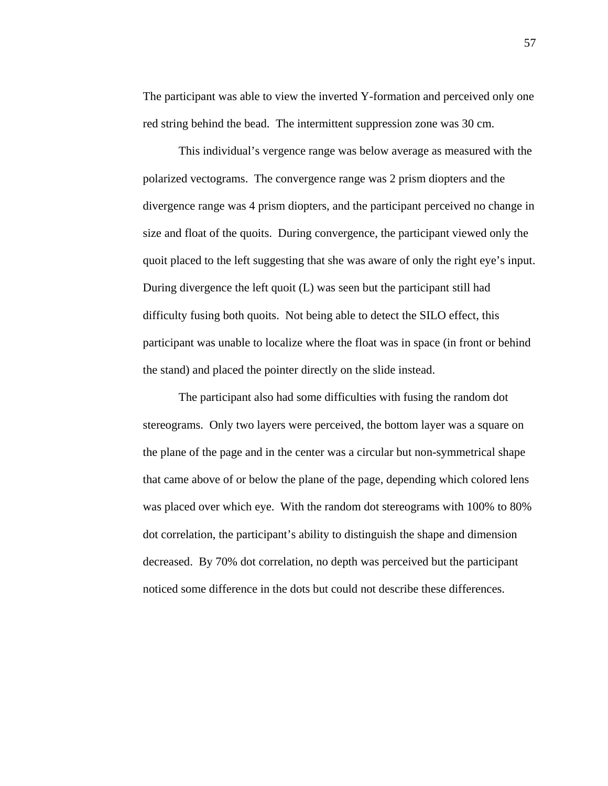The participant was able to view the inverted Y-formation and perceived only one red string behind the bead. The intermittent suppression zone was 30 cm.

 This individual's vergence range was below average as measured with the polarized vectograms. The convergence range was 2 prism diopters and the divergence range was 4 prism diopters, and the participant perceived no change in size and float of the quoits. During convergence, the participant viewed only the quoit placed to the left suggesting that she was aware of only the right eye's input. During divergence the left quoit (L) was seen but the participant still had difficulty fusing both quoits. Not being able to detect the SILO effect, this participant was unable to localize where the float was in space (in front or behind the stand) and placed the pointer directly on the slide instead.

 The participant also had some difficulties with fusing the random dot stereograms. Only two layers were perceived, the bottom layer was a square on the plane of the page and in the center was a circular but non-symmetrical shape that came above of or below the plane of the page, depending which colored lens was placed over which eye. With the random dot stereograms with 100% to 80% dot correlation, the participant's ability to distinguish the shape and dimension decreased. By 70% dot correlation, no depth was perceived but the participant noticed some difference in the dots but could not describe these differences.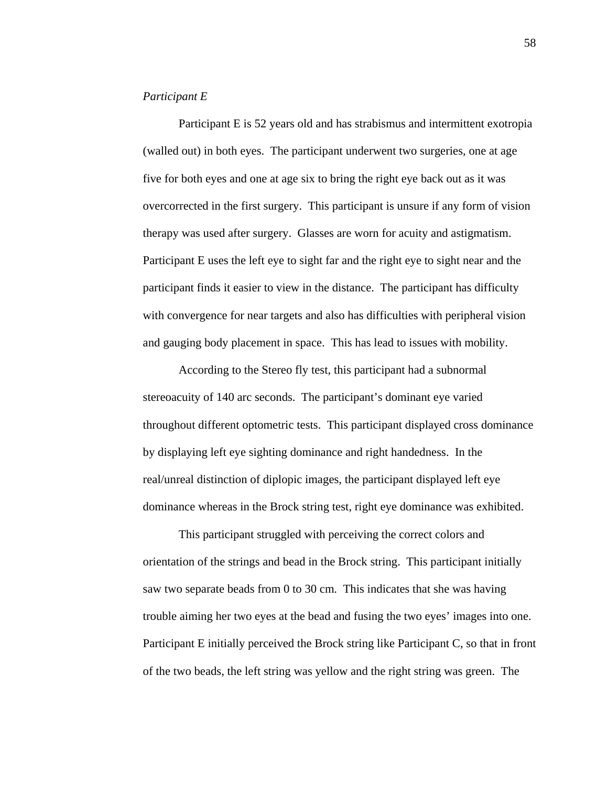#### *Participant E*

 Participant E is 52 years old and has strabismus and intermittent exotropia (walled out) in both eyes. The participant underwent two surgeries, one at age five for both eyes and one at age six to bring the right eye back out as it was overcorrected in the first surgery. This participant is unsure if any form of vision therapy was used after surgery. Glasses are worn for acuity and astigmatism. Participant E uses the left eye to sight far and the right eye to sight near and the participant finds it easier to view in the distance. The participant has difficulty with convergence for near targets and also has difficulties with peripheral vision and gauging body placement in space. This has lead to issues with mobility.

 According to the Stereo fly test, this participant had a subnormal stereoacuity of 140 arc seconds. The participant's dominant eye varied throughout different optometric tests. This participant displayed cross dominance by displaying left eye sighting dominance and right handedness. In the real/unreal distinction of diplopic images, the participant displayed left eye dominance whereas in the Brock string test, right eye dominance was exhibited.

 This participant struggled with perceiving the correct colors and orientation of the strings and bead in the Brock string. This participant initially saw two separate beads from 0 to 30 cm. This indicates that she was having trouble aiming her two eyes at the bead and fusing the two eyes' images into one. Participant E initially perceived the Brock string like Participant C, so that in front of the two beads, the left string was yellow and the right string was green. The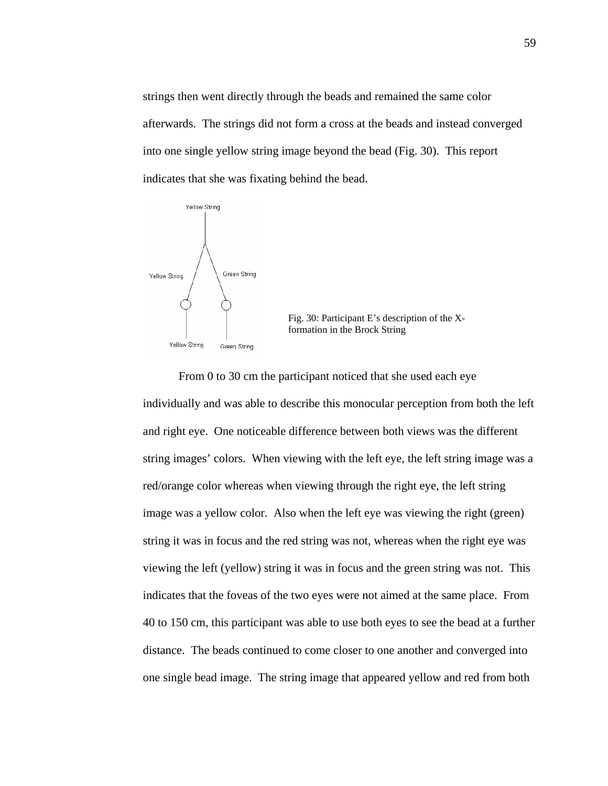strings then went directly through the beads and remained the same color afterwards. The strings did not form a cross at the beads and instead converged into one single yellow string image beyond the bead (Fig. 30). This report indicates that she was fixating behind the bead.



From 0 to 30 cm the participant noticed that she used each eye individually and was able to describe this monocular perception from both the left and right eye. One noticeable difference between both views was the different string images' colors. When viewing with the left eye, the left string image was a red/orange color whereas when viewing through the right eye, the left string image was a yellow color. Also when the left eye was viewing the right (green) string it was in focus and the red string was not, whereas when the right eye was viewing the left (yellow) string it was in focus and the green string was not. This indicates that the foveas of the two eyes were not aimed at the same place. From 40 to 150 cm, this participant was able to use both eyes to see the bead at a further distance. The beads continued to come closer to one another and converged into one single bead image. The string image that appeared yellow and red from both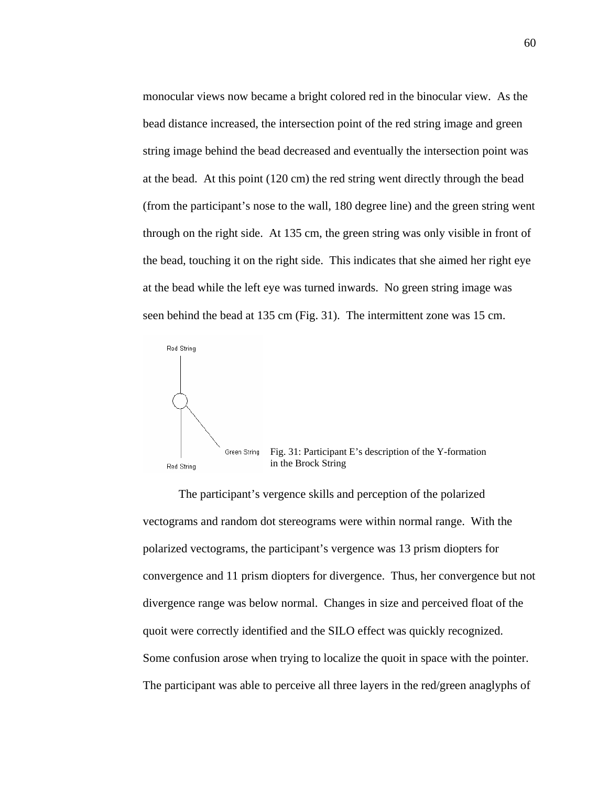monocular views now became a bright colored red in the binocular view. As the bead distance increased, the intersection point of the red string image and green string image behind the bead decreased and eventually the intersection point was at the bead. At this point (120 cm) the red string went directly through the bead (from the participant's nose to the wall, 180 degree line) and the green string went through on the right side. At 135 cm, the green string was only visible in front of the bead, touching it on the right side. This indicates that she aimed her right eye at the bead while the left eye was turned inwards. No green string image was seen behind the bead at 135 cm (Fig. 31). The intermittent zone was 15 cm.



 The participant's vergence skills and perception of the polarized vectograms and random dot stereograms were within normal range. With the polarized vectograms, the participant's vergence was 13 prism diopters for convergence and 11 prism diopters for divergence. Thus, her convergence but not divergence range was below normal. Changes in size and perceived float of the quoit were correctly identified and the SILO effect was quickly recognized. Some confusion arose when trying to localize the quoit in space with the pointer. The participant was able to perceive all three layers in the red/green anaglyphs of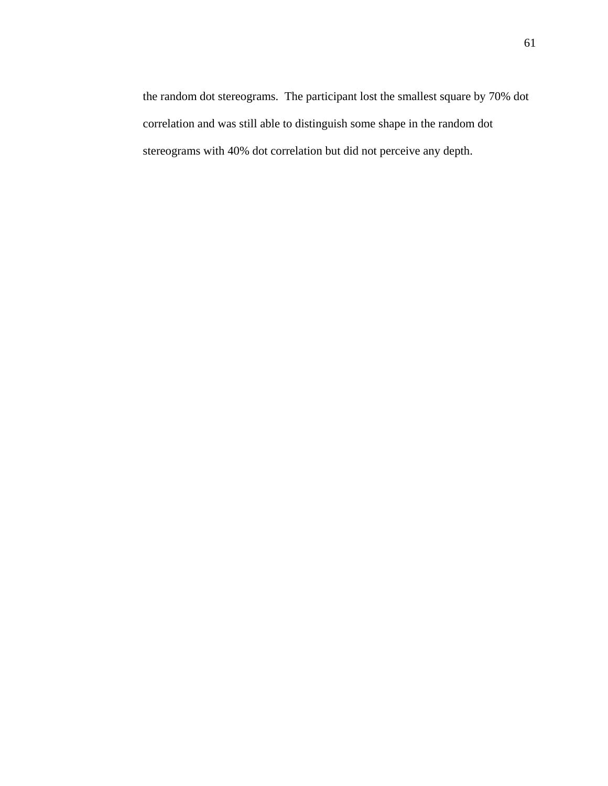the random dot stereograms. The participant lost the smallest square by 70% dot correlation and was still able to distinguish some shape in the random dot stereograms with 40% dot correlation but did not perceive any depth.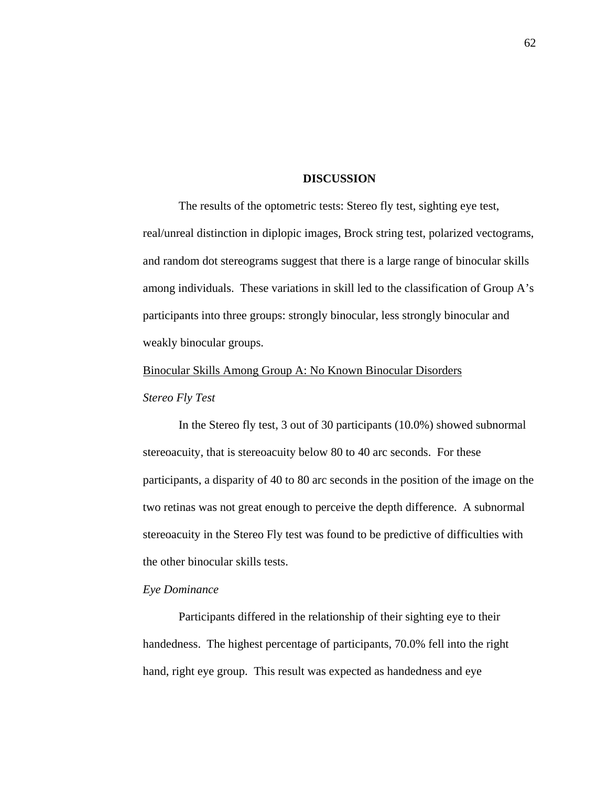#### **DISCUSSION**

 The results of the optometric tests: Stereo fly test, sighting eye test, real/unreal distinction in diplopic images, Brock string test, polarized vectograms, and random dot stereograms suggest that there is a large range of binocular skills among individuals. These variations in skill led to the classification of Group A's participants into three groups: strongly binocular, less strongly binocular and weakly binocular groups.

## Binocular Skills Among Group A: No Known Binocular Disorders

## *Stereo Fly Test*

 In the Stereo fly test, 3 out of 30 participants (10.0%) showed subnormal stereoacuity, that is stereoacuity below 80 to 40 arc seconds. For these participants, a disparity of 40 to 80 arc seconds in the position of the image on the two retinas was not great enough to perceive the depth difference. A subnormal stereoacuity in the Stereo Fly test was found to be predictive of difficulties with the other binocular skills tests.

# *Eye Dominance*

 Participants differed in the relationship of their sighting eye to their handedness. The highest percentage of participants, 70.0% fell into the right hand, right eye group. This result was expected as handedness and eye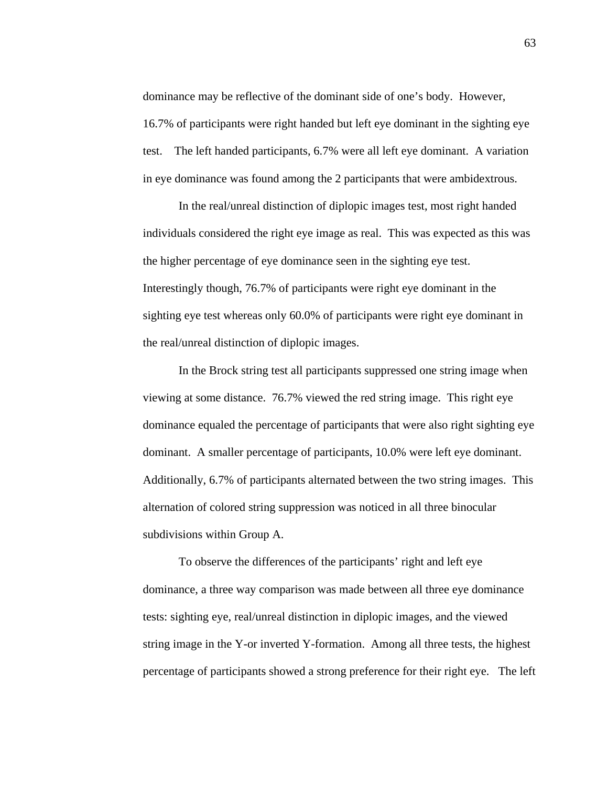dominance may be reflective of the dominant side of one's body. However, 16.7% of participants were right handed but left eye dominant in the sighting eye test. The left handed participants, 6.7% were all left eye dominant. A variation in eye dominance was found among the 2 participants that were ambidextrous.

In the real/unreal distinction of diplopic images test, most right handed individuals considered the right eye image as real. This was expected as this was the higher percentage of eye dominance seen in the sighting eye test. Interestingly though, 76.7% of participants were right eye dominant in the sighting eye test whereas only 60.0% of participants were right eye dominant in the real/unreal distinction of diplopic images.

In the Brock string test all participants suppressed one string image when viewing at some distance. 76.7% viewed the red string image. This right eye dominance equaled the percentage of participants that were also right sighting eye dominant. A smaller percentage of participants, 10.0% were left eye dominant. Additionally, 6.7% of participants alternated between the two string images. This alternation of colored string suppression was noticed in all three binocular subdivisions within Group A.

To observe the differences of the participants' right and left eye dominance, a three way comparison was made between all three eye dominance tests: sighting eye, real/unreal distinction in diplopic images, and the viewed string image in the Y-or inverted Y-formation. Among all three tests, the highest percentage of participants showed a strong preference for their right eye. The left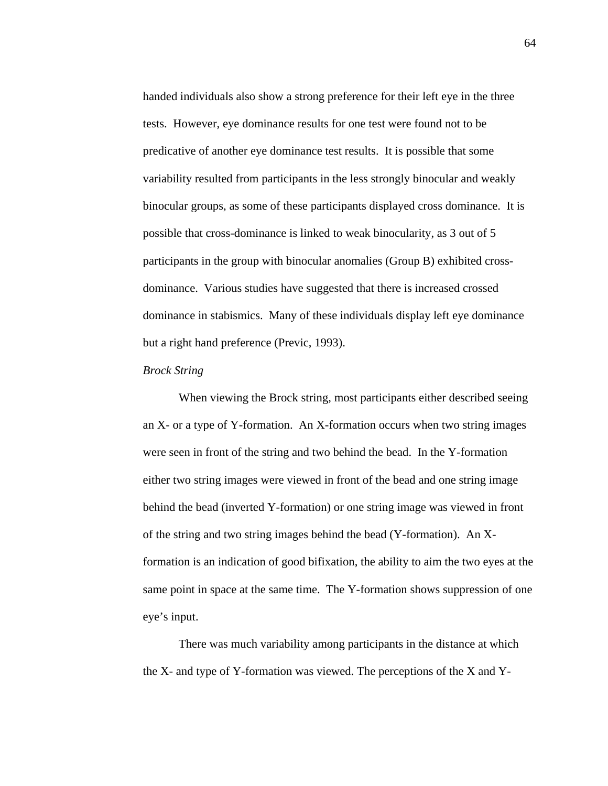handed individuals also show a strong preference for their left eye in the three tests. However, eye dominance results for one test were found not to be predicative of another eye dominance test results. It is possible that some variability resulted from participants in the less strongly binocular and weakly binocular groups, as some of these participants displayed cross dominance. It is possible that cross-dominance is linked to weak binocularity, as 3 out of 5 participants in the group with binocular anomalies (Group B) exhibited crossdominance. Various studies have suggested that there is increased crossed dominance in stabismics. Many of these individuals display left eye dominance but a right hand preference (Previc, 1993).

### *Brock String*

 When viewing the Brock string, most participants either described seeing an X- or a type of Y-formation. An X-formation occurs when two string images were seen in front of the string and two behind the bead. In the Y-formation either two string images were viewed in front of the bead and one string image behind the bead (inverted Y-formation) or one string image was viewed in front of the string and two string images behind the bead (Y-formation). An Xformation is an indication of good bifixation, the ability to aim the two eyes at the same point in space at the same time. The Y-formation shows suppression of one eye's input.

There was much variability among participants in the distance at which the X- and type of Y-formation was viewed. The perceptions of the X and Y-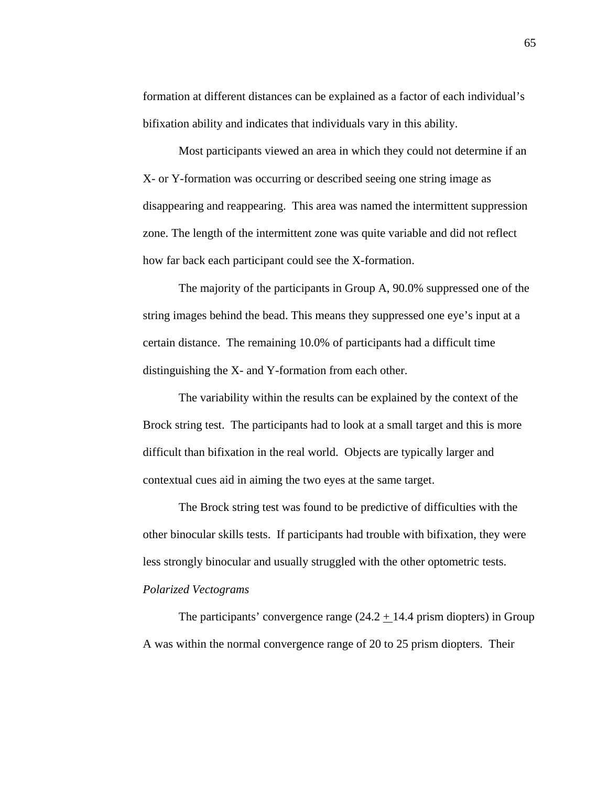formation at different distances can be explained as a factor of each individual's bifixation ability and indicates that individuals vary in this ability.

Most participants viewed an area in which they could not determine if an X- or Y-formation was occurring or described seeing one string image as disappearing and reappearing. This area was named the intermittent suppression zone. The length of the intermittent zone was quite variable and did not reflect how far back each participant could see the X-formation.

The majority of the participants in Group A, 90.0% suppressed one of the string images behind the bead. This means they suppressed one eye's input at a certain distance. The remaining 10.0% of participants had a difficult time distinguishing the X- and Y-formation from each other.

The variability within the results can be explained by the context of the Brock string test. The participants had to look at a small target and this is more difficult than bifixation in the real world. Objects are typically larger and contextual cues aid in aiming the two eyes at the same target.

The Brock string test was found to be predictive of difficulties with the other binocular skills tests. If participants had trouble with bifixation, they were less strongly binocular and usually struggled with the other optometric tests. *Polarized Vectograms*

The participants' convergence range  $(24.2 + 14.4 \text{ prism diopters})$  in Group A was within the normal convergence range of 20 to 25 prism diopters. Their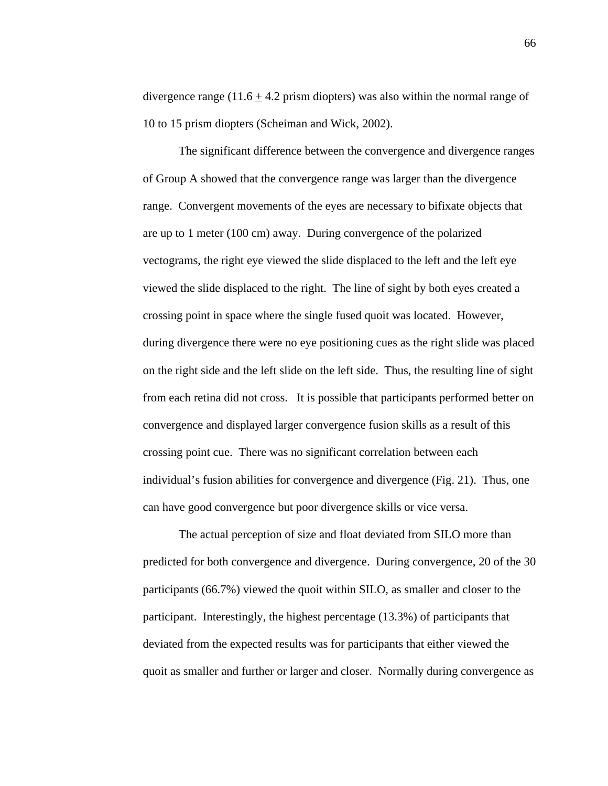divergence range (11.6  $\pm$  4.2 prism diopters) was also within the normal range of 10 to 15 prism diopters (Scheiman and Wick, 2002).

 The significant difference between the convergence and divergence ranges of Group A showed that the convergence range was larger than the divergence range. Convergent movements of the eyes are necessary to bifixate objects that are up to 1 meter (100 cm) away. During convergence of the polarized vectograms, the right eye viewed the slide displaced to the left and the left eye viewed the slide displaced to the right. The line of sight by both eyes created a crossing point in space where the single fused quoit was located. However, during divergence there were no eye positioning cues as the right slide was placed on the right side and the left slide on the left side. Thus, the resulting line of sight from each retina did not cross. It is possible that participants performed better on convergence and displayed larger convergence fusion skills as a result of this crossing point cue. There was no significant correlation between each individual's fusion abilities for convergence and divergence (Fig. 21). Thus, one can have good convergence but poor divergence skills or vice versa.

 The actual perception of size and float deviated from SILO more than predicted for both convergence and divergence. During convergence, 20 of the 30 participants (66.7%) viewed the quoit within SILO, as smaller and closer to the participant. Interestingly, the highest percentage (13.3%) of participants that deviated from the expected results was for participants that either viewed the quoit as smaller and further or larger and closer. Normally during convergence as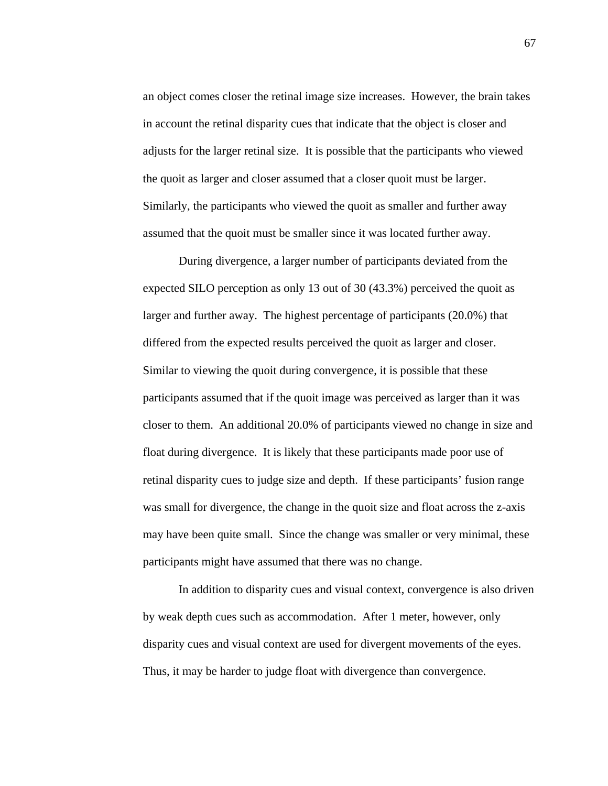an object comes closer the retinal image size increases. However, the brain takes in account the retinal disparity cues that indicate that the object is closer and adjusts for the larger retinal size. It is possible that the participants who viewed the quoit as larger and closer assumed that a closer quoit must be larger. Similarly, the participants who viewed the quoit as smaller and further away assumed that the quoit must be smaller since it was located further away.

 During divergence, a larger number of participants deviated from the expected SILO perception as only 13 out of 30 (43.3%) perceived the quoit as larger and further away. The highest percentage of participants (20.0%) that differed from the expected results perceived the quoit as larger and closer. Similar to viewing the quoit during convergence, it is possible that these participants assumed that if the quoit image was perceived as larger than it was closer to them. An additional 20.0% of participants viewed no change in size and float during divergence. It is likely that these participants made poor use of retinal disparity cues to judge size and depth. If these participants' fusion range was small for divergence, the change in the quoit size and float across the z-axis may have been quite small. Since the change was smaller or very minimal, these participants might have assumed that there was no change.

In addition to disparity cues and visual context, convergence is also driven by weak depth cues such as accommodation. After 1 meter, however, only disparity cues and visual context are used for divergent movements of the eyes. Thus, it may be harder to judge float with divergence than convergence.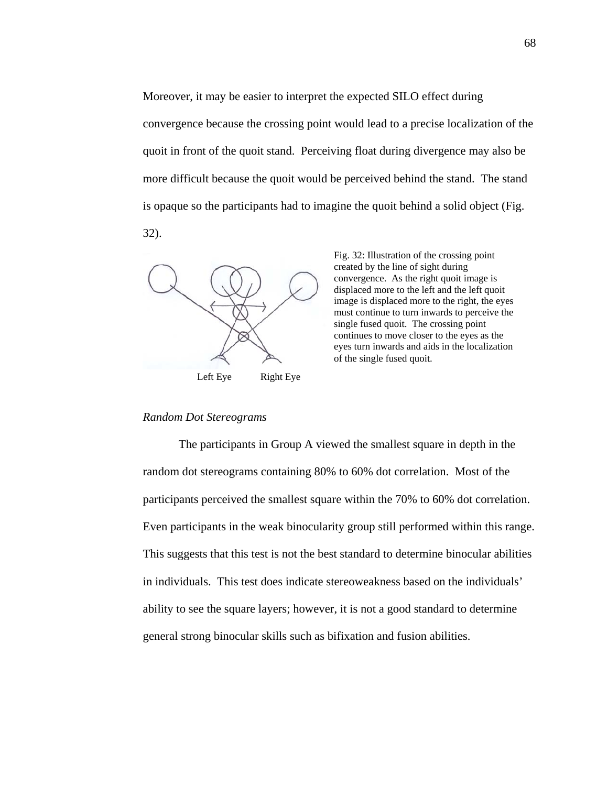Moreover, it may be easier to interpret the expected SILO effect during convergence because the crossing point would lead to a precise localization of the quoit in front of the quoit stand. Perceiving float during divergence may also be more difficult because the quoit would be perceived behind the stand. The stand is opaque so the participants had to imagine the quoit behind a solid object (Fig. 32).



Fig. 32: Illustration of the crossing point created by the line of sight during convergence. As the right quoit image is displaced more to the left and the left quoit image is displaced more to the right, the eyes must continue to turn inwards to perceive the single fused quoit. The crossing point continues to move closer to the eyes as the eyes turn inwards and aids in the localization of the single fused quoit.

#### *Random Dot Stereograms*

 The participants in Group A viewed the smallest square in depth in the random dot stereograms containing 80% to 60% dot correlation. Most of the participants perceived the smallest square within the 70% to 60% dot correlation. Even participants in the weak binocularity group still performed within this range. This suggests that this test is not the best standard to determine binocular abilities in individuals. This test does indicate stereoweakness based on the individuals' ability to see the square layers; however, it is not a good standard to determine general strong binocular skills such as bifixation and fusion abilities.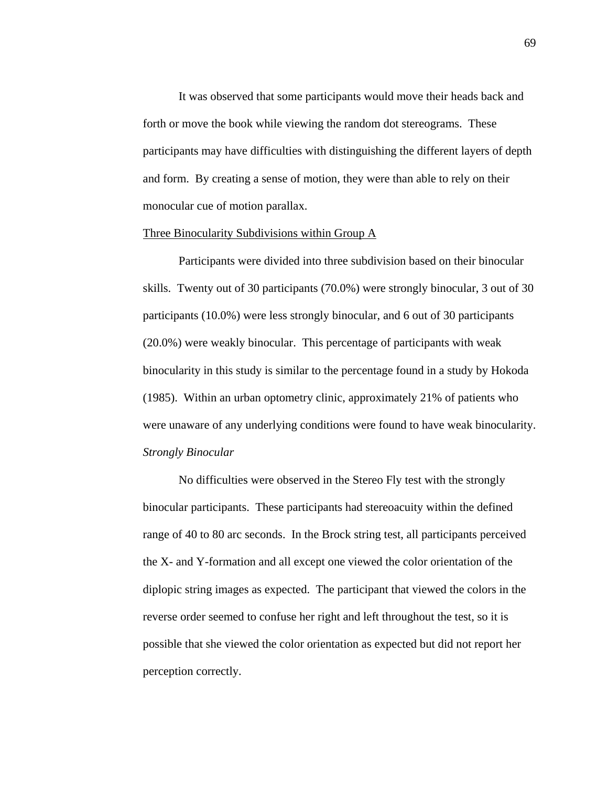It was observed that some participants would move their heads back and forth or move the book while viewing the random dot stereograms. These participants may have difficulties with distinguishing the different layers of depth and form. By creating a sense of motion, they were than able to rely on their monocular cue of motion parallax.

#### Three Binocularity Subdivisions within Group A

 Participants were divided into three subdivision based on their binocular skills. Twenty out of 30 participants (70.0%) were strongly binocular, 3 out of 30 participants (10.0%) were less strongly binocular, and 6 out of 30 participants (20.0%) were weakly binocular. This percentage of participants with weak binocularity in this study is similar to the percentage found in a study by Hokoda (1985). Within an urban optometry clinic, approximately 21% of patients who were unaware of any underlying conditions were found to have weak binocularity. *Strongly Binocular*

 No difficulties were observed in the Stereo Fly test with the strongly binocular participants. These participants had stereoacuity within the defined range of 40 to 80 arc seconds. In the Brock string test, all participants perceived the X- and Y-formation and all except one viewed the color orientation of the diplopic string images as expected. The participant that viewed the colors in the reverse order seemed to confuse her right and left throughout the test, so it is possible that she viewed the color orientation as expected but did not report her perception correctly.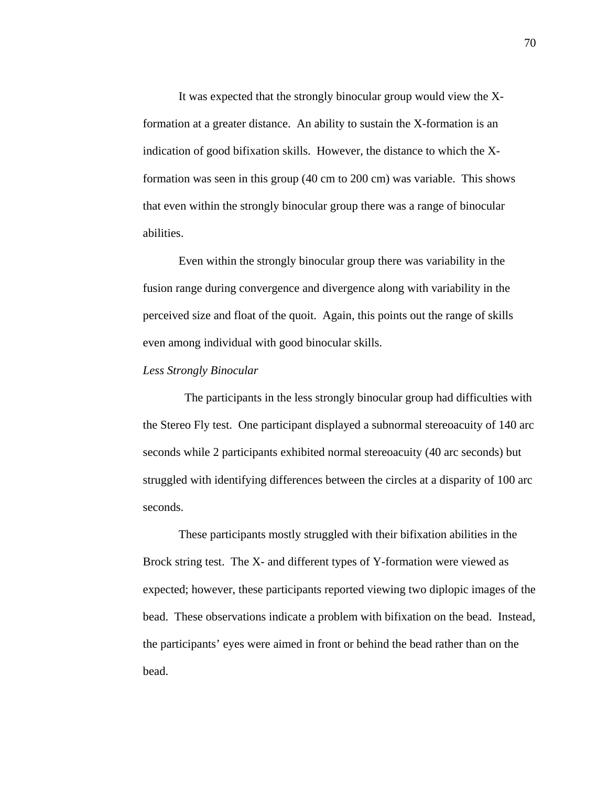It was expected that the strongly binocular group would view the Xformation at a greater distance. An ability to sustain the X-formation is an indication of good bifixation skills. However, the distance to which the Xformation was seen in this group (40 cm to 200 cm) was variable. This shows that even within the strongly binocular group there was a range of binocular abilities.

Even within the strongly binocular group there was variability in the fusion range during convergence and divergence along with variability in the perceived size and float of the quoit. Again, this points out the range of skills even among individual with good binocular skills.

### *Less Strongly Binocular*

 The participants in the less strongly binocular group had difficulties with the Stereo Fly test. One participant displayed a subnormal stereoacuity of 140 arc seconds while 2 participants exhibited normal stereoacuity (40 arc seconds) but struggled with identifying differences between the circles at a disparity of 100 arc seconds.

 These participants mostly struggled with their bifixation abilities in the Brock string test. The X- and different types of Y-formation were viewed as expected; however, these participants reported viewing two diplopic images of the bead. These observations indicate a problem with bifixation on the bead. Instead, the participants' eyes were aimed in front or behind the bead rather than on the bead.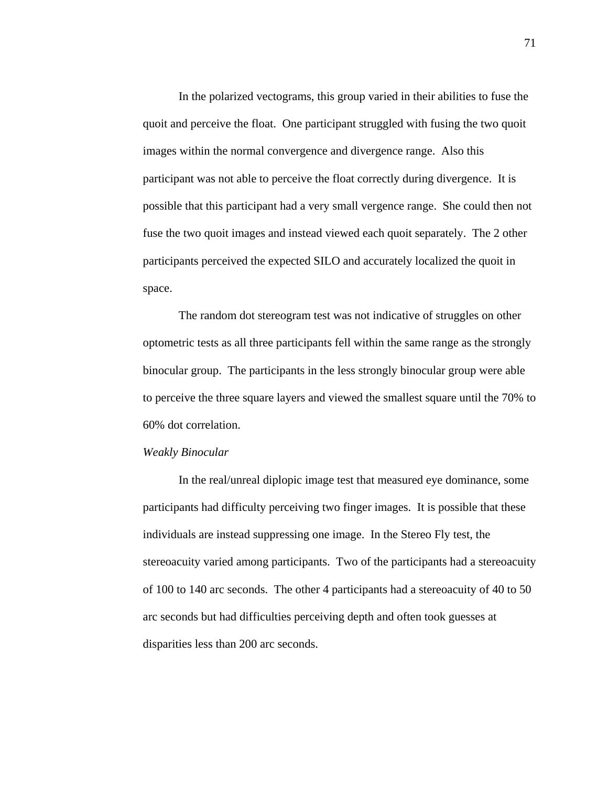In the polarized vectograms, this group varied in their abilities to fuse the quoit and perceive the float. One participant struggled with fusing the two quoit images within the normal convergence and divergence range. Also this participant was not able to perceive the float correctly during divergence. It is possible that this participant had a very small vergence range. She could then not fuse the two quoit images and instead viewed each quoit separately. The 2 other participants perceived the expected SILO and accurately localized the quoit in space.

 The random dot stereogram test was not indicative of struggles on other optometric tests as all three participants fell within the same range as the strongly binocular group. The participants in the less strongly binocular group were able to perceive the three square layers and viewed the smallest square until the 70% to 60% dot correlation.

#### *Weakly Binocular*

 In the real/unreal diplopic image test that measured eye dominance, some participants had difficulty perceiving two finger images. It is possible that these individuals are instead suppressing one image. In the Stereo Fly test, the stereoacuity varied among participants. Two of the participants had a stereoacuity of 100 to 140 arc seconds. The other 4 participants had a stereoacuity of 40 to 50 arc seconds but had difficulties perceiving depth and often took guesses at disparities less than 200 arc seconds.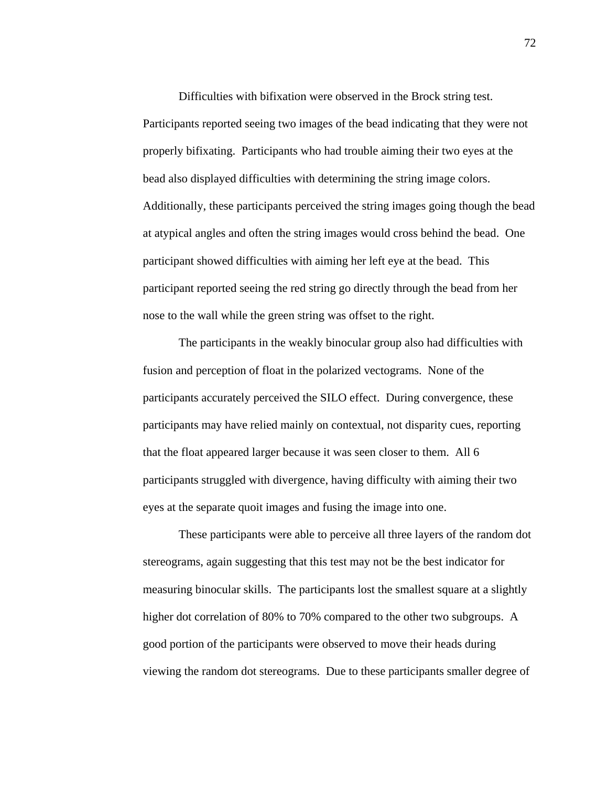Difficulties with bifixation were observed in the Brock string test. Participants reported seeing two images of the bead indicating that they were not properly bifixating. Participants who had trouble aiming their two eyes at the bead also displayed difficulties with determining the string image colors. Additionally, these participants perceived the string images going though the bead at atypical angles and often the string images would cross behind the bead. One participant showed difficulties with aiming her left eye at the bead. This participant reported seeing the red string go directly through the bead from her nose to the wall while the green string was offset to the right.

 The participants in the weakly binocular group also had difficulties with fusion and perception of float in the polarized vectograms. None of the participants accurately perceived the SILO effect. During convergence, these participants may have relied mainly on contextual, not disparity cues, reporting that the float appeared larger because it was seen closer to them. All 6 participants struggled with divergence, having difficulty with aiming their two eyes at the separate quoit images and fusing the image into one.

 These participants were able to perceive all three layers of the random dot stereograms, again suggesting that this test may not be the best indicator for measuring binocular skills. The participants lost the smallest square at a slightly higher dot correlation of 80% to 70% compared to the other two subgroups. A good portion of the participants were observed to move their heads during viewing the random dot stereograms. Due to these participants smaller degree of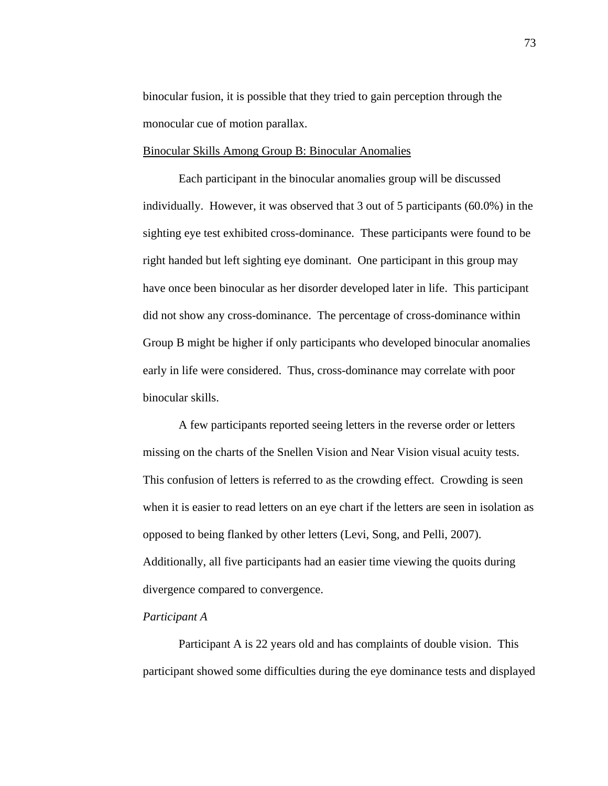binocular fusion, it is possible that they tried to gain perception through the monocular cue of motion parallax.

#### Binocular Skills Among Group B: Binocular Anomalies

 Each participant in the binocular anomalies group will be discussed individually. However, it was observed that 3 out of 5 participants (60.0%) in the sighting eye test exhibited cross-dominance. These participants were found to be right handed but left sighting eye dominant. One participant in this group may have once been binocular as her disorder developed later in life. This participant did not show any cross-dominance. The percentage of cross-dominance within Group B might be higher if only participants who developed binocular anomalies early in life were considered. Thus, cross-dominance may correlate with poor binocular skills.

 A few participants reported seeing letters in the reverse order or letters missing on the charts of the Snellen Vision and Near Vision visual acuity tests. This confusion of letters is referred to as the crowding effect. Crowding is seen when it is easier to read letters on an eye chart if the letters are seen in isolation as opposed to being flanked by other letters (Levi, Song, and Pelli, 2007). Additionally, all five participants had an easier time viewing the quoits during divergence compared to convergence.

### *Participant A*

 Participant A is 22 years old and has complaints of double vision. This participant showed some difficulties during the eye dominance tests and displayed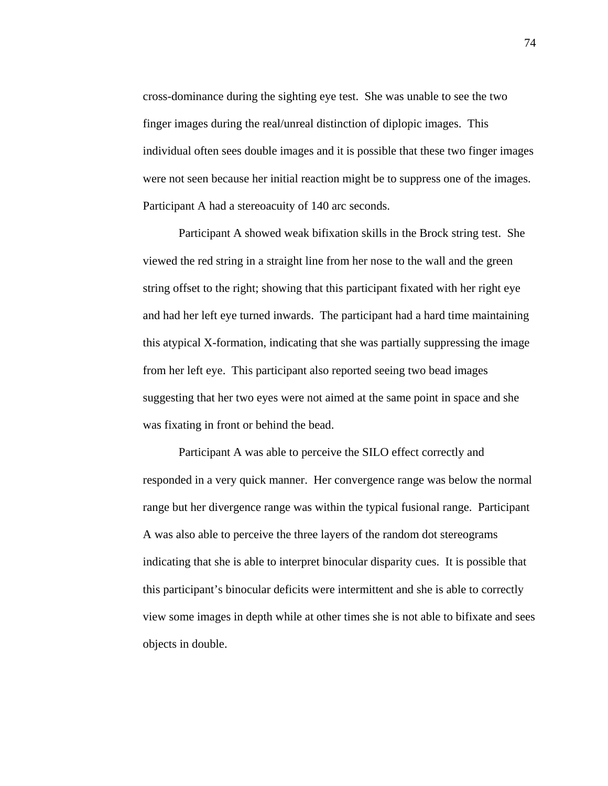cross-dominance during the sighting eye test. She was unable to see the two finger images during the real/unreal distinction of diplopic images. This individual often sees double images and it is possible that these two finger images were not seen because her initial reaction might be to suppress one of the images. Participant A had a stereoacuity of 140 arc seconds.

 Participant A showed weak bifixation skills in the Brock string test. She viewed the red string in a straight line from her nose to the wall and the green string offset to the right; showing that this participant fixated with her right eye and had her left eye turned inwards. The participant had a hard time maintaining this atypical X-formation, indicating that she was partially suppressing the image from her left eye. This participant also reported seeing two bead images suggesting that her two eyes were not aimed at the same point in space and she was fixating in front or behind the bead.

 Participant A was able to perceive the SILO effect correctly and responded in a very quick manner. Her convergence range was below the normal range but her divergence range was within the typical fusional range. Participant A was also able to perceive the three layers of the random dot stereograms indicating that she is able to interpret binocular disparity cues. It is possible that this participant's binocular deficits were intermittent and she is able to correctly view some images in depth while at other times she is not able to bifixate and sees objects in double.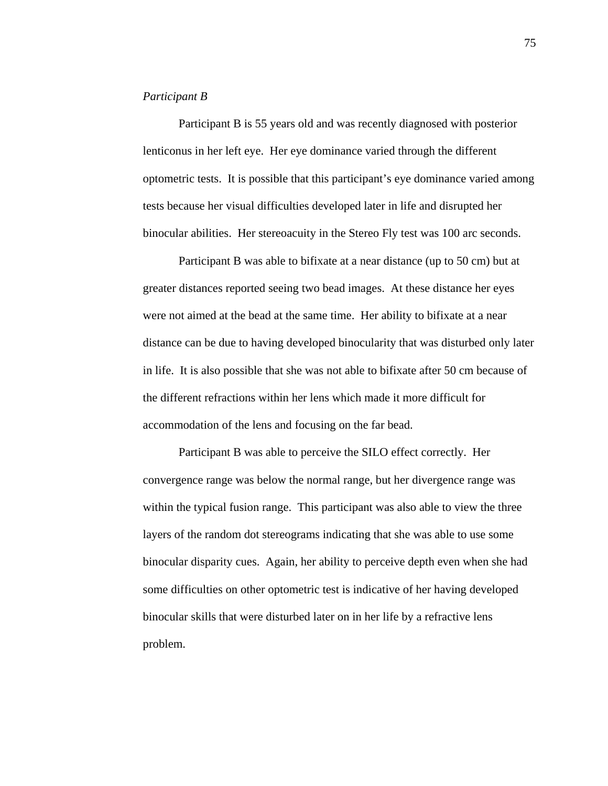#### *Participant B*

Participant B is 55 years old and was recently diagnosed with posterior lenticonus in her left eye. Her eye dominance varied through the different optometric tests. It is possible that this participant's eye dominance varied among tests because her visual difficulties developed later in life and disrupted her binocular abilities. Her stereoacuity in the Stereo Fly test was 100 arc seconds.

Participant B was able to bifixate at a near distance (up to 50 cm) but at greater distances reported seeing two bead images. At these distance her eyes were not aimed at the bead at the same time. Her ability to bifixate at a near distance can be due to having developed binocularity that was disturbed only later in life. It is also possible that she was not able to bifixate after 50 cm because of the different refractions within her lens which made it more difficult for accommodation of the lens and focusing on the far bead.

Participant B was able to perceive the SILO effect correctly. Her convergence range was below the normal range, but her divergence range was within the typical fusion range. This participant was also able to view the three layers of the random dot stereograms indicating that she was able to use some binocular disparity cues. Again, her ability to perceive depth even when she had some difficulties on other optometric test is indicative of her having developed binocular skills that were disturbed later on in her life by a refractive lens problem.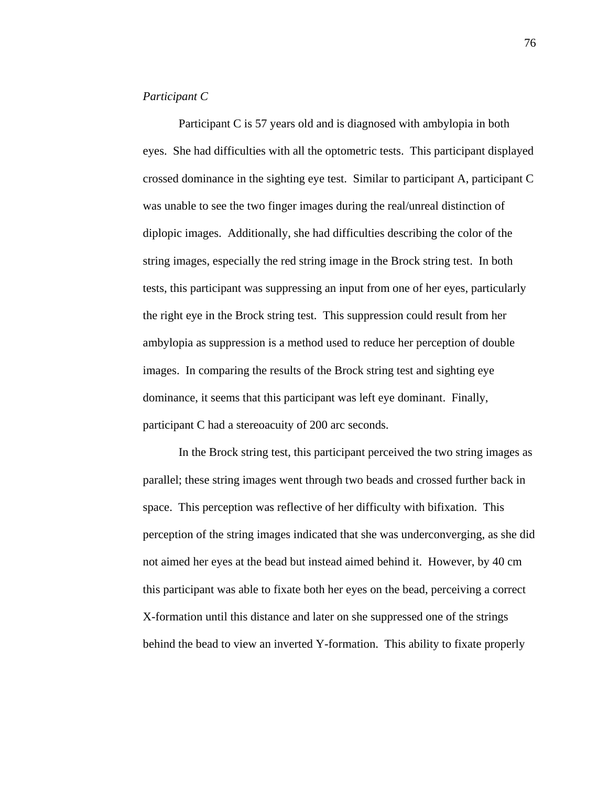#### *Participant C*

 Participant C is 57 years old and is diagnosed with ambylopia in both eyes. She had difficulties with all the optometric tests. This participant displayed crossed dominance in the sighting eye test. Similar to participant A, participant C was unable to see the two finger images during the real/unreal distinction of diplopic images. Additionally, she had difficulties describing the color of the string images, especially the red string image in the Brock string test. In both tests, this participant was suppressing an input from one of her eyes, particularly the right eye in the Brock string test. This suppression could result from her ambylopia as suppression is a method used to reduce her perception of double images. In comparing the results of the Brock string test and sighting eye dominance, it seems that this participant was left eye dominant. Finally, participant C had a stereoacuity of 200 arc seconds.

 In the Brock string test, this participant perceived the two string images as parallel; these string images went through two beads and crossed further back in space. This perception was reflective of her difficulty with bifixation. This perception of the string images indicated that she was underconverging, as she did not aimed her eyes at the bead but instead aimed behind it. However, by 40 cm this participant was able to fixate both her eyes on the bead, perceiving a correct X-formation until this distance and later on she suppressed one of the strings behind the bead to view an inverted Y-formation. This ability to fixate properly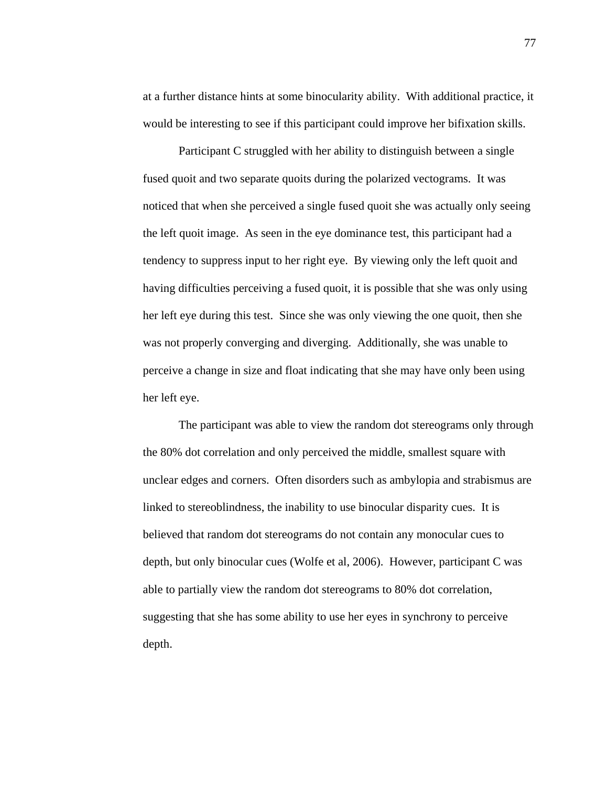at a further distance hints at some binocularity ability. With additional practice, it would be interesting to see if this participant could improve her bifixation skills.

 Participant C struggled with her ability to distinguish between a single fused quoit and two separate quoits during the polarized vectograms. It was noticed that when she perceived a single fused quoit she was actually only seeing the left quoit image. As seen in the eye dominance test, this participant had a tendency to suppress input to her right eye. By viewing only the left quoit and having difficulties perceiving a fused quoit, it is possible that she was only using her left eye during this test. Since she was only viewing the one quoit, then she was not properly converging and diverging. Additionally, she was unable to perceive a change in size and float indicating that she may have only been using her left eye.

 The participant was able to view the random dot stereograms only through the 80% dot correlation and only perceived the middle, smallest square with unclear edges and corners. Often disorders such as ambylopia and strabismus are linked to stereoblindness, the inability to use binocular disparity cues. It is believed that random dot stereograms do not contain any monocular cues to depth, but only binocular cues (Wolfe et al, 2006). However, participant C was able to partially view the random dot stereograms to 80% dot correlation, suggesting that she has some ability to use her eyes in synchrony to perceive depth.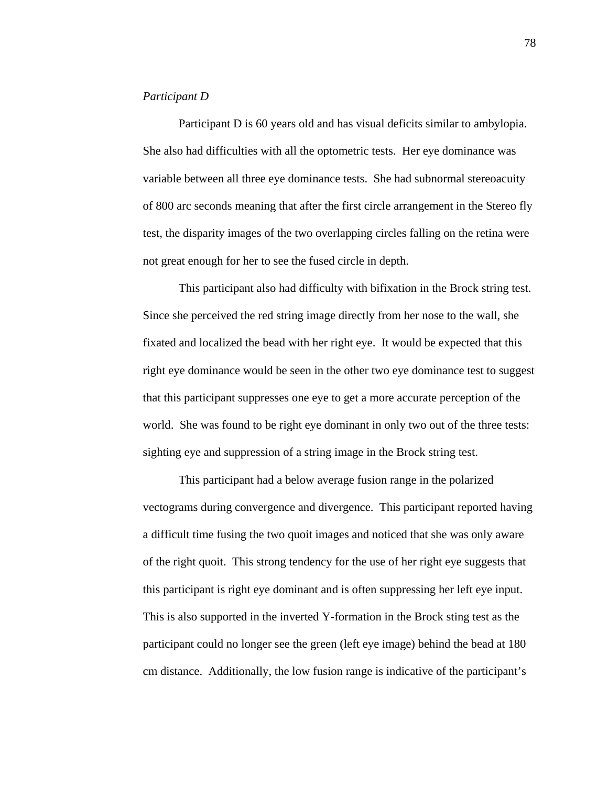#### *Participant D*

 Participant D is 60 years old and has visual deficits similar to ambylopia. She also had difficulties with all the optometric tests. Her eye dominance was variable between all three eye dominance tests. She had subnormal stereoacuity of 800 arc seconds meaning that after the first circle arrangement in the Stereo fly test, the disparity images of the two overlapping circles falling on the retina were not great enough for her to see the fused circle in depth.

 This participant also had difficulty with bifixation in the Brock string test. Since she perceived the red string image directly from her nose to the wall, she fixated and localized the bead with her right eye. It would be expected that this right eye dominance would be seen in the other two eye dominance test to suggest that this participant suppresses one eye to get a more accurate perception of the world. She was found to be right eye dominant in only two out of the three tests: sighting eye and suppression of a string image in the Brock string test.

 This participant had a below average fusion range in the polarized vectograms during convergence and divergence. This participant reported having a difficult time fusing the two quoit images and noticed that she was only aware of the right quoit. This strong tendency for the use of her right eye suggests that this participant is right eye dominant and is often suppressing her left eye input. This is also supported in the inverted Y-formation in the Brock sting test as the participant could no longer see the green (left eye image) behind the bead at 180 cm distance. Additionally, the low fusion range is indicative of the participant's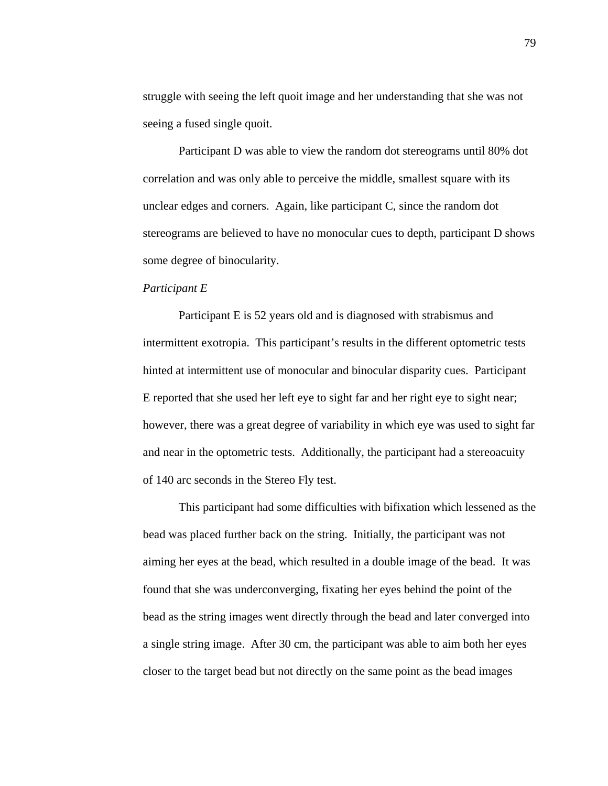struggle with seeing the left quoit image and her understanding that she was not seeing a fused single quoit.

 Participant D was able to view the random dot stereograms until 80% dot correlation and was only able to perceive the middle, smallest square with its unclear edges and corners. Again, like participant C, since the random dot stereograms are believed to have no monocular cues to depth, participant D shows some degree of binocularity.

#### *Participant E*

 Participant E is 52 years old and is diagnosed with strabismus and intermittent exotropia. This participant's results in the different optometric tests hinted at intermittent use of monocular and binocular disparity cues. Participant E reported that she used her left eye to sight far and her right eye to sight near; however, there was a great degree of variability in which eye was used to sight far and near in the optometric tests. Additionally, the participant had a stereoacuity of 140 arc seconds in the Stereo Fly test.

 This participant had some difficulties with bifixation which lessened as the bead was placed further back on the string. Initially, the participant was not aiming her eyes at the bead, which resulted in a double image of the bead. It was found that she was underconverging, fixating her eyes behind the point of the bead as the string images went directly through the bead and later converged into a single string image. After 30 cm, the participant was able to aim both her eyes closer to the target bead but not directly on the same point as the bead images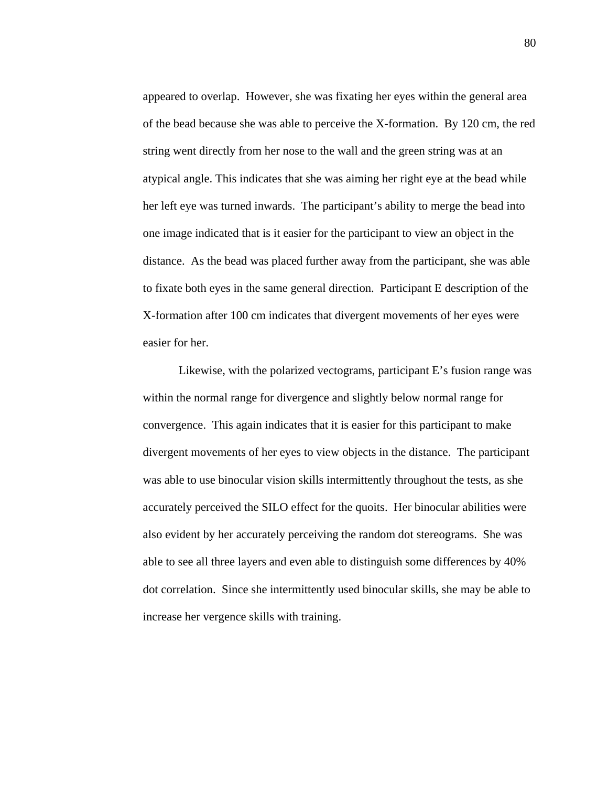appeared to overlap. However, she was fixating her eyes within the general area of the bead because she was able to perceive the X-formation. By 120 cm, the red string went directly from her nose to the wall and the green string was at an atypical angle. This indicates that she was aiming her right eye at the bead while her left eye was turned inwards. The participant's ability to merge the bead into one image indicated that is it easier for the participant to view an object in the distance. As the bead was placed further away from the participant, she was able to fixate both eyes in the same general direction. Participant E description of the X-formation after 100 cm indicates that divergent movements of her eyes were easier for her.

 Likewise, with the polarized vectograms, participant E's fusion range was within the normal range for divergence and slightly below normal range for convergence. This again indicates that it is easier for this participant to make divergent movements of her eyes to view objects in the distance. The participant was able to use binocular vision skills intermittently throughout the tests, as she accurately perceived the SILO effect for the quoits. Her binocular abilities were also evident by her accurately perceiving the random dot stereograms. She was able to see all three layers and even able to distinguish some differences by 40% dot correlation. Since she intermittently used binocular skills, she may be able to increase her vergence skills with training.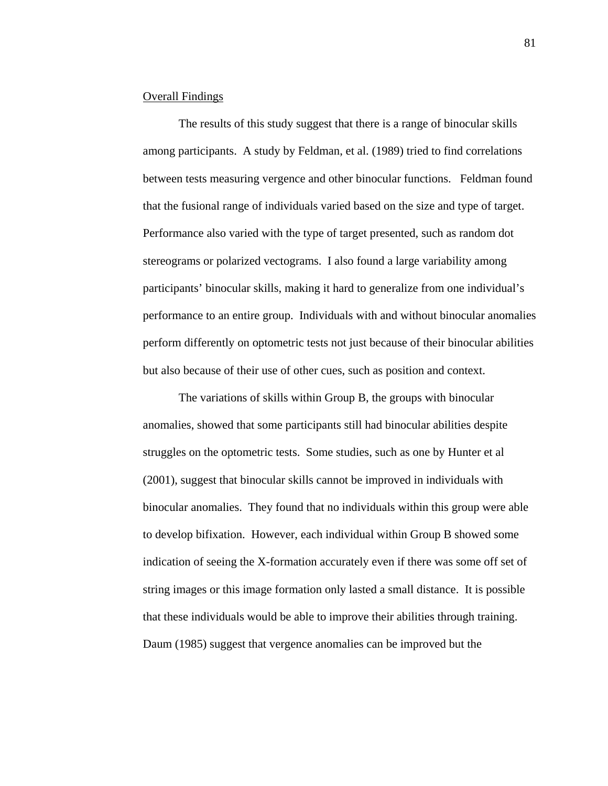#### Overall Findings

 The results of this study suggest that there is a range of binocular skills among participants. A study by Feldman, et al. (1989) tried to find correlations between tests measuring vergence and other binocular functions. Feldman found that the fusional range of individuals varied based on the size and type of target. Performance also varied with the type of target presented, such as random dot stereograms or polarized vectograms. I also found a large variability among participants' binocular skills, making it hard to generalize from one individual's performance to an entire group. Individuals with and without binocular anomalies perform differently on optometric tests not just because of their binocular abilities but also because of their use of other cues, such as position and context.

 The variations of skills within Group B, the groups with binocular anomalies, showed that some participants still had binocular abilities despite struggles on the optometric tests. Some studies, such as one by Hunter et al (2001), suggest that binocular skills cannot be improved in individuals with binocular anomalies. They found that no individuals within this group were able to develop bifixation. However, each individual within Group B showed some indication of seeing the X-formation accurately even if there was some off set of string images or this image formation only lasted a small distance. It is possible that these individuals would be able to improve their abilities through training. Daum (1985) suggest that vergence anomalies can be improved but the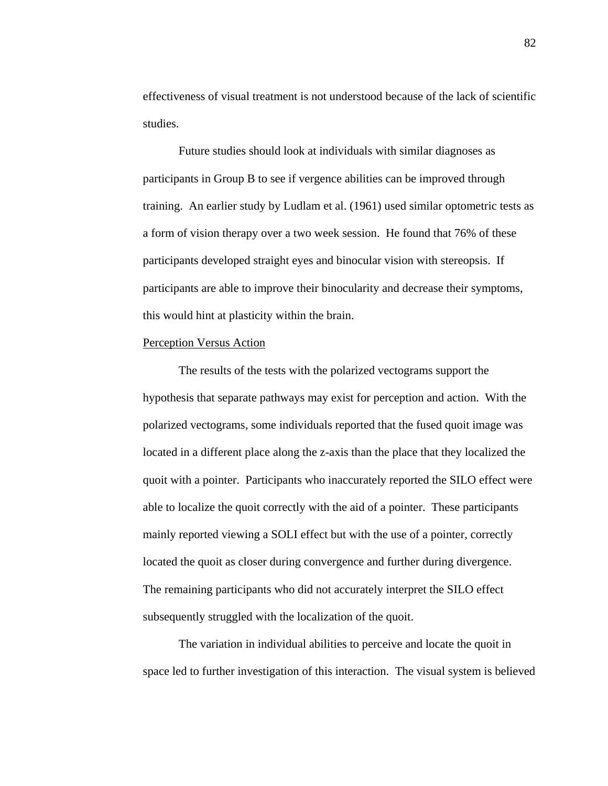effectiveness of visual treatment is not understood because of the lack of scientific studies.

Future studies should look at individuals with similar diagnoses as participants in Group B to see if vergence abilities can be improved through training. An earlier study by Ludlam et al. (1961) used similar optometric tests as a form of vision therapy over a two week session. He found that 76% of these participants developed straight eyes and binocular vision with stereopsis. If participants are able to improve their binocularity and decrease their symptoms, this would hint at plasticity within the brain.

### Perception Versus Action

 The results of the tests with the polarized vectograms support the hypothesis that separate pathways may exist for perception and action. With the polarized vectograms, some individuals reported that the fused quoit image was located in a different place along the z-axis than the place that they localized the quoit with a pointer. Participants who inaccurately reported the SILO effect were able to localize the quoit correctly with the aid of a pointer. These participants mainly reported viewing a SOLI effect but with the use of a pointer, correctly located the quoit as closer during convergence and further during divergence. The remaining participants who did not accurately interpret the SILO effect subsequently struggled with the localization of the quoit.

 The variation in individual abilities to perceive and locate the quoit in space led to further investigation of this interaction. The visual system is believed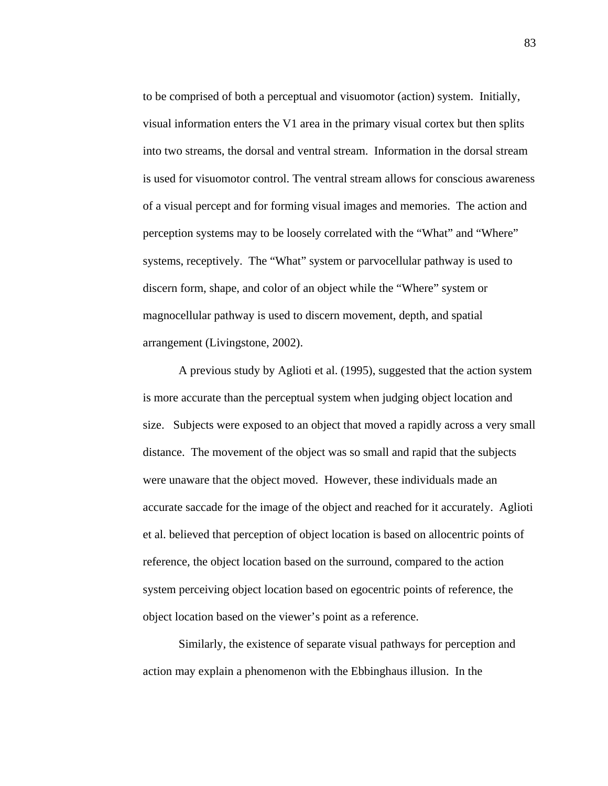to be comprised of both a perceptual and visuomotor (action) system. Initially, visual information enters the V1 area in the primary visual cortex but then splits into two streams, the dorsal and ventral stream. Information in the dorsal stream is used for visuomotor control. The ventral stream allows for conscious awareness of a visual percept and for forming visual images and memories. The action and perception systems may to be loosely correlated with the "What" and "Where" systems, receptively. The "What" system or parvocellular pathway is used to discern form, shape, and color of an object while the "Where" system or magnocellular pathway is used to discern movement, depth, and spatial arrangement (Livingstone, 2002).

A previous study by Aglioti et al. (1995), suggested that the action system is more accurate than the perceptual system when judging object location and size. Subjects were exposed to an object that moved a rapidly across a very small distance. The movement of the object was so small and rapid that the subjects were unaware that the object moved. However, these individuals made an accurate saccade for the image of the object and reached for it accurately. Aglioti et al. believed that perception of object location is based on allocentric points of reference, the object location based on the surround, compared to the action system perceiving object location based on egocentric points of reference, the object location based on the viewer's point as a reference.

Similarly, the existence of separate visual pathways for perception and action may explain a phenomenon with the Ebbinghaus illusion. In the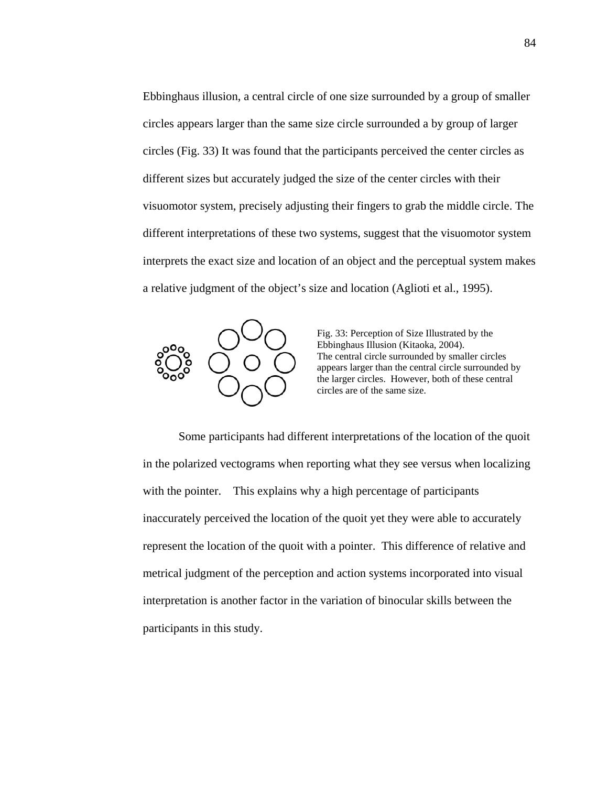Ebbinghaus illusion, a central circle of one size surrounded by a group of smaller circles appears larger than the same size circle surrounded a by group of larger circles (Fig. 33) It was found that the participants perceived the center circles as different sizes but accurately judged the size of the center circles with their visuomotor system, precisely adjusting their fingers to grab the middle circle. The different interpretations of these two systems, suggest that the visuomotor system interprets the exact size and location of an object and the perceptual system makes a relative judgment of the object's size and location (Aglioti et al., 1995).



Fig. 33: Perception of Size Illustrated by the Ebbinghaus Illusion (Kitaoka, 2004). The central circle surrounded by smaller circles appears larger than the central circle surrounded by the larger circles. However, both of these central circles are of the same size.

Some participants had different interpretations of the location of the quoit in the polarized vectograms when reporting what they see versus when localizing with the pointer. This explains why a high percentage of participants inaccurately perceived the location of the quoit yet they were able to accurately represent the location of the quoit with a pointer. This difference of relative and metrical judgment of the perception and action systems incorporated into visual interpretation is another factor in the variation of binocular skills between the participants in this study.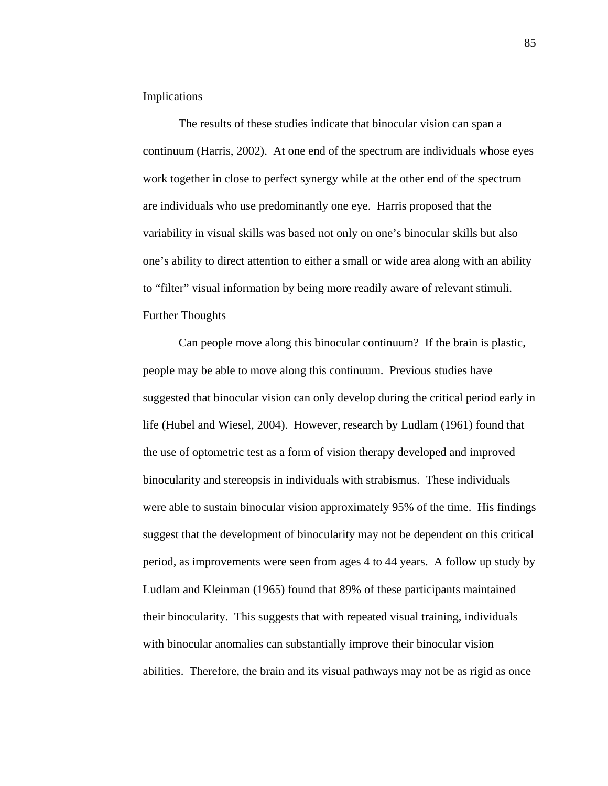#### **Implications**

 The results of these studies indicate that binocular vision can span a continuum (Harris, 2002). At one end of the spectrum are individuals whose eyes work together in close to perfect synergy while at the other end of the spectrum are individuals who use predominantly one eye. Harris proposed that the variability in visual skills was based not only on one's binocular skills but also one's ability to direct attention to either a small or wide area along with an ability to "filter" visual information by being more readily aware of relevant stimuli.

#### Further Thoughts

 Can people move along this binocular continuum? If the brain is plastic, people may be able to move along this continuum. Previous studies have suggested that binocular vision can only develop during the critical period early in life (Hubel and Wiesel, 2004). However, research by Ludlam (1961) found that the use of optometric test as a form of vision therapy developed and improved binocularity and stereopsis in individuals with strabismus. These individuals were able to sustain binocular vision approximately 95% of the time. His findings suggest that the development of binocularity may not be dependent on this critical period, as improvements were seen from ages 4 to 44 years. A follow up study by Ludlam and Kleinman (1965) found that 89% of these participants maintained their binocularity. This suggests that with repeated visual training, individuals with binocular anomalies can substantially improve their binocular vision abilities. Therefore, the brain and its visual pathways may not be as rigid as once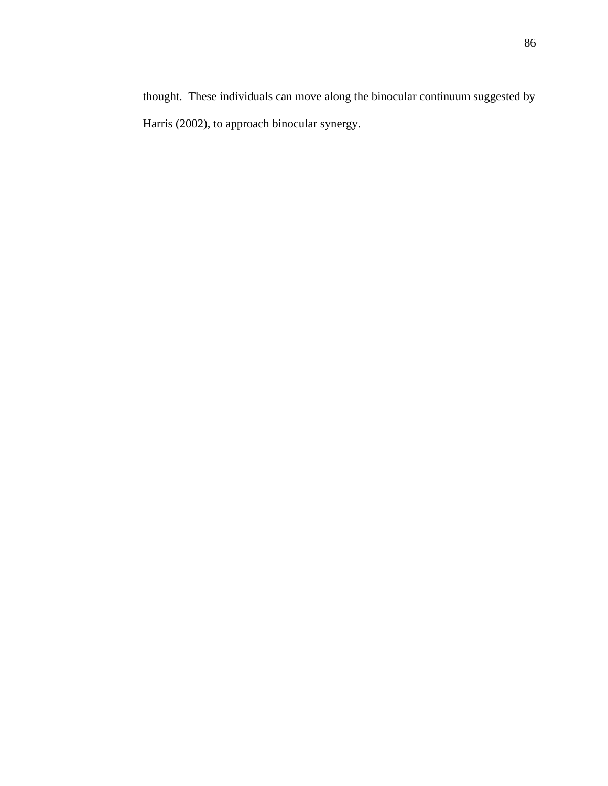Harris (2002), to approach binocular synergy.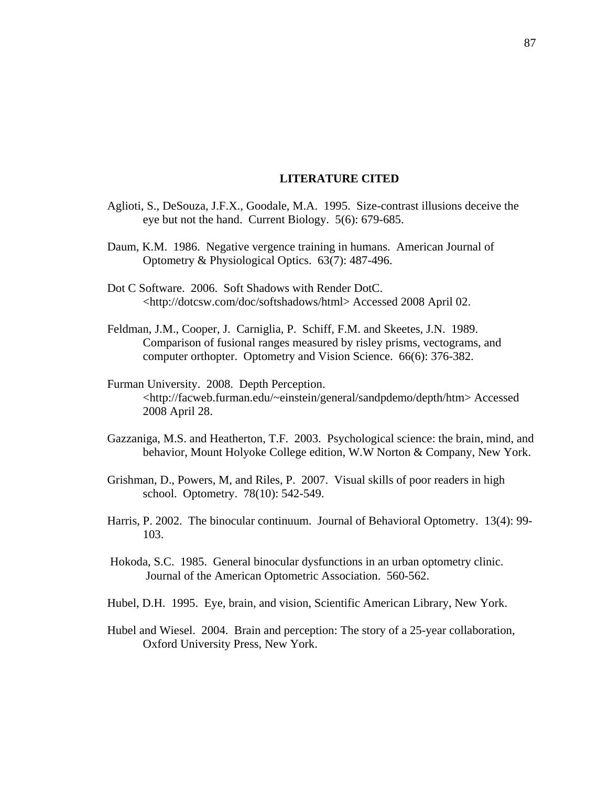#### **LITERATURE CITED**

- Aglioti, S., DeSouza, J.F.X., Goodale, M.A. 1995. Size-contrast illusions deceive the eye but not the hand. Current Biology. 5(6): 679-685.
- Daum, K.M. 1986. Negative vergence training in humans. American Journal of Optometry & Physiological Optics. 63(7): 487-496.
- Dot C Software. 2006. Soft Shadows with Render DotC. <http://dotcsw.com/doc/softshadows/html> Accessed 2008 April 02.
- Feldman, J.M., Cooper, J. Carniglia, P. Schiff, F.M. and Skeetes, J.N. 1989. Comparison of fusional ranges measured by risley prisms, vectograms, and computer orthopter. Optometry and Vision Science. 66(6): 376-382.
- Furman University. 2008. Depth Perception. <http://facweb.furman.edu/~einstein/general/sandpdemo/depth/htm> Accessed 2008 April 28.
- Gazzaniga, M.S. and Heatherton, T.F. 2003. Psychological science: the brain, mind, and behavior, Mount Holyoke College edition, W.W Norton & Company, New York.
- Grishman, D., Powers, M, and Riles, P. 2007. Visual skills of poor readers in high school. Optometry. 78(10): 542-549.
- Harris, P. 2002. The binocular continuum. Journal of Behavioral Optometry. 13(4): 99- 103.
- Hokoda, S.C. 1985. General binocular dysfunctions in an urban optometry clinic. Journal of the American Optometric Association. 560-562.
- Hubel, D.H. 1995. Eye, brain, and vision, Scientific American Library, New York.
- Hubel and Wiesel. 2004. Brain and perception: The story of a 25-year collaboration, Oxford University Press, New York.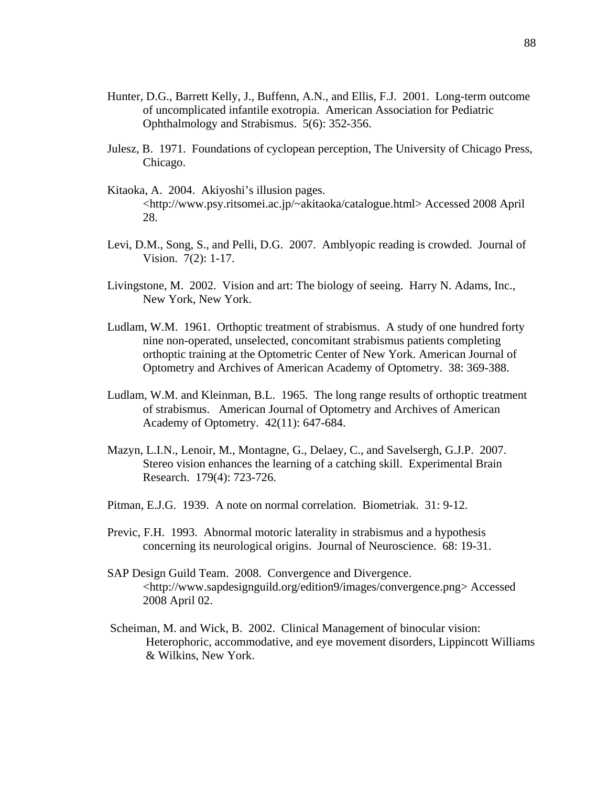- Hunter, D.G., Barrett Kelly, J., Buffenn, A.N., and Ellis, F.J. 2001. Long-term outcome of uncomplicated infantile exotropia. American Association for Pediatric Ophthalmology and Strabismus. 5(6): 352-356.
- Julesz, B. 1971. Foundations of cyclopean perception, The University of Chicago Press, Chicago.
- Kitaoka, A. 2004. Akiyoshi's illusion pages. <http://www.psy.ritsomei.ac.jp/~akitaoka/catalogue.html> Accessed 2008 April 28.
- Levi, D.M., Song, S., and Pelli, D.G. 2007. Amblyopic reading is crowded. Journal of Vision. 7(2): 1-17.
- Livingstone, M. 2002. Vision and art: The biology of seeing. Harry N. Adams, Inc., New York, New York.
- Ludlam, W.M. 1961. Orthoptic treatment of strabismus. A study of one hundred forty nine non-operated, unselected, concomitant strabismus patients completing orthoptic training at the Optometric Center of New York. American Journal of Optometry and Archives of American Academy of Optometry. 38: 369-388.
- Ludlam, W.M. and Kleinman, B.L. 1965. The long range results of orthoptic treatment of strabismus. American Journal of Optometry and Archives of American Academy of Optometry. 42(11): 647-684.
- Mazyn, L.I.N., Lenoir, M., Montagne, G., Delaey, C., and Savelsergh, G.J.P. 2007. Stereo vision enhances the learning of a catching skill. Experimental Brain Research. 179(4): 723-726.
- Pitman, E.J.G. 1939. A note on normal correlation. Biometriak. 31: 9-12.
- Previc, F.H. 1993. Abnormal motoric laterality in strabismus and a hypothesis concerning its neurological origins. Journal of Neuroscience. 68: 19-31.
- SAP Design Guild Team. 2008. Convergence and Divergence. <http://www.sapdesignguild.org/edition9/images/convergence.png> Accessed 2008 April 02.
- Scheiman, M. and Wick, B. 2002. Clinical Management of binocular vision: Heterophoric, accommodative, and eye movement disorders, Lippincott Williams & Wilkins, New York.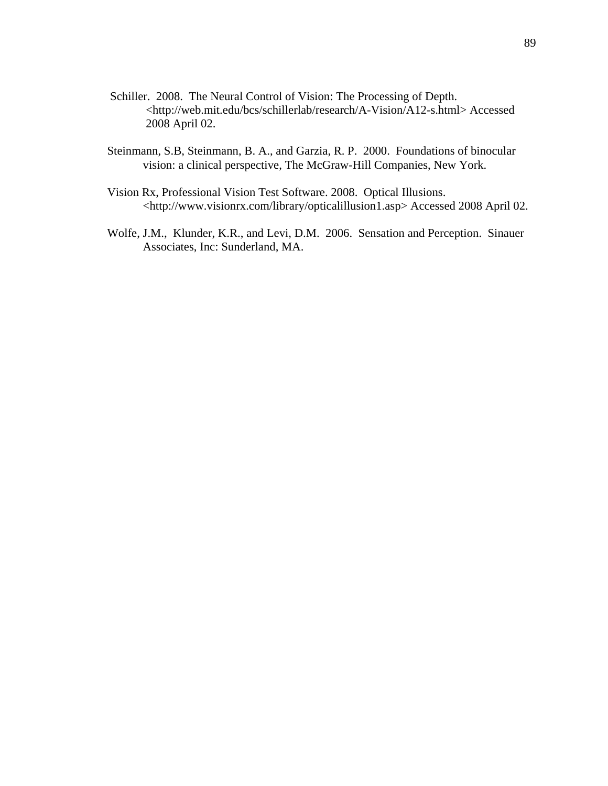- Schiller. 2008. The Neural Control of Vision: The Processing of Depth. <http://web.mit.edu/bcs/schillerlab/research/A-Vision/A12-s.html> Accessed 2008 April 02.
- Steinmann, S.B, Steinmann, B. A., and Garzia, R. P. 2000. Foundations of binocular vision: a clinical perspective, The McGraw-Hill Companies, New York.
- Vision Rx, Professional Vision Test Software. 2008. Optical Illusions. <http://www.visionrx.com/library/opticalillusion1.asp> Accessed 2008 April 02.
- Wolfe, J.M., Klunder, K.R., and Levi, D.M. 2006. Sensation and Perception. Sinauer Associates, Inc: Sunderland, MA.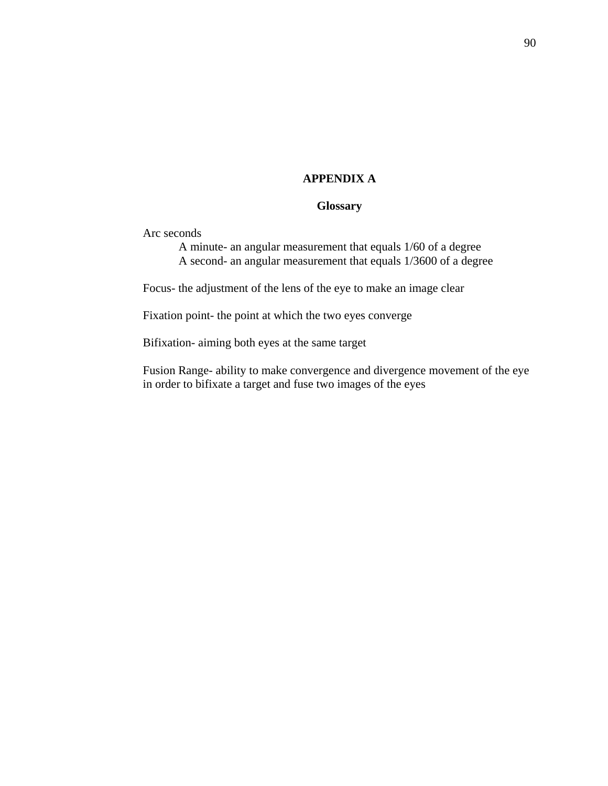### **APPENDIX A**

### **Glossary**

Arc seconds

 A minute- an angular measurement that equals 1/60 of a degree A second- an angular measurement that equals 1/3600 of a degree

Focus- the adjustment of the lens of the eye to make an image clear

Fixation point- the point at which the two eyes converge

Bifixation- aiming both eyes at the same target

Fusion Range- ability to make convergence and divergence movement of the eye in order to bifixate a target and fuse two images of the eyes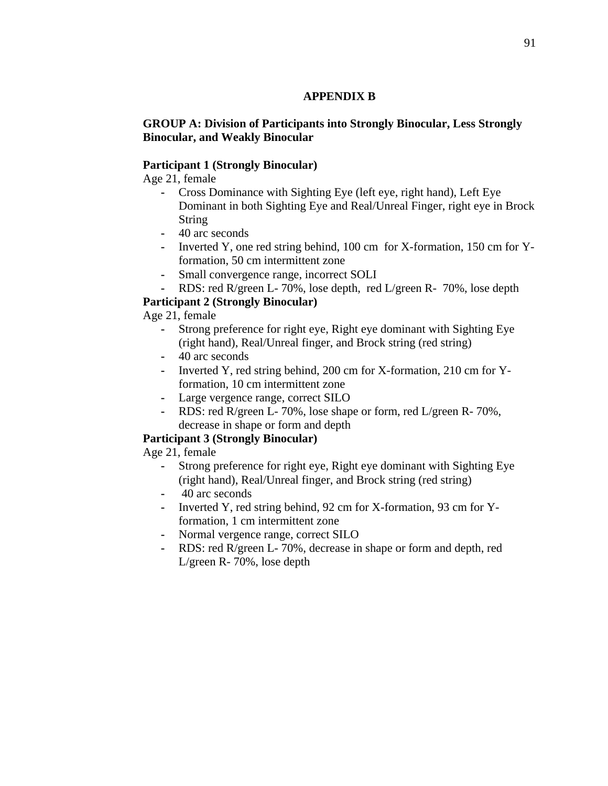### **APPENDIX B**

### **GROUP A: Division of Participants into Strongly Binocular, Less Strongly Binocular, and Weakly Binocular**

### **Participant 1 (Strongly Binocular)**

Age 21, female

- **-** Cross Dominance with Sighting Eye (left eye, right hand), Left Eye Dominant in both Sighting Eye and Real/Unreal Finger, right eye in Brock String
- **-** 40 arc seconds
- **-** Inverted Y, one red string behind, 100 cm for X-formation, 150 cm for Yformation, 50 cm intermittent zone
- **-** Small convergence range, incorrect SOLI
- **-** RDS: red R/green L- 70%, lose depth, red L/green R- 70%, lose depth

## **Participant 2 (Strongly Binocular)**

Age 21, female

- **-** Strong preference for right eye, Right eye dominant with Sighting Eye (right hand), Real/Unreal finger, and Brock string (red string)
- **-** 40 arc seconds
- **-** Inverted Y, red string behind, 200 cm for X-formation, 210 cm for Yformation, 10 cm intermittent zone
- **-** Large vergence range, correct SILO
- **-** RDS: red R/green L- 70%, lose shape or form, red L/green R- 70%, decrease in shape or form and depth

## **Participant 3 (Strongly Binocular)**

Age 21, female

- **-** Strong preference for right eye, Right eye dominant with Sighting Eye (right hand), Real/Unreal finger, and Brock string (red string)
- **-** 40 arc seconds
- **-** Inverted Y, red string behind, 92 cm for X-formation, 93 cm for Yformation, 1 cm intermittent zone
- **-** Normal vergence range, correct SILO
- **-** RDS: red R/green L- 70%, decrease in shape or form and depth, red L/green R- 70%, lose depth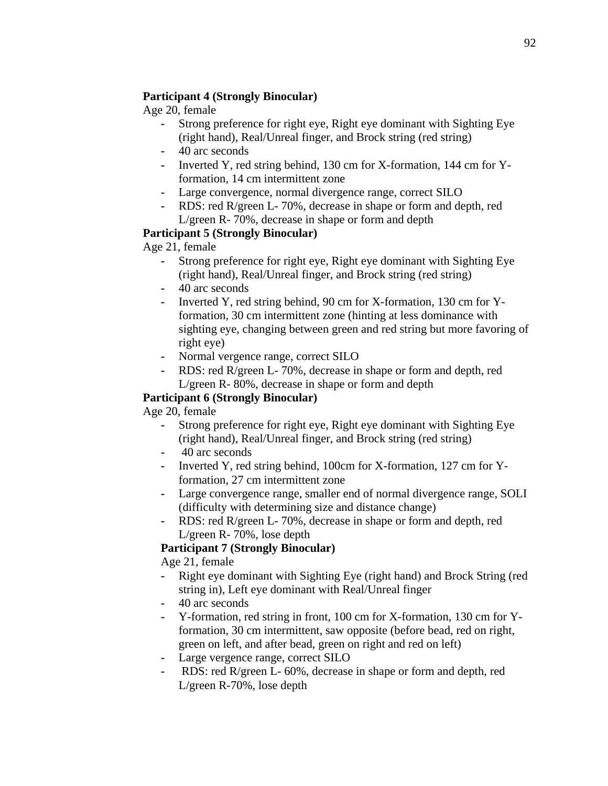## **Participant 4 (Strongly Binocular)**

Age 20, female

- **-** Strong preference for right eye, Right eye dominant with Sighting Eye (right hand), Real/Unreal finger, and Brock string (red string)
- **-** 40 arc seconds
- **-** Inverted Y, red string behind, 130 cm for X-formation, 144 cm for Yformation, 14 cm intermittent zone
- **-** Large convergence, normal divergence range, correct SILO
- **-** RDS: red R/green L- 70%, decrease in shape or form and depth, red L/green R- 70%, decrease in shape or form and depth

# **Participant 5 (Strongly Binocular)**

Age 21, female

- **-** Strong preference for right eye, Right eye dominant with Sighting Eye (right hand), Real/Unreal finger, and Brock string (red string)
- **-** 40 arc seconds
- **-** Inverted Y, red string behind, 90 cm for X-formation, 130 cm for Yformation, 30 cm intermittent zone (hinting at less dominance with sighting eye, changing between green and red string but more favoring of right eye)
- **-** Normal vergence range, correct SILO
- **-** RDS: red R/green L- 70%, decrease in shape or form and depth, red L/green R- 80%, decrease in shape or form and depth

# **Participant 6 (Strongly Binocular)**

Age 20, female

- **-** Strong preference for right eye, Right eye dominant with Sighting Eye (right hand), Real/Unreal finger, and Brock string (red string)
- **-** 40 arc seconds
- **-** Inverted Y, red string behind, 100cm for X-formation, 127 cm for Yformation, 27 cm intermittent zone
- **-** Large convergence range, smaller end of normal divergence range, SOLI (difficulty with determining size and distance change)
- **-** RDS: red R/green L- 70%, decrease in shape or form and depth, red L/green R- 70%, lose depth

# **Participant 7 (Strongly Binocular)**

Age 21, female

- **-** Right eye dominant with Sighting Eye (right hand) and Brock String (red string in), Left eye dominant with Real/Unreal finger
- **-** 40 arc seconds
- **-** Y-formation, red string in front, 100 cm for X-formation, 130 cm for Yformation, 30 cm intermittent, saw opposite (before bead, red on right, green on left, and after bead, green on right and red on left)
- **-** Large vergence range, correct SILO
- **-** RDS: red R/green L- 60%, decrease in shape or form and depth, red L/green R-70%, lose depth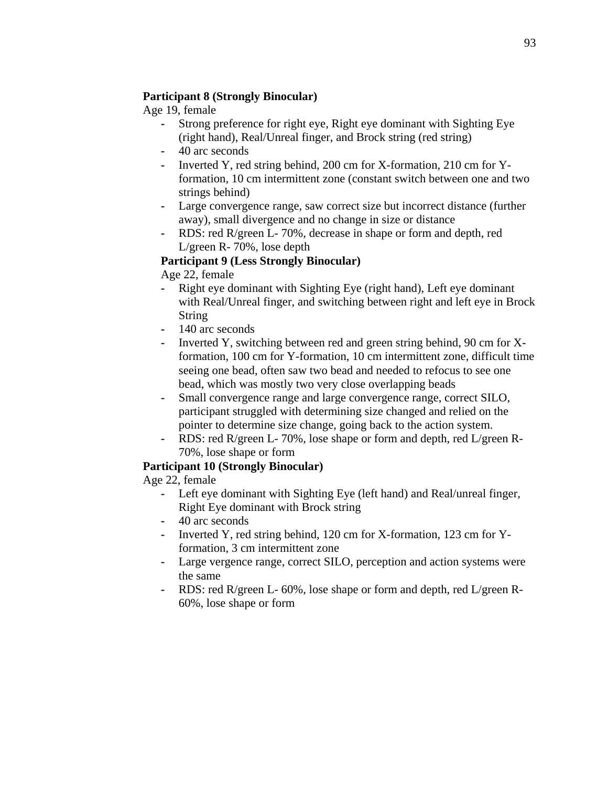### **Participant 8 (Strongly Binocular)**

Age 19, female

- **-** Strong preference for right eye, Right eye dominant with Sighting Eye (right hand), Real/Unreal finger, and Brock string (red string)
- **-** 40 arc seconds
- **-** Inverted Y, red string behind, 200 cm for X-formation, 210 cm for Yformation, 10 cm intermittent zone (constant switch between one and two strings behind)
- **-** Large convergence range, saw correct size but incorrect distance (further away), small divergence and no change in size or distance
- **-** RDS: red R/green L- 70%, decrease in shape or form and depth, red L/green R- 70%, lose depth

## **Participant 9 (Less Strongly Binocular)**

Age 22, female

- **-** Right eye dominant with Sighting Eye (right hand), Left eye dominant with Real/Unreal finger, and switching between right and left eye in Brock String
- **-** 140 arc seconds
- **-** Inverted Y, switching between red and green string behind, 90 cm for Xformation, 100 cm for Y-formation, 10 cm intermittent zone, difficult time seeing one bead, often saw two bead and needed to refocus to see one bead, which was mostly two very close overlapping beads
- **-** Small convergence range and large convergence range, correct SILO, participant struggled with determining size changed and relied on the pointer to determine size change, going back to the action system.
- **-** RDS: red R/green L- 70%, lose shape or form and depth, red L/green R-70%, lose shape or form

## **Participant 10 (Strongly Binocular)**

Age 22, female

- **-** Left eye dominant with Sighting Eye (left hand) and Real/unreal finger, Right Eye dominant with Brock string
- **-** 40 arc seconds
- **-** Inverted Y, red string behind, 120 cm for X-formation, 123 cm for Yformation, 3 cm intermittent zone
- **-** Large vergence range, correct SILO, perception and action systems were the same
- **-** RDS: red R/green L- 60%, lose shape or form and depth, red L/green R-60%, lose shape or form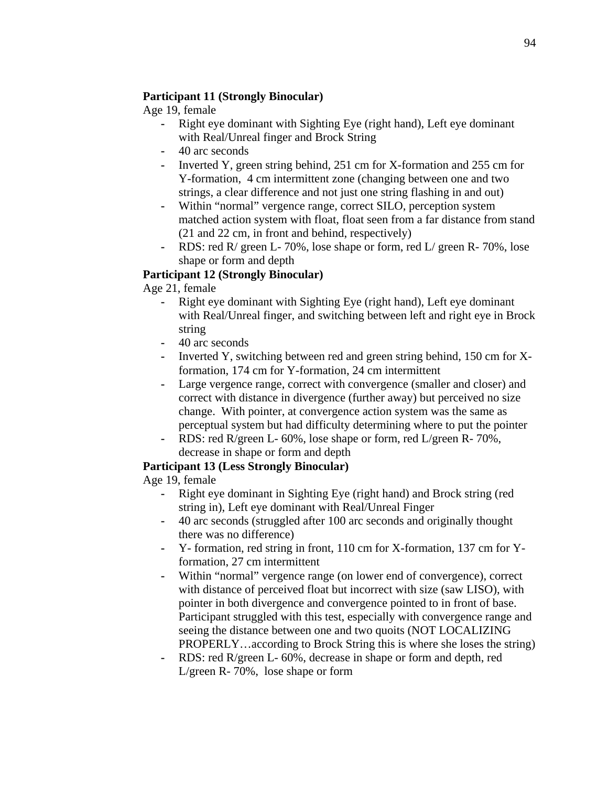## **Participant 11 (Strongly Binocular)**

Age 19, female

- **-** Right eye dominant with Sighting Eye (right hand), Left eye dominant with Real/Unreal finger and Brock String
- **-** 40 arc seconds
- **-** Inverted Y, green string behind, 251 cm for X-formation and 255 cm for Y-formation, 4 cm intermittent zone (changing between one and two strings, a clear difference and not just one string flashing in and out)
- **-** Within "normal" vergence range, correct SILO, perception system matched action system with float, float seen from a far distance from stand (21 and 22 cm, in front and behind, respectively)
- **-** RDS: red R/ green L- 70%, lose shape or form, red L/ green R- 70%, lose shape or form and depth

# **Participant 12 (Strongly Binocular)**

Age 21, female

- **-** Right eye dominant with Sighting Eye (right hand), Left eye dominant with Real/Unreal finger, and switching between left and right eye in Brock string
- **-** 40 arc seconds
- **-** Inverted Y, switching between red and green string behind, 150 cm for Xformation, 174 cm for Y-formation, 24 cm intermittent
- **-** Large vergence range, correct with convergence (smaller and closer) and correct with distance in divergence (further away) but perceived no size change. With pointer, at convergence action system was the same as perceptual system but had difficulty determining where to put the pointer
- **-** RDS: red R/green L- 60%, lose shape or form, red L/green R- 70%, decrease in shape or form and depth

# **Participant 13 (Less Strongly Binocular)**

Age 19, female

- **-** Right eye dominant in Sighting Eye (right hand) and Brock string (red string in), Left eye dominant with Real/Unreal Finger
- **-** 40 arc seconds (struggled after 100 arc seconds and originally thought there was no difference)
- **-** Y- formation, red string in front, 110 cm for X-formation, 137 cm for Yformation, 27 cm intermittent
- **-** Within "normal" vergence range (on lower end of convergence), correct with distance of perceived float but incorrect with size (saw LISO), with pointer in both divergence and convergence pointed to in front of base. Participant struggled with this test, especially with convergence range and seeing the distance between one and two quoits (NOT LOCALIZING PROPERLY…according to Brock String this is where she loses the string)
- **-** RDS: red R/green L- 60%, decrease in shape or form and depth, red L/green R- 70%, lose shape or form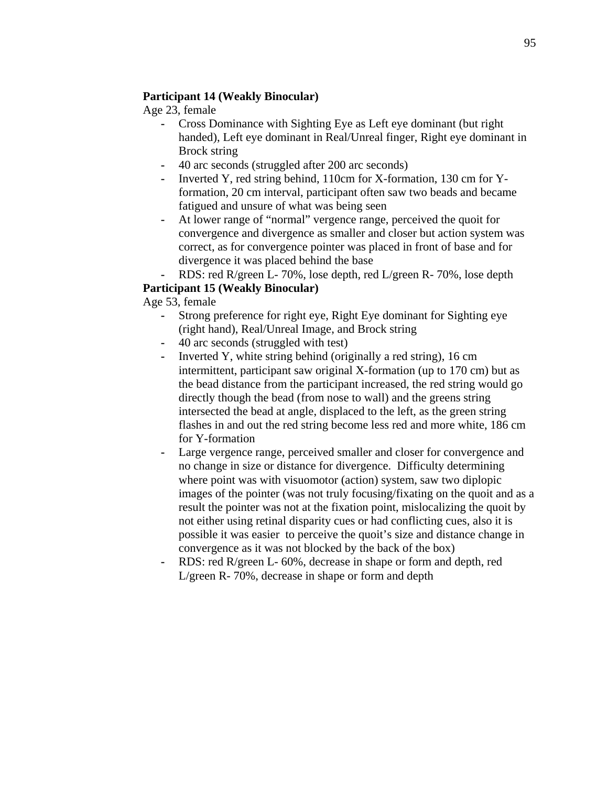### **Participant 14 (Weakly Binocular)**

Age 23, female

- **-** Cross Dominance with Sighting Eye as Left eye dominant (but right handed), Left eye dominant in Real/Unreal finger, Right eye dominant in Brock string
- **-** 40 arc seconds (struggled after 200 arc seconds)
- **-** Inverted Y, red string behind, 110cm for X-formation, 130 cm for Yformation, 20 cm interval, participant often saw two beads and became fatigued and unsure of what was being seen
- **-** At lower range of "normal" vergence range, perceived the quoit for convergence and divergence as smaller and closer but action system was correct, as for convergence pointer was placed in front of base and for divergence it was placed behind the base
- **-** RDS: red R/green L- 70%, lose depth, red L/green R- 70%, lose depth

## **Participant 15 (Weakly Binocular)**

Age 53, female

- **-** Strong preference for right eye, Right Eye dominant for Sighting eye (right hand), Real/Unreal Image, and Brock string
- **-** 40 arc seconds (struggled with test)
- **-** Inverted Y, white string behind (originally a red string), 16 cm intermittent, participant saw original X-formation (up to 170 cm) but as the bead distance from the participant increased, the red string would go directly though the bead (from nose to wall) and the greens string intersected the bead at angle, displaced to the left, as the green string flashes in and out the red string become less red and more white, 186 cm for Y-formation
- **-** Large vergence range, perceived smaller and closer for convergence and no change in size or distance for divergence. Difficulty determining where point was with visuomotor (action) system, saw two diplopic images of the pointer (was not truly focusing/fixating on the quoit and as a result the pointer was not at the fixation point, mislocalizing the quoit by not either using retinal disparity cues or had conflicting cues, also it is possible it was easier to perceive the quoit's size and distance change in convergence as it was not blocked by the back of the box)
- **-** RDS: red R/green L- 60%, decrease in shape or form and depth, red L/green R- 70%, decrease in shape or form and depth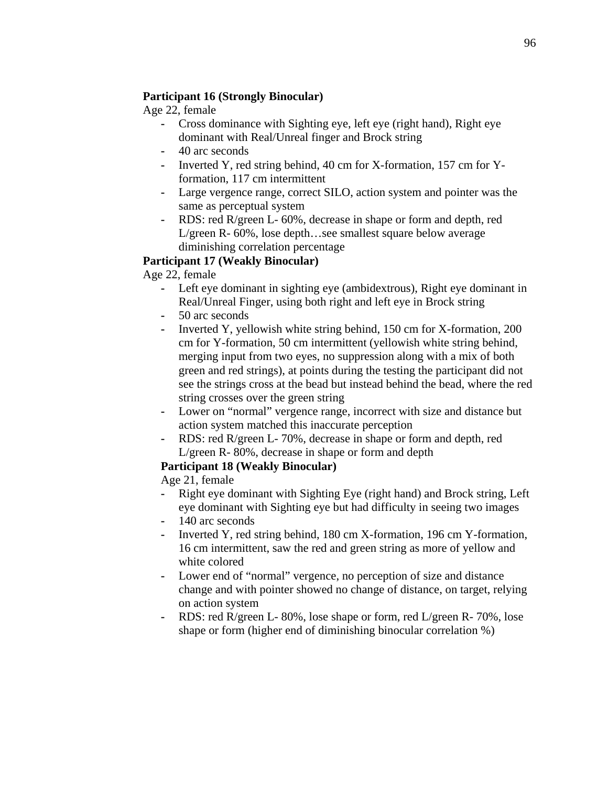### **Participant 16 (Strongly Binocular)**

Age 22, female

- **-** Cross dominance with Sighting eye, left eye (right hand), Right eye dominant with Real/Unreal finger and Brock string
- **-** 40 arc seconds
- **-** Inverted Y, red string behind, 40 cm for X-formation, 157 cm for Yformation, 117 cm intermittent
- **-** Large vergence range, correct SILO, action system and pointer was the same as perceptual system
- **-** RDS: red R/green L- 60%, decrease in shape or form and depth, red L/green R- 60%, lose depth…see smallest square below average diminishing correlation percentage

## **Participant 17 (Weakly Binocular)**

Age 22, female

- **-** Left eye dominant in sighting eye (ambidextrous), Right eye dominant in Real/Unreal Finger, using both right and left eye in Brock string
- **-** 50 arc seconds
- **-** Inverted Y, yellowish white string behind, 150 cm for X-formation, 200 cm for Y-formation, 50 cm intermittent (yellowish white string behind, merging input from two eyes, no suppression along with a mix of both green and red strings), at points during the testing the participant did not see the strings cross at the bead but instead behind the bead, where the red string crosses over the green string
- **-** Lower on "normal" vergence range, incorrect with size and distance but action system matched this inaccurate perception
- **-** RDS: red R/green L- 70%, decrease in shape or form and depth, red L/green R- 80%, decrease in shape or form and depth

## **Participant 18 (Weakly Binocular)**

Age 21, female

- **-** Right eye dominant with Sighting Eye (right hand) and Brock string, Left eye dominant with Sighting eye but had difficulty in seeing two images
- **-** 140 arc seconds
- **-** Inverted Y, red string behind, 180 cm X-formation, 196 cm Y-formation, 16 cm intermittent, saw the red and green string as more of yellow and white colored
- **-** Lower end of "normal" vergence, no perception of size and distance change and with pointer showed no change of distance, on target, relying on action system
- **-** RDS: red R/green L- 80%, lose shape or form, red L/green R- 70%, lose shape or form (higher end of diminishing binocular correlation %)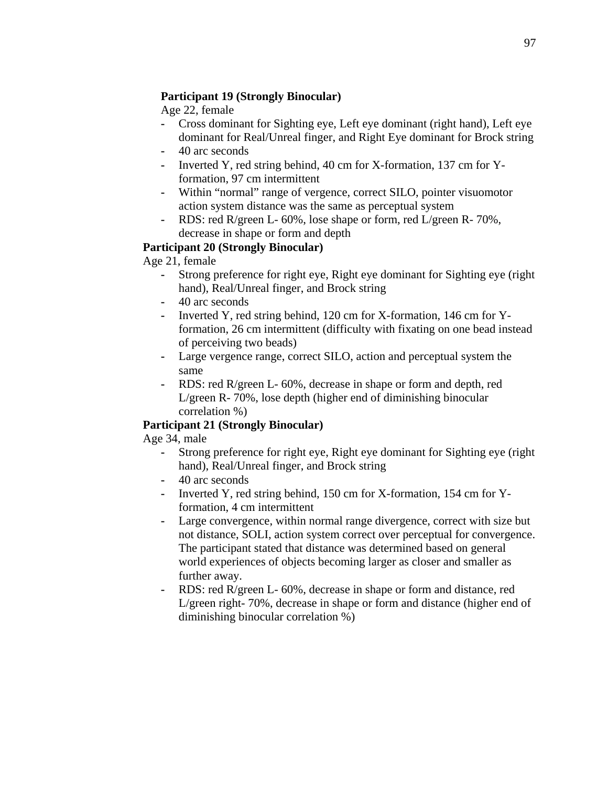### **Participant 19 (Strongly Binocular)**

Age 22, female

- **-** Cross dominant for Sighting eye, Left eye dominant (right hand), Left eye dominant for Real/Unreal finger, and Right Eye dominant for Brock string
- **-** 40 arc seconds
- **-** Inverted Y, red string behind, 40 cm for X-formation, 137 cm for Yformation, 97 cm intermittent
- **-** Within "normal" range of vergence, correct SILO, pointer visuomotor action system distance was the same as perceptual system
- **-** RDS: red R/green L- 60%, lose shape or form, red L/green R- 70%, decrease in shape or form and depth

## **Participant 20 (Strongly Binocular)**

Age 21, female

- **-** Strong preference for right eye, Right eye dominant for Sighting eye (right hand), Real/Unreal finger, and Brock string
- **-** 40 arc seconds
- **-** Inverted Y, red string behind, 120 cm for X-formation, 146 cm for Yformation, 26 cm intermittent (difficulty with fixating on one bead instead of perceiving two beads)
- **-** Large vergence range, correct SILO, action and perceptual system the same
- **-** RDS: red R/green L- 60%, decrease in shape or form and depth, red L/green R- 70%, lose depth (higher end of diminishing binocular correlation %)

## **Participant 21 (Strongly Binocular)**

Age 34, male

- **-** Strong preference for right eye, Right eye dominant for Sighting eye (right hand), Real/Unreal finger, and Brock string
- **-** 40 arc seconds
- **-** Inverted Y, red string behind, 150 cm for X-formation, 154 cm for Yformation, 4 cm intermittent
- **-** Large convergence, within normal range divergence, correct with size but not distance, SOLI, action system correct over perceptual for convergence. The participant stated that distance was determined based on general world experiences of objects becoming larger as closer and smaller as further away.
- **-** RDS: red R/green L- 60%, decrease in shape or form and distance, red L/green right- 70%, decrease in shape or form and distance (higher end of diminishing binocular correlation %)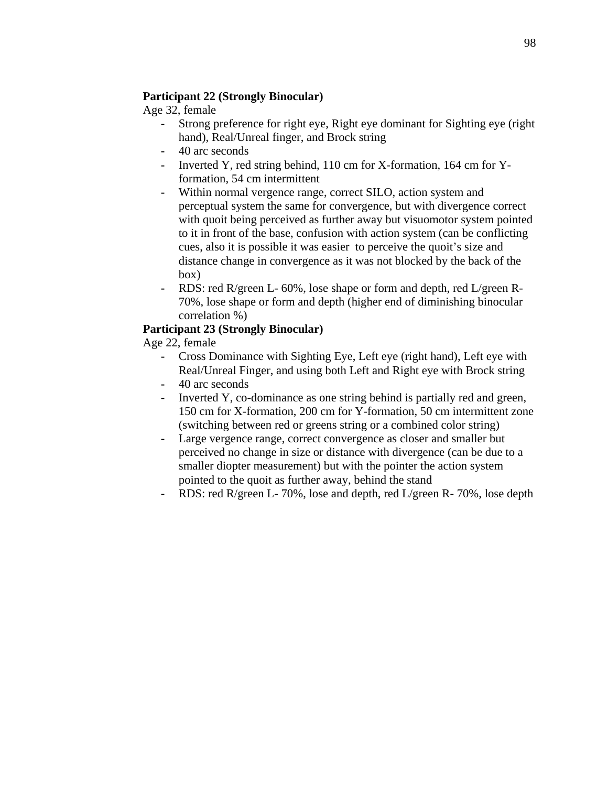### **Participant 22 (Strongly Binocular)**

Age 32, female

- **-** Strong preference for right eye, Right eye dominant for Sighting eye (right hand), Real/Unreal finger, and Brock string
- **-** 40 arc seconds
- **-** Inverted Y, red string behind, 110 cm for X-formation, 164 cm for Yformation, 54 cm intermittent
- **-** Within normal vergence range, correct SILO, action system and perceptual system the same for convergence, but with divergence correct with quoit being perceived as further away but visuomotor system pointed to it in front of the base, confusion with action system (can be conflicting cues, also it is possible it was easier to perceive the quoit's size and distance change in convergence as it was not blocked by the back of the box)
- **-** RDS: red R/green L- 60%, lose shape or form and depth, red L/green R-70%, lose shape or form and depth (higher end of diminishing binocular correlation %)

# **Participant 23 (Strongly Binocular)**

Age 22, female

- **-** Cross Dominance with Sighting Eye, Left eye (right hand), Left eye with Real/Unreal Finger, and using both Left and Right eye with Brock string
- **-** 40 arc seconds
- **-** Inverted Y, co-dominance as one string behind is partially red and green, 150 cm for X-formation, 200 cm for Y-formation, 50 cm intermittent zone (switching between red or greens string or a combined color string)
- **-** Large vergence range, correct convergence as closer and smaller but perceived no change in size or distance with divergence (can be due to a smaller diopter measurement) but with the pointer the action system pointed to the quoit as further away, behind the stand
- **-** RDS: red R/green L- 70%, lose and depth, red L/green R- 70%, lose depth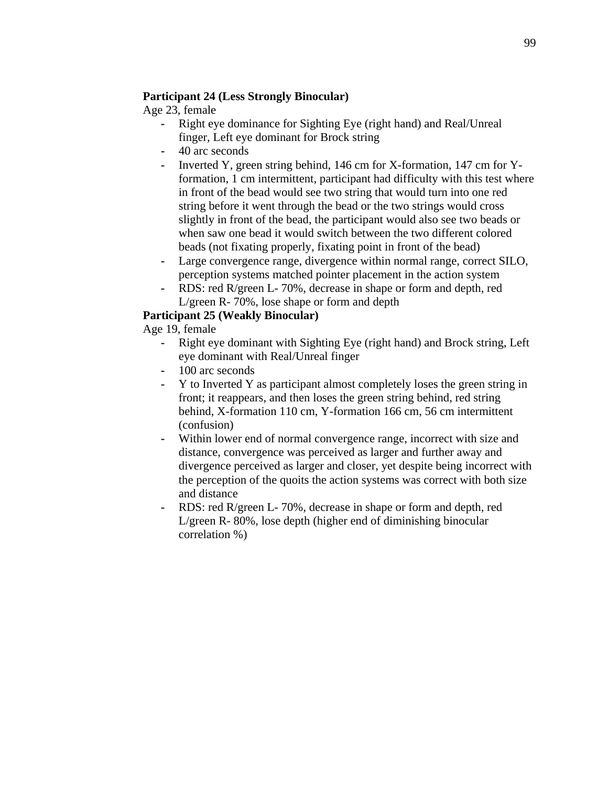### **Participant 24 (Less Strongly Binocular)**

Age 23, female

- **-** Right eye dominance for Sighting Eye (right hand) and Real/Unreal finger, Left eye dominant for Brock string
- **-** 40 arc seconds
- **-** Inverted Y, green string behind, 146 cm for X-formation, 147 cm for Yformation, 1 cm intermittent, participant had difficulty with this test where in front of the bead would see two string that would turn into one red string before it went through the bead or the two strings would cross slightly in front of the bead, the participant would also see two beads or when saw one bead it would switch between the two different colored beads (not fixating properly, fixating point in front of the bead)
- Large convergence range, divergence within normal range, correct SILO, perception systems matched pointer placement in the action system
- **-** RDS: red R/green L- 70%, decrease in shape or form and depth, red L/green R- 70%, lose shape or form and depth

### **Participant 25 (Weakly Binocular)**

Age 19, female

- **-** Right eye dominant with Sighting Eye (right hand) and Brock string, Left eye dominant with Real/Unreal finger
- **-** 100 arc seconds
- **-** Y to Inverted Y as participant almost completely loses the green string in front; it reappears, and then loses the green string behind, red string behind, X-formation 110 cm, Y-formation 166 cm, 56 cm intermittent (confusion)
- **-** Within lower end of normal convergence range, incorrect with size and distance, convergence was perceived as larger and further away and divergence perceived as larger and closer, yet despite being incorrect with the perception of the quoits the action systems was correct with both size and distance
- **-** RDS: red R/green L- 70%, decrease in shape or form and depth, red L/green R- 80%, lose depth (higher end of diminishing binocular correlation %)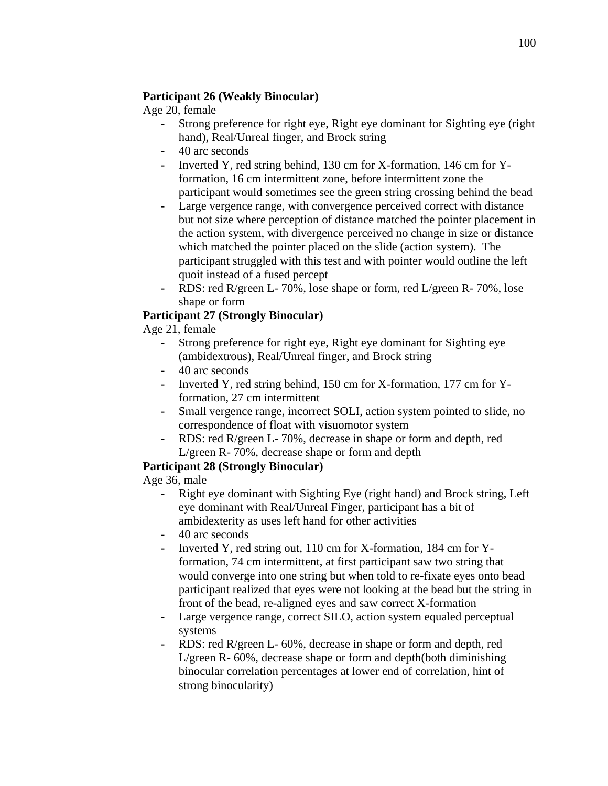### **Participant 26 (Weakly Binocular)**

Age 20, female

- **-** Strong preference for right eye, Right eye dominant for Sighting eye (right hand), Real/Unreal finger, and Brock string
- **-** 40 arc seconds
- **-** Inverted Y, red string behind, 130 cm for X-formation, 146 cm for Yformation, 16 cm intermittent zone, before intermittent zone the participant would sometimes see the green string crossing behind the bead
- **-** Large vergence range, with convergence perceived correct with distance but not size where perception of distance matched the pointer placement in the action system, with divergence perceived no change in size or distance which matched the pointer placed on the slide (action system). The participant struggled with this test and with pointer would outline the left quoit instead of a fused percept
- **-** RDS: red R/green L- 70%, lose shape or form, red L/green R- 70%, lose shape or form

# **Participant 27 (Strongly Binocular)**

Age 21, female

- **-** Strong preference for right eye, Right eye dominant for Sighting eye (ambidextrous), Real/Unreal finger, and Brock string
- **-** 40 arc seconds
- **-** Inverted Y, red string behind, 150 cm for X-formation, 177 cm for Yformation, 27 cm intermittent
- **-** Small vergence range, incorrect SOLI, action system pointed to slide, no correspondence of float with visuomotor system
- **-** RDS: red R/green L- 70%, decrease in shape or form and depth, red L/green R- 70%, decrease shape or form and depth

### **Participant 28 (Strongly Binocular)**

Age 36, male

- **-** Right eye dominant with Sighting Eye (right hand) and Brock string, Left eye dominant with Real/Unreal Finger, participant has a bit of ambidexterity as uses left hand for other activities
- **-** 40 arc seconds
- **-** Inverted Y, red string out, 110 cm for X-formation, 184 cm for Yformation, 74 cm intermittent, at first participant saw two string that would converge into one string but when told to re-fixate eyes onto bead participant realized that eyes were not looking at the bead but the string in front of the bead, re-aligned eyes and saw correct X-formation
- Large vergence range, correct SILO, action system equaled perceptual systems
- **-** RDS: red R/green L- 60%, decrease in shape or form and depth, red L/green R- 60%, decrease shape or form and depth(both diminishing binocular correlation percentages at lower end of correlation, hint of strong binocularity)